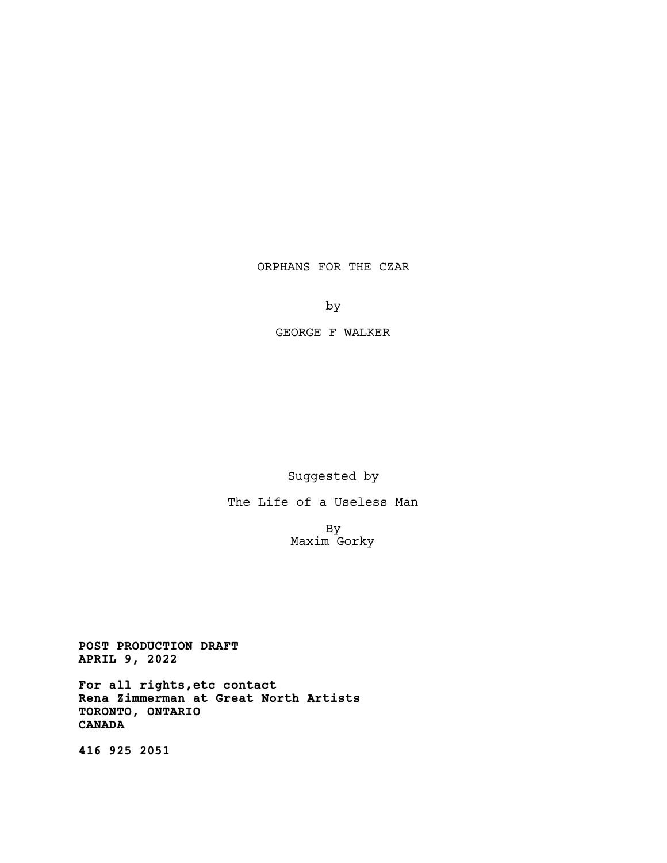## ORPHANS FOR THE CZAR

by

GEORGE F WALKER

Suggested by

The Life of a Useless Man

By Maxim Gorky

POST PRODUCTION DRAFT APRIL 9, 2022

For all rights,etc contact Rena Zimmerman at Great North Artists TORONTO, ONTARIO CANADA

416 925 2051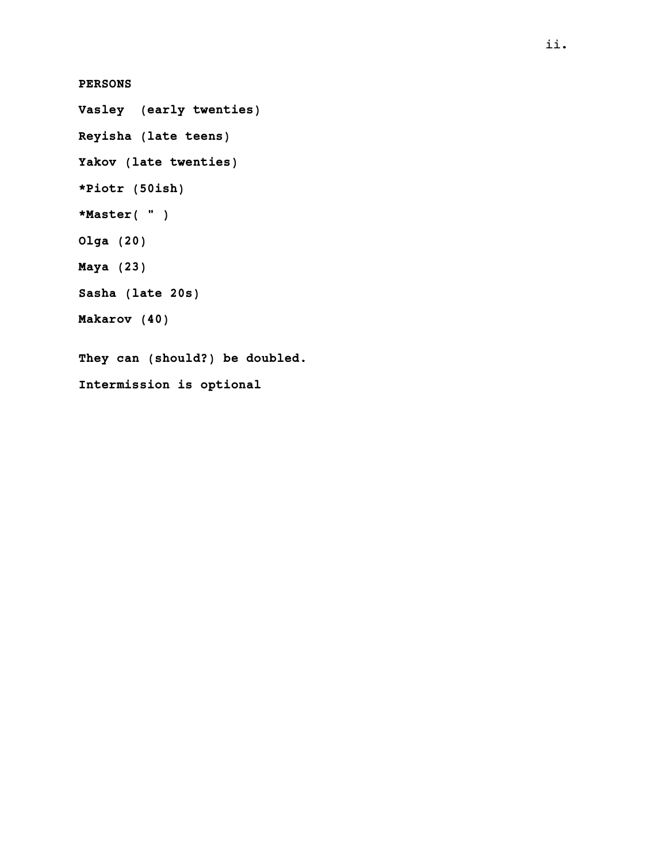## PERSONS

Vasley (early twenties) Reyisha (late teens) Yakov (late twenties) \*Piotr (50ish) \*Master( " ) Olga (20) Maya (23) Sasha (late 20s) Makarov (40) They can (should?) be doubled. Intermission is optional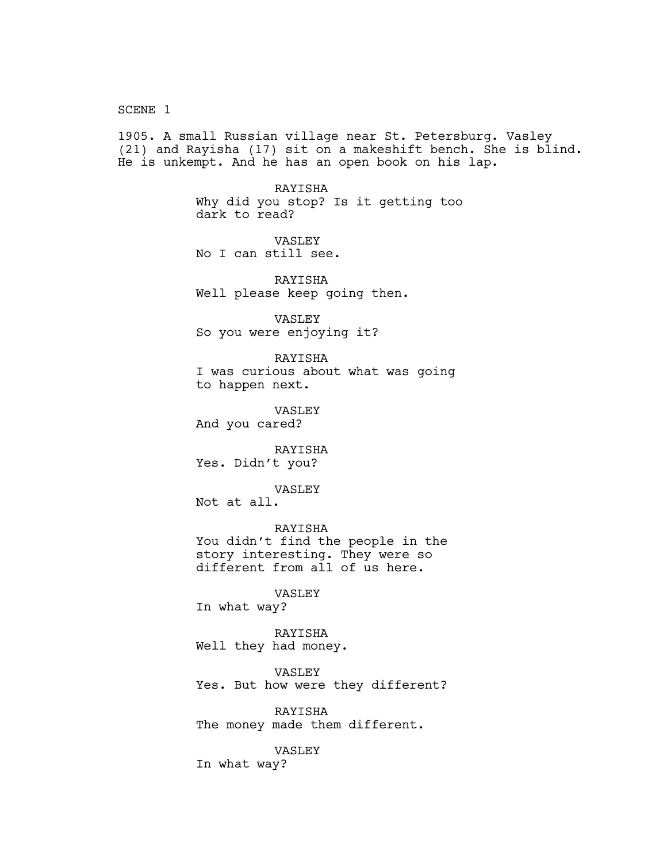SCENE 1

1905. A small Russian village near St. Petersburg. Vasley (21) and Rayisha (17) sit on a makeshift bench. She is blind. He is unkempt. And he has an open book on his lap.

> RAYISHA Why did you stop? Is it getting too dark to read?

VASLEY No I can still see.

RAYISHA Well please keep going then.

VASLEY So you were enjoying it?

RAYISHA I was curious about what was going to happen next.

VASLEY And you cared?

RAYISHA Yes. Didn't you?

VASLEY

Not at all.

RAYISHA You didn't find the people in the story interesting. They were so different from all of us here.

VASLEY

In what way?

RAYISHA Well they had money.

VASLEY Yes. But how were they different?

RAYISHA The money made them different.

VASLEY

In what way?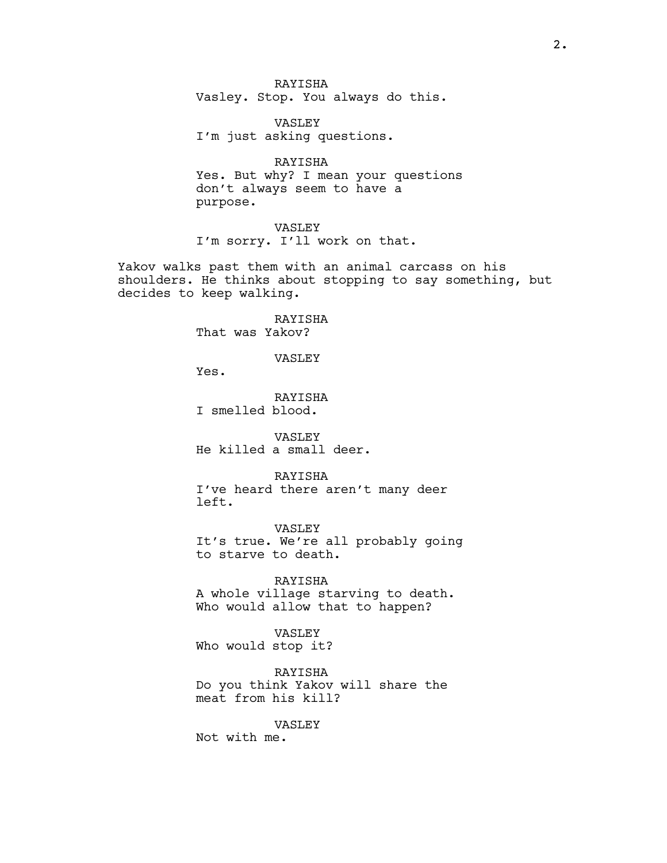RAYISHA Vasley. Stop. You always do this.

VASLEY I'm just asking questions.

RAYISHA Yes. But why? I mean your questions don't always seem to have a purpose.

VASLEY I'm sorry. I'll work on that.

Yakov walks past them with an animal carcass on his shoulders. He thinks about stopping to say something, but decides to keep walking.

> RAYISHA That was Yakov?

> > VASLEY

Yes.

RAYISHA I smelled blood.

VASLEY He killed a small deer.

RAYISHA

I've heard there aren't many deer left.

VASLEY It's true. We're all probably going to starve to death.

RAYISHA A whole village starving to death. Who would allow that to happen?

VASLEY Who would stop it?

RAYISHA Do you think Yakov will share the meat from his kill?

VASLEY

Not with me.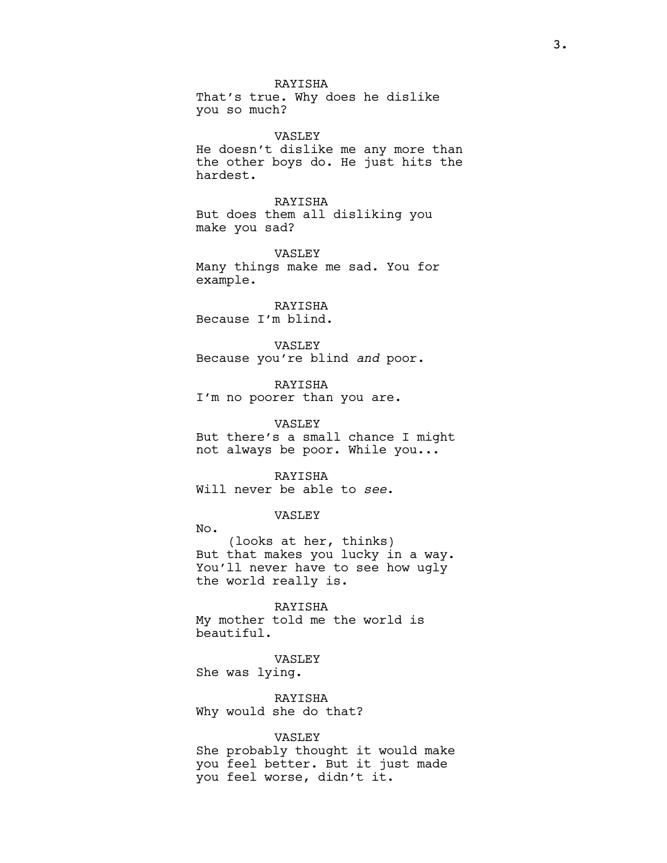RAYISHA That's true. Why does he dislike you so much?

VASLEY He doesn't dislike me any more than the other boys do. He just hits the hardest.

RAYISHA But does them all disliking you make you sad?

VASLEY Many things make me sad. You for example.

RAYISHA Because I'm blind.

VASLEY Because you're blind and poor.

RAYISHA I'm no poorer than you are.

VASLEY But there's a small chance I might not always be poor. While you...

RAYISHA Will never be able to see.

VASLEY

No. (looks at her, thinks) But that makes you lucky in a way. You'll never have to see how ugly the world really is.

RAYISHA My mother told me the world is beautiful.

VASLEY She was lying.

RAYISHA Why would she do that?

VASLEY

She probably thought it would make you feel better. But it just made you feel worse, didn't it.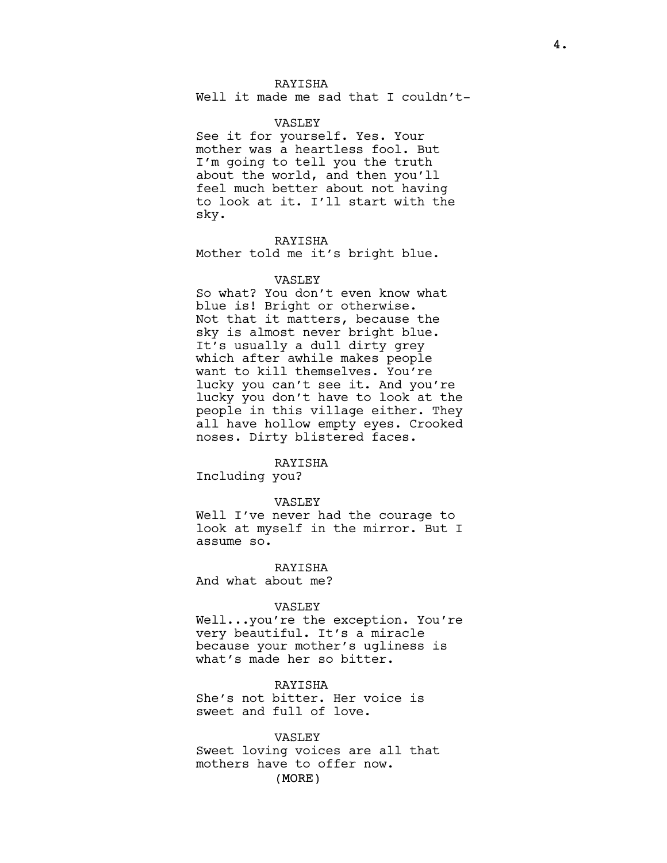## RAYISHA

Well it made me sad that I couldn't-

## VASLEY

See it for yourself. Yes. Your mother was a heartless fool. But I'm going to tell you the truth about the world, and then you'll feel much better about not having to look at it. I'll start with the sky.

RAYISHA Mother told me it's bright blue.

### VASLEY

So what? You don't even know what blue is! Bright or otherwise. Not that it matters, because the sky is almost never bright blue. It's usually a dull dirty grey which after awhile makes people want to kill themselves. You're lucky you can't see it. And you're lucky you don't have to look at the people in this village either. They all have hollow empty eyes. Crooked noses. Dirty blistered faces.

#### RAYISHA

Including you?

#### VASLEY

Well I've never had the courage to look at myself in the mirror. But I assume so.

RAYISHA And what about me?

# VASLEY

Well...you're the exception. You're very beautiful. It's a miracle because your mother's ugliness is what's made her so bitter.

## RAYISHA

She's not bitter. Her voice is sweet and full of love.

#### VASLEY

(MORE) Sweet loving voices are all that mothers have to offer now.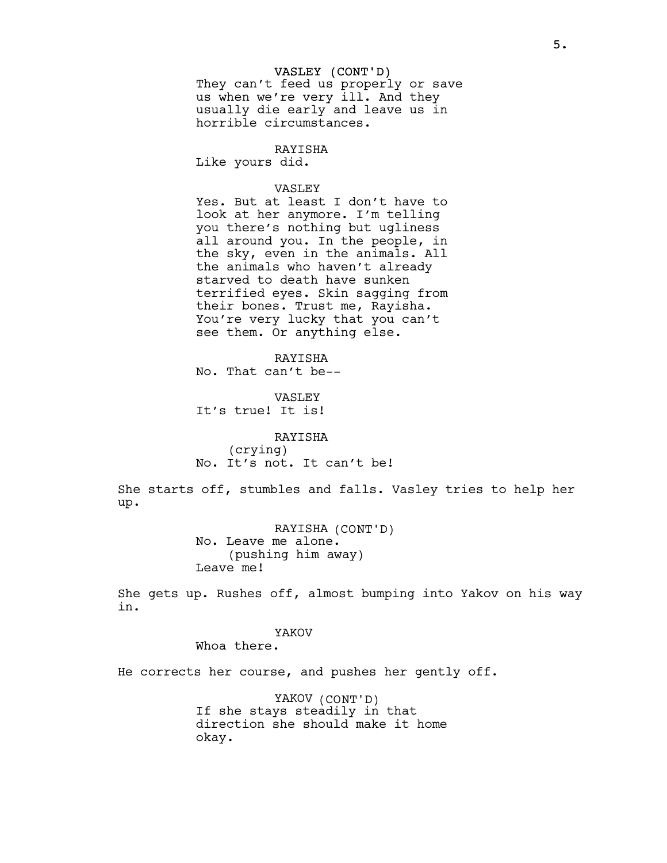#### VASLEY (CONT'D)

They can't feed us properly or save us when we're very ill. And they usually die early and leave us in horrible circumstances.

## RAYISHA

Like yours did.

## VASLEY

Yes. But at least I don't have to look at her anymore. I'm telling you there's nothing but ugliness all around you. In the people, in the sky, even in the animals. All the animals who haven't already starved to death have sunken terrified eyes. Skin sagging from their bones. Trust me, Rayisha. You're very lucky that you can't see them. Or anything else.

RAYISHA No. That can't be--

## VASLEY It's true! It is!

RAYISHA (crying) No. It's not. It can't be!

She starts off, stumbles and falls. Vasley tries to help her up.

> RAYISHA (CONT'D) No. Leave me alone. (pushing him away) Leave me!

She gets up. Rushes off, almost bumping into Yakov on his way in.

## YAKOV

Whoa there.

He corrects her course, and pushes her gently off.

YAKOV (CONT'D) If she stays steadily in that direction she should make it home okay.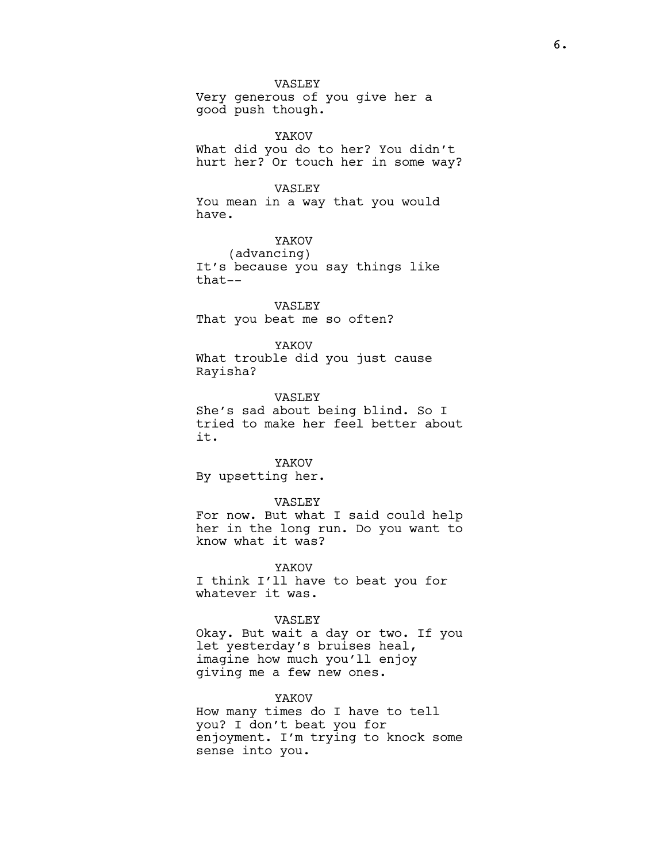VASLEY Very generous of you give her a good push though.

YAKOV What did you do to her? You didn't hurt her? Or touch her in some way?

## VASLEY

You mean in a way that you would have.

YAKOV (advancing) It's because you say things like that--

VASLEY That you beat me so often?

YAKOV What trouble did you just cause Rayisha?

VASLEY

She's sad about being blind. So I tried to make her feel better about it.

YAKOV

By upsetting her.

#### VASLEY

For now. But what I said could help her in the long run. Do you want to know what it was?

YAKOV I think I'll have to beat you for whatever it was.

#### VASLEY

Okay. But wait a day or two. If you let yesterday's bruises heal, imagine how much you'll enjoy giving me a few new ones.

#### YAKOV

How many times do I have to tell you? I don't beat you for enjoyment. I'm trying to knock some sense into you.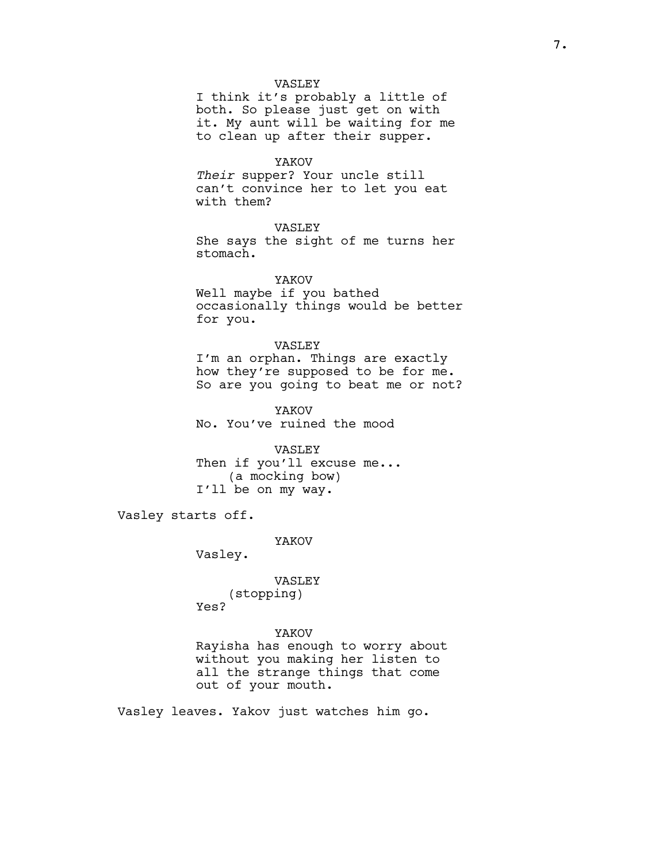#### VASLEY

I think it's probably a little of both. So please just get on with it. My aunt will be waiting for me to clean up after their supper.

#### YAKOV

Their supper? Your uncle still can't convince her to let you eat with them?

## VASLEY

She says the sight of me turns her stomach.

YAKOV

Well maybe if you bathed occasionally things would be better for you.

## VASLEY

I'm an orphan. Things are exactly how they're supposed to be for me. So are you going to beat me or not?

YAKOV No. You've ruined the mood

VASLEY Then if you'll excuse me... (a mocking bow) I'll be on my way.

Vasley starts off.

## YAKOV

Vasley.

## VASLEY (stopping) Yes?

YAKOV Rayisha has enough to worry about without you making her listen to all the strange things that come out of your mouth.

Vasley leaves. Yakov just watches him go.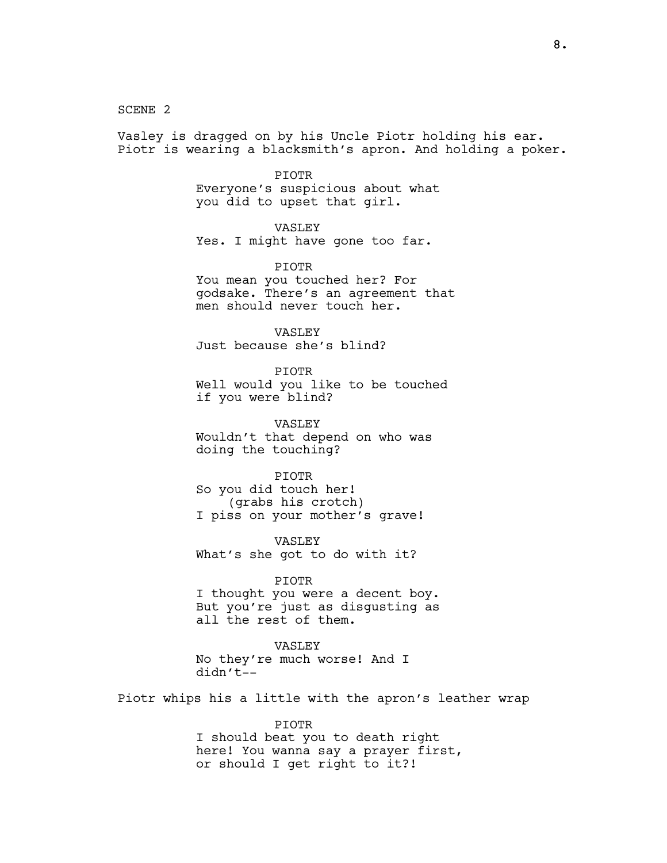SCENE 2

Vasley is dragged on by his Uncle Piotr holding his ear. Piotr is wearing a blacksmith's apron. And holding a poker.

#### PIOTR

Everyone's suspicious about what you did to upset that girl.

VASLEY Yes. I might have gone too far.

PIOTR You mean you touched her? For godsake. There's an agreement that men should never touch her.

VASLEY Just because she's blind?

PIOTR Well would you like to be touched if you were blind?

VASLEY Wouldn't that depend on who was doing the touching?

PIOTR So you did touch her! (grabs his crotch) I piss on your mother's grave!

VASLEY What's she got to do with it?

PIOTR I thought you were a decent boy. But you're just as disgusting as all the rest of them.

VASLEY No they're much worse! And I didn't--

Piotr whips his a little with the apron's leather wrap

PIOTR I should beat you to death right here! You wanna say a prayer first, or should I get right to it?!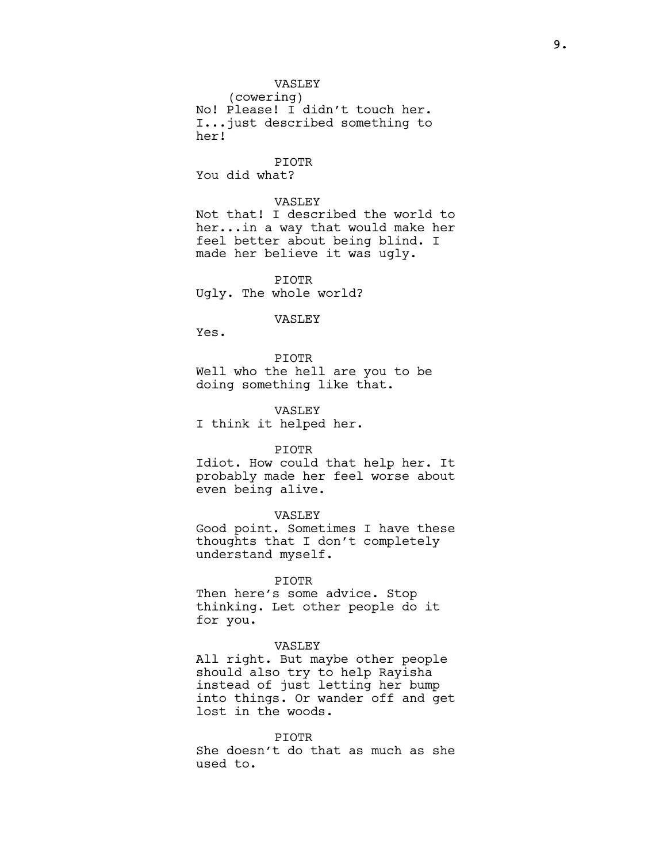## VASLEY

(cowering) No! Please! I didn't touch her. I...just described something to her!

PIOTR You did what?

## VASLEY

Not that! I described the world to her...in a way that would make her feel better about being blind. I made her believe it was ugly.

PIOTR Ugly. The whole world?

#### VASLEY

Yes.

PIOTR Well who the hell are you to be doing something like that.

VASLEY

I think it helped her.

#### PIOTR

Idiot. How could that help her. It probably made her feel worse about even being alive.

### VASLEY

Good point. Sometimes I have these thoughts that I don't completely understand myself.

#### PIOTR

Then here's some advice. Stop thinking. Let other people do it for you.

#### VASLEY

All right. But maybe other people should also try to help Rayisha instead of just letting her bump into things. Or wander off and get lost in the woods.

#### PIOTR

She doesn't do that as much as she used to.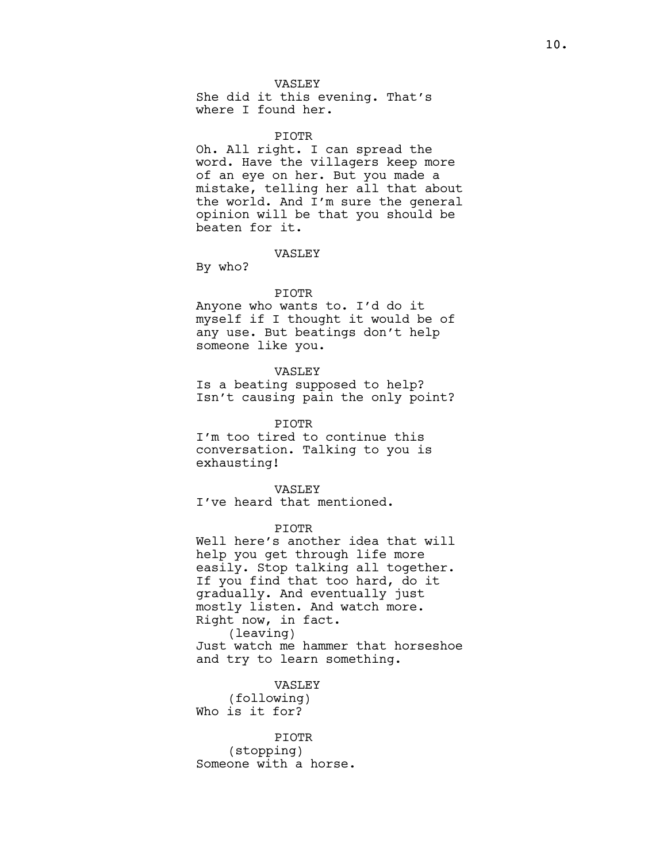VASLEY She did it this evening. That's where I found her.

#### PIOTR

Oh. All right. I can spread the word. Have the villagers keep more of an eye on her. But you made a mistake, telling her all that about the world. And I'm sure the general opinion will be that you should be beaten for it.

## VASLEY

By who?

#### PIOTR

Anyone who wants to. I'd do it myself if I thought it would be of any use. But beatings don't help someone like you.

## VASLEY

Is a beating supposed to help? Isn't causing pain the only point?

## PIOTR

I'm too tired to continue this conversation. Talking to you is exhausting!

#### VASLEY

I've heard that mentioned.

## PIOTR

Well here's another idea that will help you get through life more easily. Stop talking all together. If you find that too hard, do it gradually. And eventually just mostly listen. And watch more. Right now, in fact. (leaving) Just watch me hammer that horseshoe and try to learn something.

### VASLEY

(following) Who is it for?

## PIOTR

(stopping) Someone with a horse.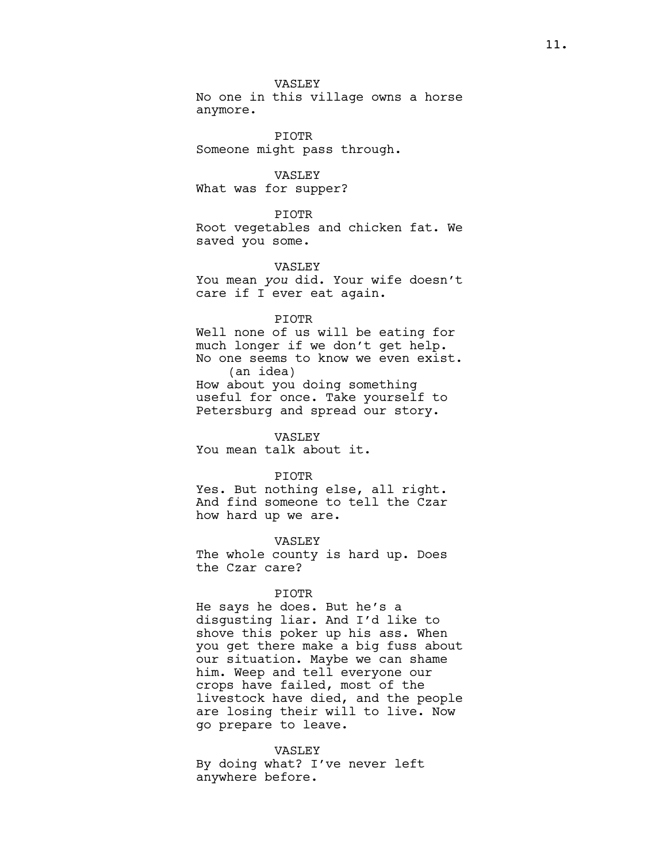## VASLEY

No one in this village owns a horse anymore.

PIOTR Someone might pass through.

VASLEY

What was for supper?

PIOTR

Root vegetables and chicken fat. We saved you some.

VASLEY

You mean you did. Your wife doesn't care if I ever eat again.

#### PIOTR

Well none of us will be eating for much longer if we don't get help. No one seems to know we even exist. (an idea) How about you doing something useful for once. Take yourself to Petersburg and spread our story.

VASLEY You mean talk about it.

PIOTR

Yes. But nothing else, all right. And find someone to tell the Czar how hard up we are.

VASLEY

The whole county is hard up. Does the Czar care?

### PIOTR

He says he does. But he's a disgusting liar. And I'd like to shove this poker up his ass. When you get there make a big fuss about our situation. Maybe we can shame him. Weep and tell everyone our crops have failed, most of the livestock have died, and the people are losing their will to live. Now go prepare to leave.

VASLEY By doing what? I've never left anywhere before.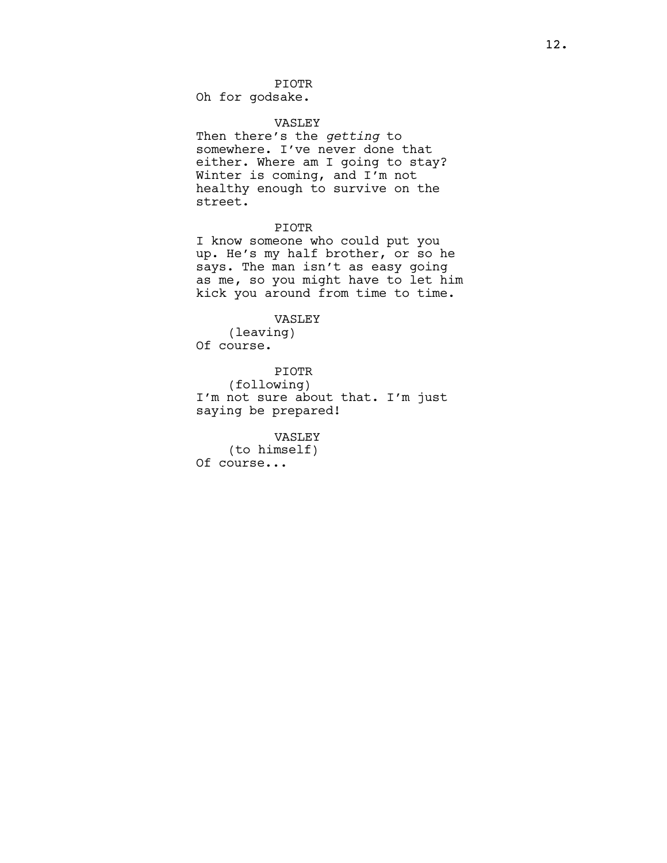Oh for godsake.

## VASLEY

Then there's the getting to somewhere. I've never done that either. Where am I going to stay? Winter is coming, and I'm not healthy enough to survive on the street.

## PIOTR

I know someone who could put you up. He's my half brother, or so he says. The man isn't as easy going as me, so you might have to let him kick you around from time to time.

#### VASLEY

(leaving) Of course.

PIOTR (following) I'm not sure about that. I'm just saying be prepared!

#### VASLEY

(to himself) Of course...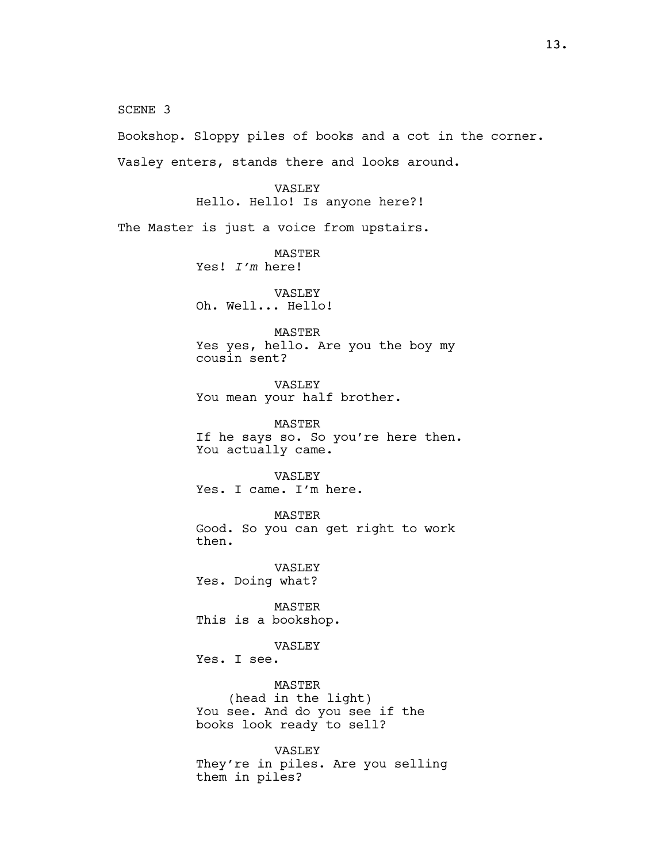SCENE 3

Bookshop. Sloppy piles of books and a cot in the corner. Vasley enters, stands there and looks around.

> VASLEY Hello. Hello! Is anyone here?!

The Master is just a voice from upstairs.

MASTER Yes! I'm here!

VASLEY Oh. Well... Hello!

#### MASTER

Yes yes, hello. Are you the boy my cousin sent?

VASLEY You mean your half brother.

MASTER If he says so. So you're here then. You actually came.

VASLEY Yes. I came. I'm here.

MASTER Good. So you can get right to work then.

VASLEY Yes. Doing what?

MASTER This is a bookshop.

## VASLEY

Yes. I see.

MASTER

(head in the light) You see. And do you see if the books look ready to sell?

VASLEY They're in piles. Are you selling them in piles?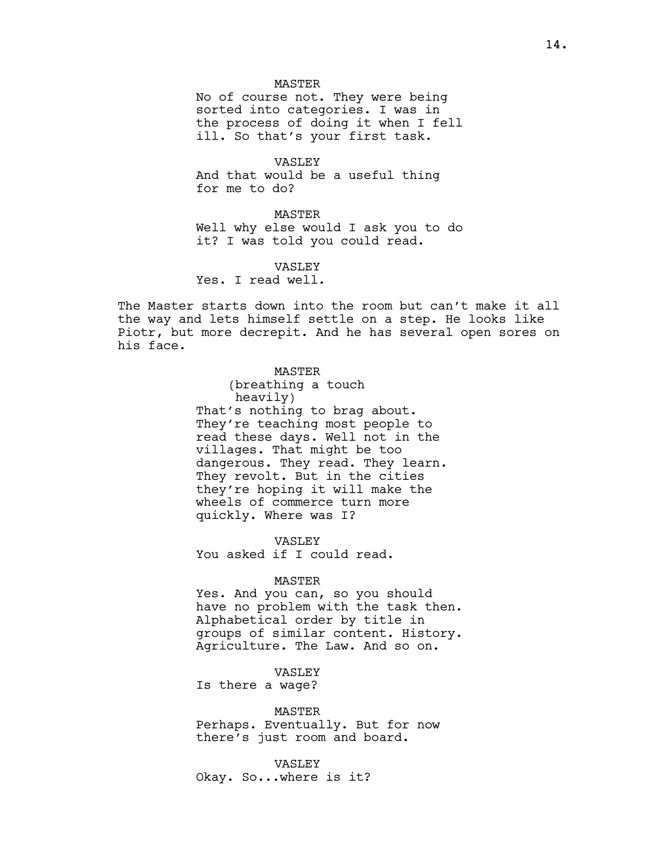#### MASTER

No of course not. They were being sorted into categories. I was in the process of doing it when I fell ill. So that's your first task.

VASLEY

And that would be a useful thing for me to do?

#### **MASTER**

Well why else would I ask you to do it? I was told you could read.

VASLEY

Yes. I read well.

The Master starts down into the room but can't make it all the way and lets himself settle on a step. He looks like Piotr, but more decrepit. And he has several open sores on his face.

## MASTER

(breathing a touch heavily) That's nothing to brag about. They're teaching most people to read these days. Well not in the villages. That might be too dangerous. They read. They learn. They revolt. But in the cities they're hoping it will make the wheels of commerce turn more quickly. Where was I?

VASLEY You asked if I could read.

## MASTER

Yes. And you can, so you should have no problem with the task then. Alphabetical order by title in groups of similar content. History. Agriculture. The Law. And so on.

## VASLEY

Is there a wage?

#### MASTER

Perhaps. Eventually. But for now there's just room and board.

## VASLEY

Okay. So...where is it?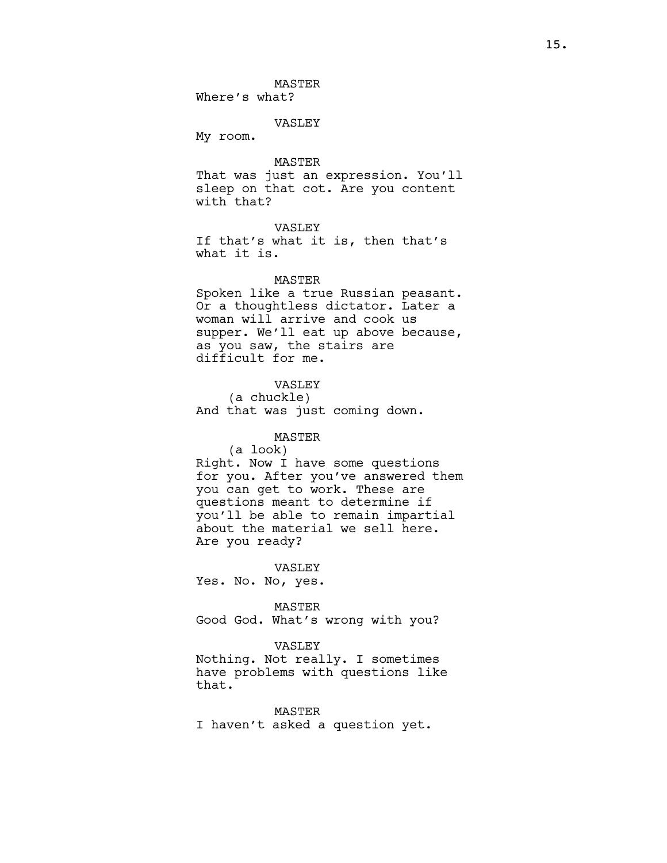#### VASLEY

My room.

#### MASTER

That was just an expression. You'll sleep on that cot. Are you content with that?

## VASLEY

If that's what it is, then that's what it is.

### **MASTER**

Spoken like a true Russian peasant. Or a thoughtless dictator. Later a woman will arrive and cook us supper. We'll eat up above because, as you saw, the stairs are difficult for me.

## VASLEY

(a chuckle) And that was just coming down.

## MASTER

(a look) Right. Now I have some questions for you. After you've answered them you can get to work. These are questions meant to determine if you'll be able to remain impartial about the material we sell here. Are you ready?

VASLEY

Yes. No. No, yes.

#### MASTER

Good God. What's wrong with you?

#### VASLEY

Nothing. Not really. I sometimes have problems with questions like that.

MASTER I haven't asked a question yet.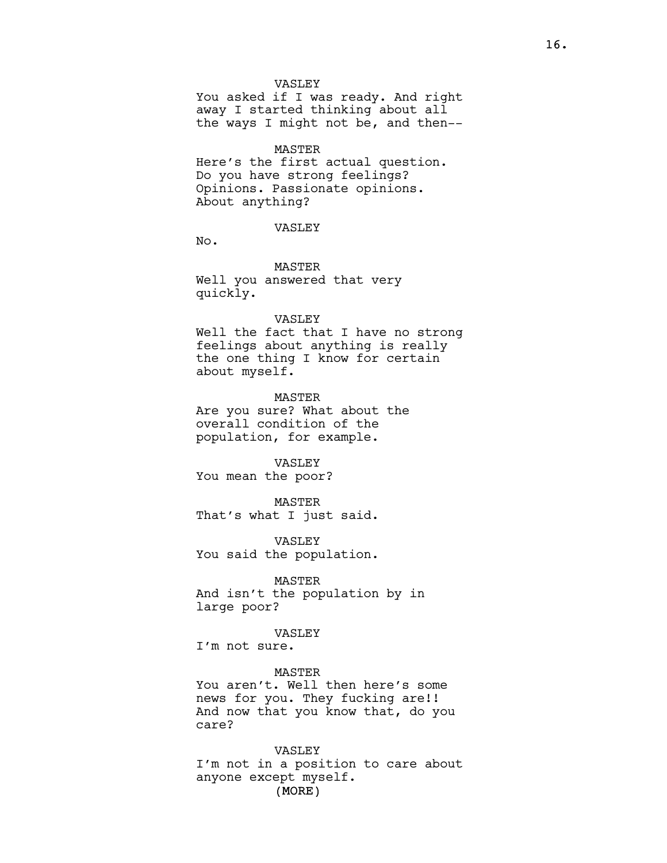#### VASLEY

You asked if I was ready. And right away I started thinking about all the ways I might not be, and then--

#### MASTER

Here's the first actual question. Do you have strong feelings? Opinions. Passionate opinions. About anything?

#### VASLEY

No.

MASTER Well you answered that very quickly.

#### VASLEY

Well the fact that I have no strong feelings about anything is really the one thing I know for certain about myself.

#### MASTER

Are you sure? What about the overall condition of the population, for example.

#### VASLEY

You mean the poor?

MASTER That's what I just said.

VASLEY You said the population.

### MASTER

And isn't the population by in large poor?

### VASLEY

I'm not sure.

MASTER You aren't. Well then here's some news for you. They fucking are!! And now that you know that, do you care?

# VASLEY I'm not in a position to care about anyone except myself.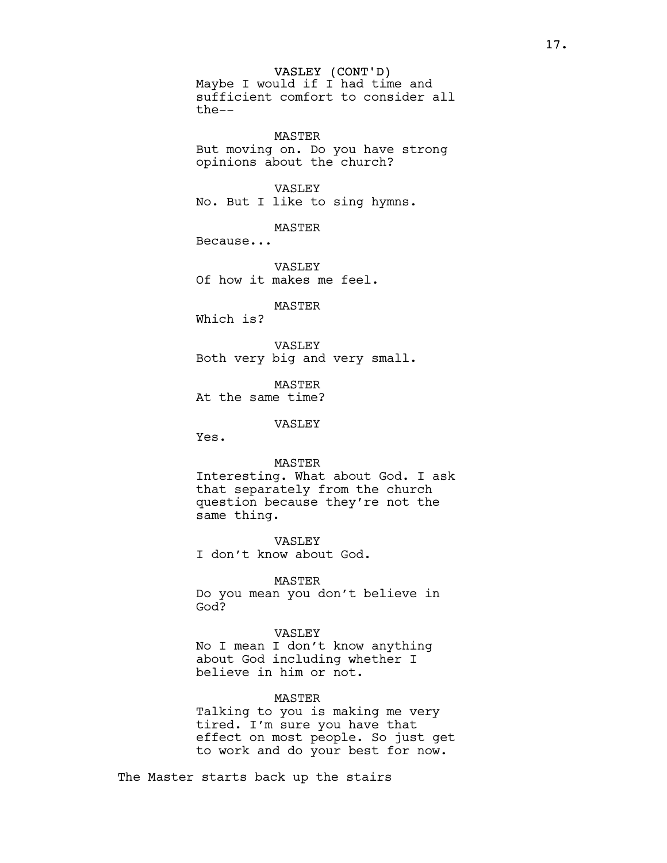VASLEY (CONT'D) Maybe I would if I had time and sufficient comfort to consider all the--

MASTER But moving on. Do you have strong opinions about the church?

VASLEY No. But I like to sing hymns.

MASTER

Because...

VASLEY Of how it makes me feel.

MASTER

Which is?

VASLEY Both very big and very small.

MASTER At the same time?

VASLEY

Yes.

MASTER

Interesting. What about God. I ask that separately from the church question because they're not the same thing.

VASLEY I don't know about God.

MASTER Do you mean you don't believe in God?

VASLEY

No I mean I don't know anything about God including whether I believe in him or not.

## MASTER

Talking to you is making me very tired. I'm sure you have that effect on most people. So just get to work and do your best for now.

The Master starts back up the stairs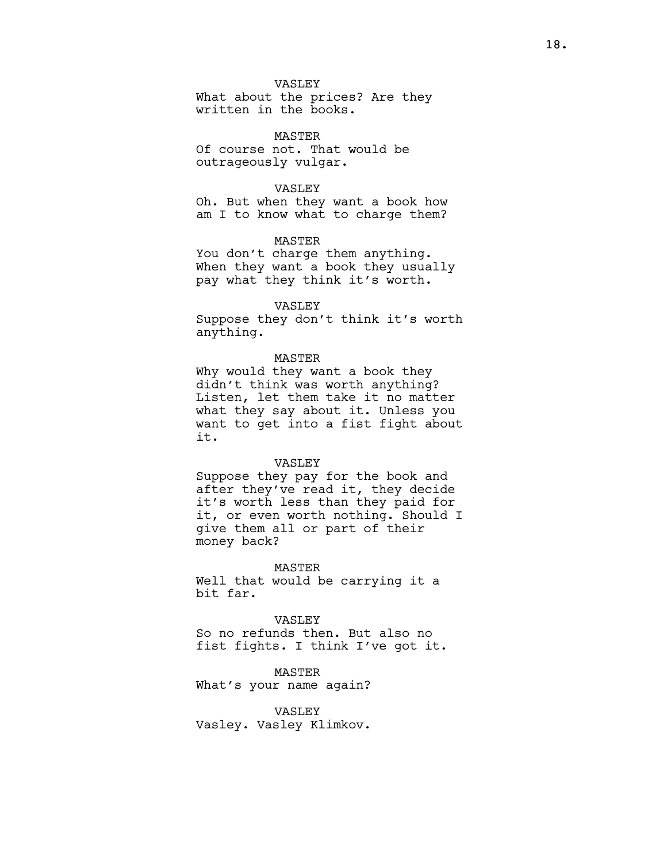## VASLEY

What about the prices? Are they written in the books.

MASTER Of course not. That would be outrageously vulgar.

## VASLEY

Oh. But when they want a book how am I to know what to charge them?

## MASTER

You don't charge them anything. When they want a book they usually pay what they think it's worth.

#### VASLEY

Suppose they don't think it's worth anything.

### MASTER

Why would they want a book they didn't think was worth anything? Listen, let them take it no matter what they say about it. Unless you want to get into a fist fight about it.

#### VASLEY

Suppose they pay for the book and after they've read it, they decide it's worth less than they paid for it, or even worth nothing. Should I give them all or part of their money back?

#### MASTER

Well that would be carrying it a bit far.

## VASLEY

So no refunds then. But also no fist fights. I think I've got it.

## MASTER

What's your name again?

## VASLEY

Vasley. Vasley Klimkov.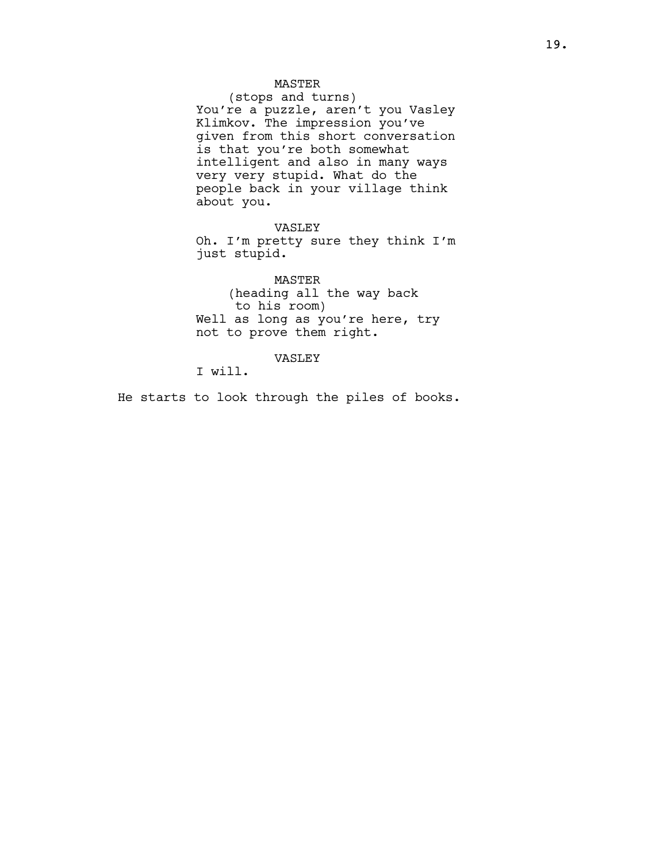## MASTER

(stops and turns) You're a puzzle, aren't you Vasley Klimkov. The impression you've given from this short conversation is that you're both somewhat intelligent and also in many ways very very stupid. What do the people back in your village think about you.

VASLEY

Oh. I'm pretty sure they think I'm just stupid.

MASTER (heading all the way back to his room) Well as long as you're here, try not to prove them right.

VASLEY

I will.

He starts to look through the piles of books.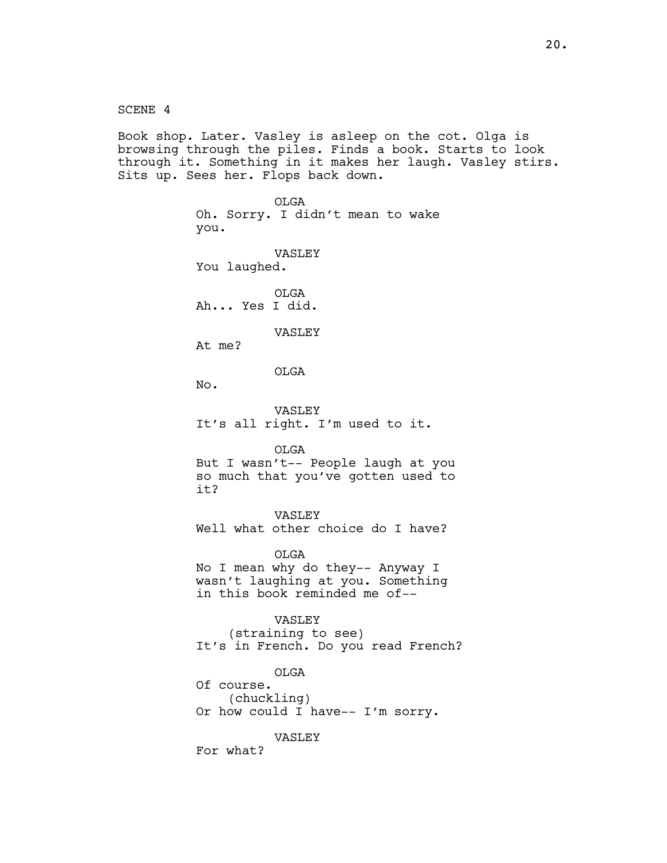SCENE 4 Book shop. Later. Vasley is asleep on the cot. Olga is browsing through the piles. Finds a book. Starts to look through it. Something in it makes her laugh. Vasley stirs. Sits up. Sees her. Flops back down. OLGA Oh. Sorry. I didn't mean to wake you. VASLEY You laughed. OLGA Ah... Yes I did. VASLEY At me? OLGA No. VASLEY It's all right. I'm used to it. OLGA But I wasn't-- People laugh at you so much that you've gotten used to it? VASLEY Well what other choice do I have? OLGA No I mean why do they-- Anyway I wasn't laughing at you. Something in this book reminded me of-- VASLEY (straining to see) It's in French. Do you read French? OLGA Of course. (chuckling) Or how could I have-- I'm sorry. VASLEY For what?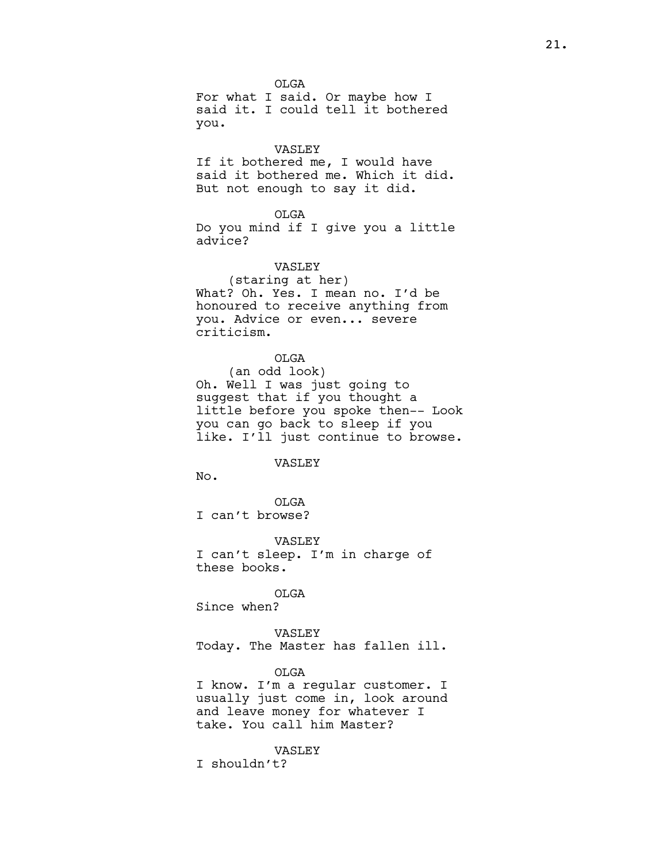OLGA For what I said. Or maybe how I said it. I could tell it bothered you.

#### VASLEY

If it bothered me, I would have said it bothered me. Which it did. But not enough to say it did.

#### OLGA

Do you mind if I give you a little advice?

## VASLEY

(staring at her) What? Oh. Yes. I mean no. I'd be honoured to receive anything from you. Advice or even... severe criticism.

OLGA

(an odd look) Oh. Well I was just going to suggest that if you thought a little before you spoke then-- Look you can go back to sleep if you like. I'll just continue to browse.

#### VASLEY

No.

OLGA I can't browse?

VASLEY I can't sleep. I'm in charge of these books.

OLGA Since when?

VASLEY Today. The Master has fallen ill.

## OLGA

I know. I'm a regular customer. I usually just come in, look around and leave money for whatever I take. You call him Master?

## VASLEY

I shouldn't?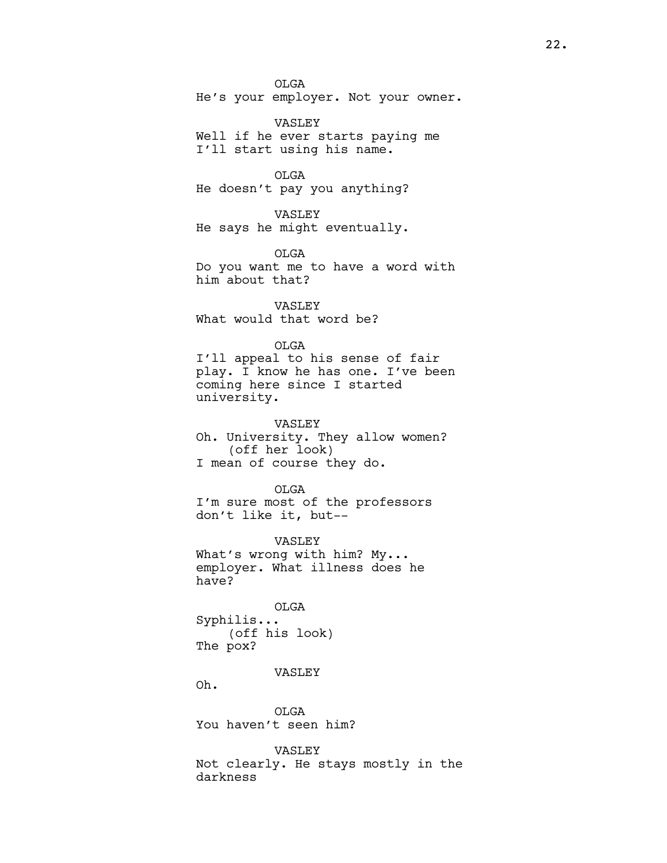OLGA He's your employer. Not your owner.

VASLEY Well if he ever starts paying me I'll start using his name.

OLGA

He doesn't pay you anything?

VASLEY He says he might eventually.

OLGA

Do you want me to have a word with him about that?

VASLEY What would that word be?

OLGA I'll appeal to his sense of fair play. I know he has one. I've been

coming here since I started university.

VASLEY

Oh. University. They allow women? (off her look) I mean of course they do.

OLGA I'm sure most of the professors don't like it, but--

VASLEY What's wrong with him? My... employer. What illness does he have?

OLGA Syphilis... (off his look) The pox?

## VASLEY

Oh.

OLGA You haven't seen him?

VASLEY Not clearly. He stays mostly in the darkness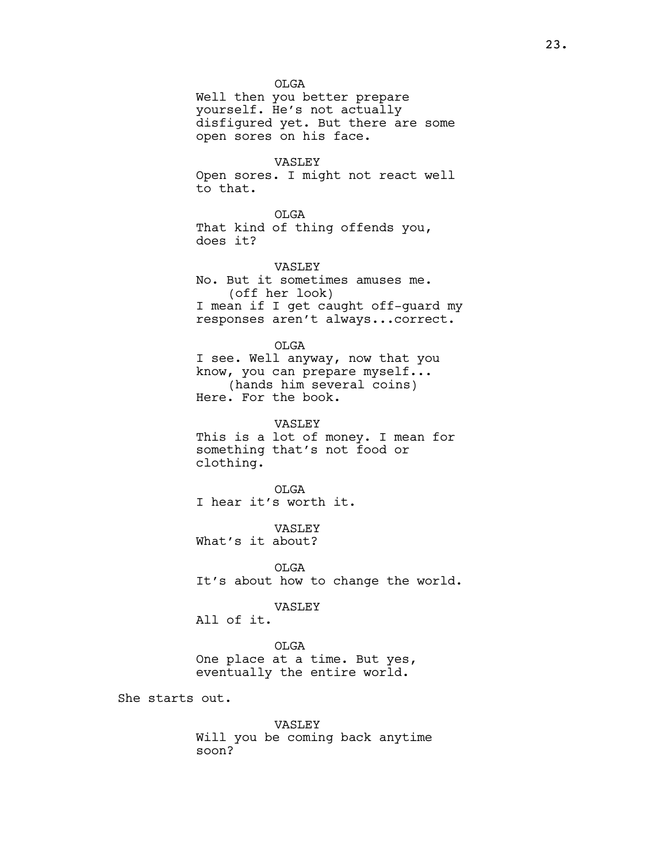OLGA

Well then you better prepare yourself. He's not actually disfigured yet. But there are some open sores on his face.

#### VASLEY

Open sores. I might not react well to that.

OLGA That kind of thing offends you, does it?

VASLEY No. But it sometimes amuses me. (off her look) I mean if I get caught off-guard my responses aren't always...correct.

OLGA I see. Well anyway, now that you know, you can prepare myself... (hands him several coins) Here. For the book.

VASLEY This is a lot of money. I mean for something that's not food or clothing.

OLGA I hear it's worth it.

VASLEY What's it about?

OLGA It's about how to change the world.

VASLEY

All of it.

OLGA One place at a time. But yes, eventually the entire world.

She starts out.

VASLEY Will you be coming back anytime soon?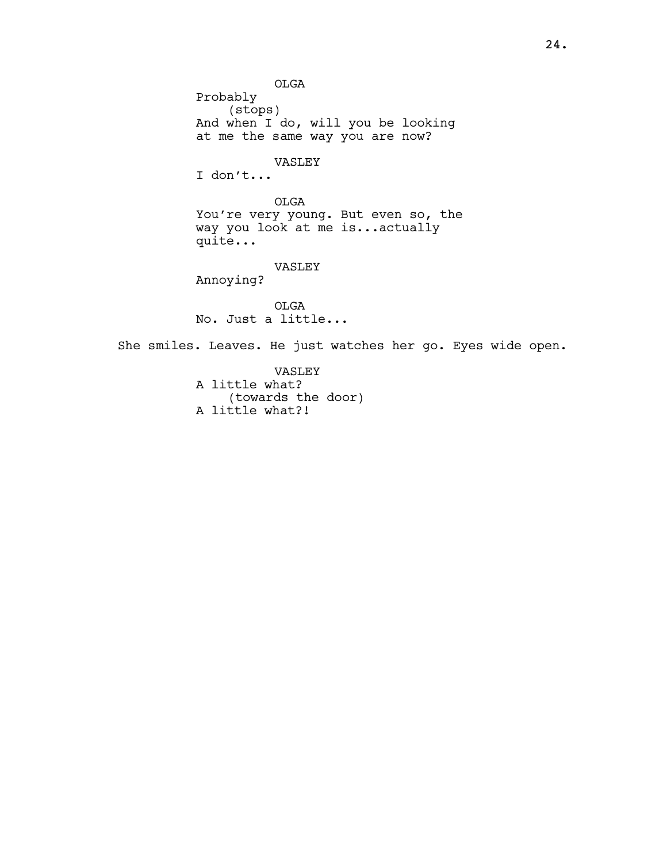OLGA Probably (stops) And when I do, will you be looking at me the same way you are now? VASLEY I don't... OLGA You're very young. But even so, the way you look at me is...actually quite... VASLEY Annoying? OLGA No. Just a little... She smiles. Leaves. He just watches her go. Eyes wide open.

> VASLEY A little what? (towards the door) A little what?!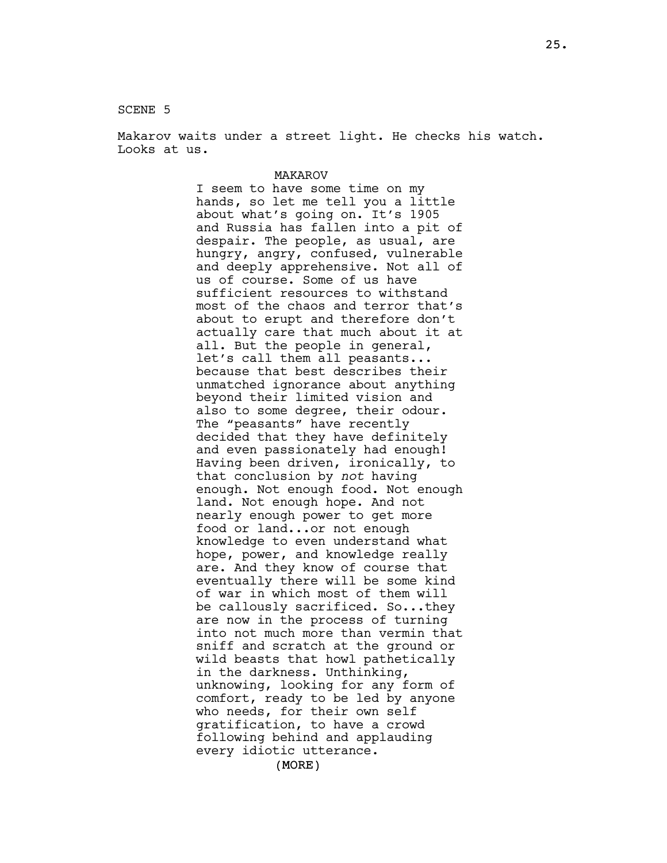SCENE 5

Makarov waits under a street light. He checks his watch. Looks at us.

## MAKAROV I seem to have some time on my hands, so let me tell you a little about what's going on. It's 1905 and Russia has fallen into a pit of despair. The people, as usual, are hungry, angry, confused, vulnerable and deeply apprehensive. Not all of us of course. Some of us have sufficient resources to withstand most of the chaos and terror that's about to erupt and therefore don't actually care that much about it at all. But the people in general, let's call them all peasants... because that best describes their unmatched ignorance about anything beyond their limited vision and also to some degree, their odour. The "peasants" have recently decided that they have definitely and even passionately had enough! Having been driven, ironically, to that conclusion by not having enough. Not enough food. Not enough land. Not enough hope. And not nearly enough power to get more food or land...or not enough knowledge to even understand what hope, power, and knowledge really are. And they know of course that eventually there will be some kind of war in which most of them will be callously sacrificed. So...they are now in the process of turning into not much more than vermin that sniff and scratch at the ground or wild beasts that howl pathetically in the darkness. Unthinking, unknowing, looking for any form of comfort, ready to be led by anyone who needs, for their own self gratification, to have a crowd following behind and applauding every idiotic utterance.

(MORE)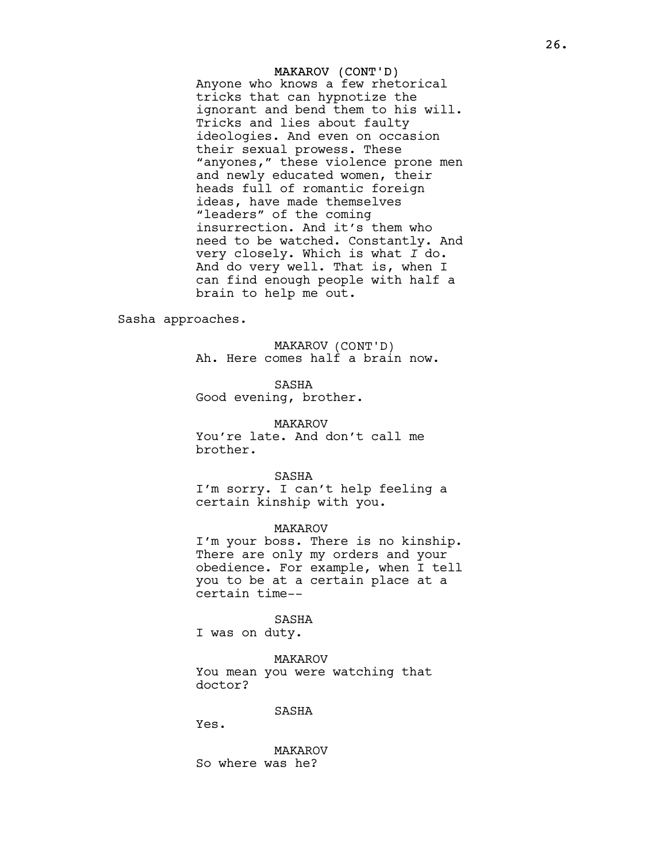MAKAROV (CONT'D) Anyone who knows a few rhetorical tricks that can hypnotize the ignorant and bend them to his will. Tricks and lies about faulty ideologies. And even on occasion their sexual prowess. These "anyones," these violence prone men and newly educated women, their heads full of romantic foreign ideas, have made themselves "leaders" of the coming insurrection. And it's them who need to be watched. Constantly. And very closely. Which is what I do. And do very well. That is, when I can find enough people with half a brain to help me out.

Sasha approaches.

MAKAROV (CONT'D) Ah. Here comes half a brain now.

SASHA Good evening, brother.

MAKAROV You're late. And don't call me brother.

SASHA I'm sorry. I can't help feeling a certain kinship with you.

MAKAROV I'm your boss. There is no kinship. There are only my orders and your obedience. For example, when I tell you to be at a certain place at a certain time--

SASHA I was on duty.

MAKAROV You mean you were watching that doctor?

SASHA

Yes.

MAKAROV So where was he?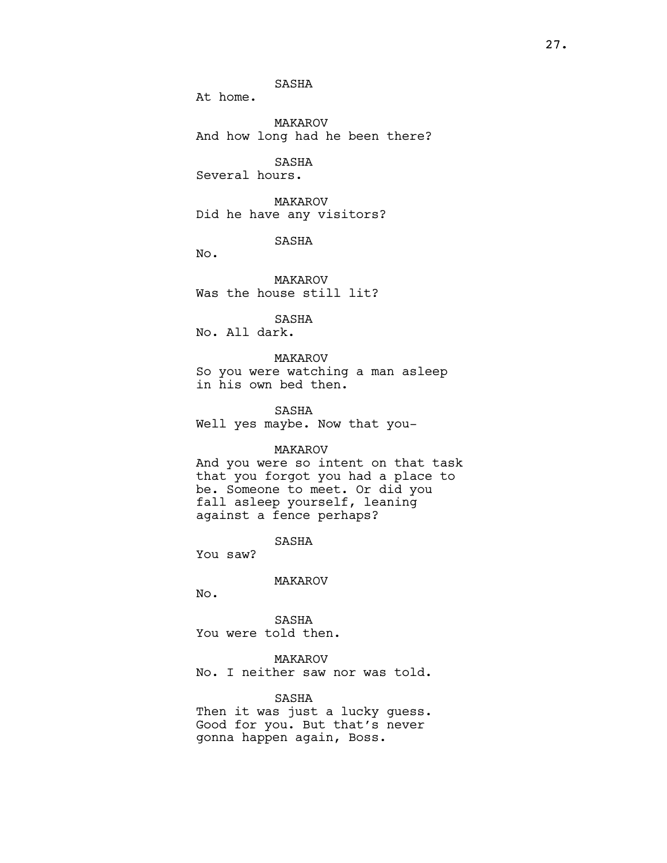SASHA

At home.

MAKAROV And how long had he been there?

SASHA Several hours.

MAKAROV Did he have any visitors?

SASHA

No.

MAKAROV Was the house still lit?

SASHA

No. All dark.

MAKAROV So you were watching a man asleep in his own bed then.

SASHA Well yes maybe. Now that you-

### MAKAROV

And you were so intent on that task that you forgot you had a place to be. Someone to meet. Or did you fall asleep yourself, leaning against a fence perhaps?

SASHA

You saw?

MAKAROV

No.

SASHA You were told then.

MAKAROV No. I neither saw nor was told.

## SASHA

Then it was just a lucky guess. Good for you. But that's never gonna happen again, Boss.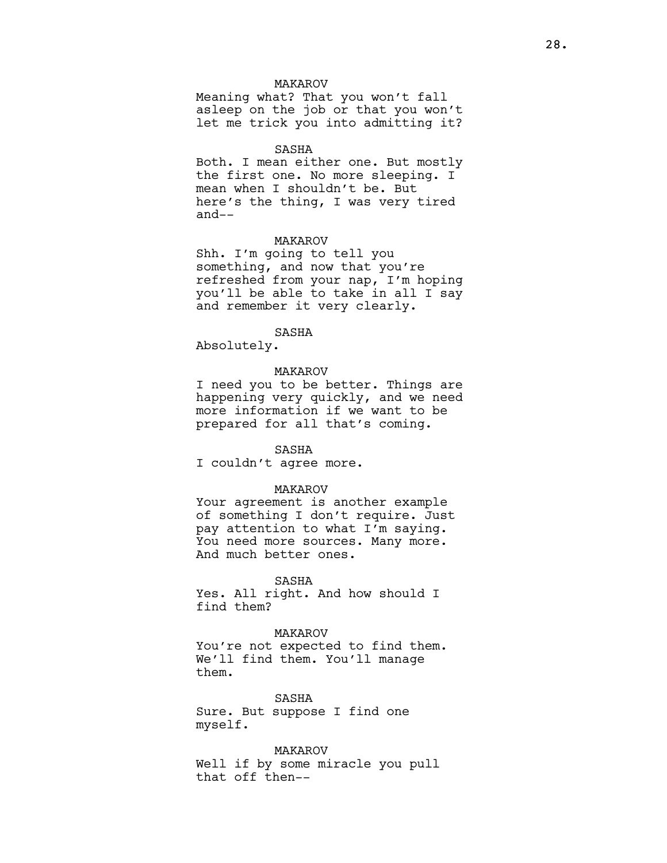### MAKAROV

Meaning what? That you won't fall asleep on the job or that you won't let me trick you into admitting it?

#### SASHA

Both. I mean either one. But mostly the first one. No more sleeping. I mean when I shouldn't be. But here's the thing, I was very tired and--

### MAKAROV

Shh. I'm going to tell you something, and now that you're refreshed from your nap, I'm hoping you'll be able to take in all I say and remember it very clearly.

## SASHA

Absolutely.

## MAKAROV

I need you to be better. Things are happening very quickly, and we need more information if we want to be prepared for all that's coming.

#### SASHA

I couldn't agree more.

#### MAKAROV

Your agreement is another example of something I don't require. Just pay attention to what I'm saying. You need more sources. Many more. And much better ones.

SASHA

Yes. All right. And how should I find them?

#### MAKAROV

You're not expected to find them. We'll find them. You'll manage them.

SASHA Sure. But suppose I find one myself.

MAKAROV Well if by some miracle you pull that off then--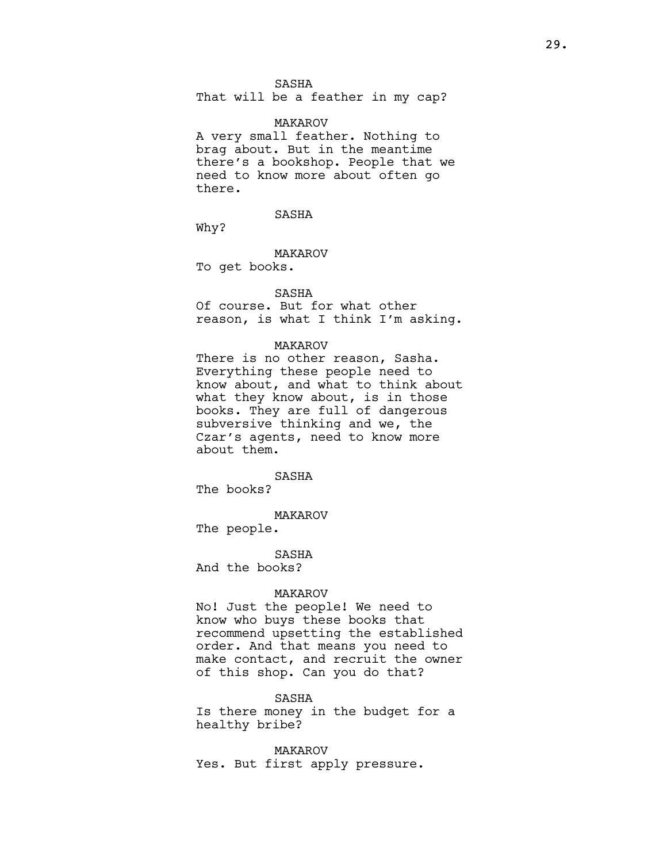### SASHA

That will be a feather in my cap?

#### MAKAROV

A very small feather. Nothing to brag about. But in the meantime there's a bookshop. People that we need to know more about often go there.

SASHA

Why?

### MAKAROV

To get books.

## SASHA

Of course. But for what other reason, is what I think I'm asking.

#### MAKAROV

There is no other reason, Sasha. Everything these people need to know about, and what to think about what they know about, is in those books. They are full of dangerous subversive thinking and we, the Czar's agents, need to know more about them.

## SASHA

The books?

MAKAROV

The people.

SASHA

And the books?

## MAKAROV

No! Just the people! We need to know who buys these books that recommend upsetting the established order. And that means you need to make contact, and recruit the owner of this shop. Can you do that?

#### SASHA

Is there money in the budget for a healthy bribe?

MAKAROV Yes. But first apply pressure.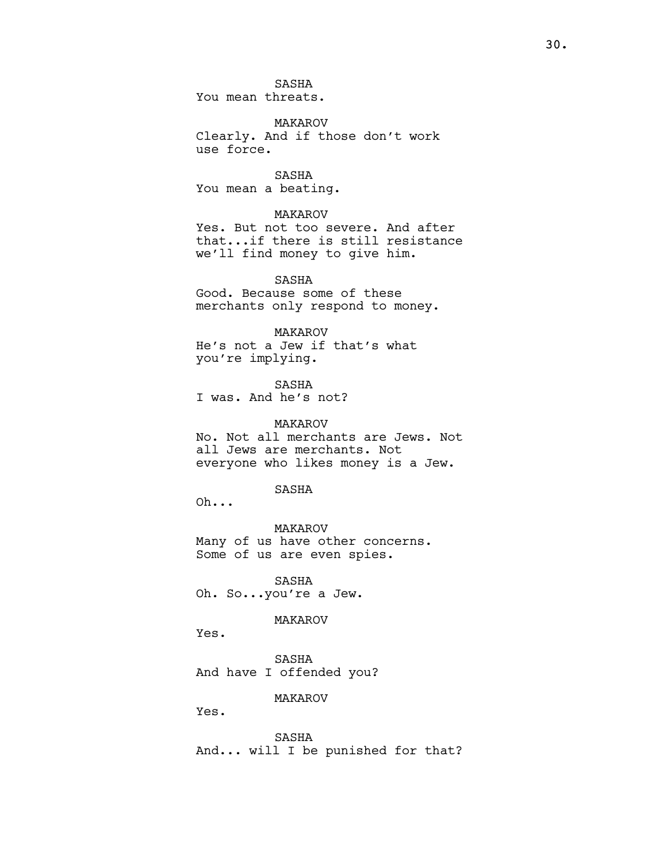SASHA You mean threats.

MAKAROV Clearly. And if those don't work use force.

SASHA You mean a beating.

#### MAKAROV

Yes. But not too severe. And after that...if there is still resistance we'll find money to give him.

SASHA Good. Because some of these merchants only respond to money.

## MAKAROV

He's not a Jew if that's what you're implying.

SASHA I was. And he's not?

## MAKAROV

No. Not all merchants are Jews. Not all Jews are merchants. Not everyone who likes money is a Jew.

## SASHA

Oh...

MAKAROV Many of us have other concerns. Some of us are even spies.

SASHA Oh. So...you're a Jew.

### MAKAROV

Yes.

SASHA And have I offended you?

## MAKAROV

Yes.

SASHA And... will I be punished for that?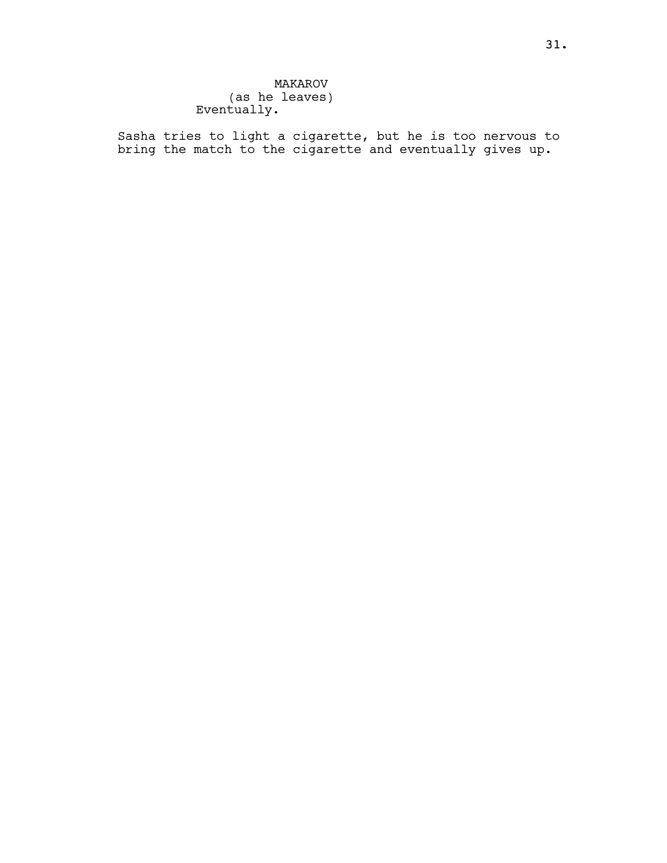## MAKAROV (as he leaves) Eventually.

Sasha tries to light a cigarette, but he is too nervous to bring the match to the cigarette and eventually gives up.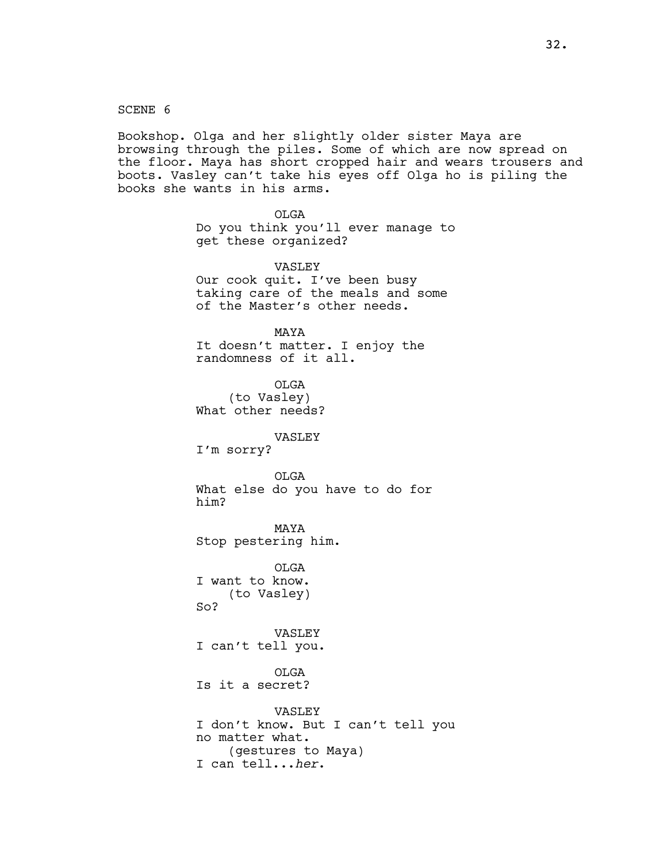SCENE 6

Bookshop. Olga and her slightly older sister Maya are browsing through the piles. Some of which are now spread on the floor. Maya has short cropped hair and wears trousers and boots. Vasley can't take his eyes off Olga ho is piling the books she wants in his arms.

> OLGA Do you think you'll ever manage to get these organized?

VASLEY Our cook quit. I've been busy taking care of the meals and some of the Master's other needs.

MAYA It doesn't matter. I enjoy the randomness of it all.

OLGA (to Vasley) What other needs?

VASLEY

I'm sorry?

OLGA What else do you have to do for him?

MAYA Stop pestering him.

OLGA I want to know. (to Vasley) So?

VASLEY I can't tell you.

OLGA Is it a secret?

VASLEY I don't know. But I can't tell you no matter what. (gestures to Maya) I can tell...her.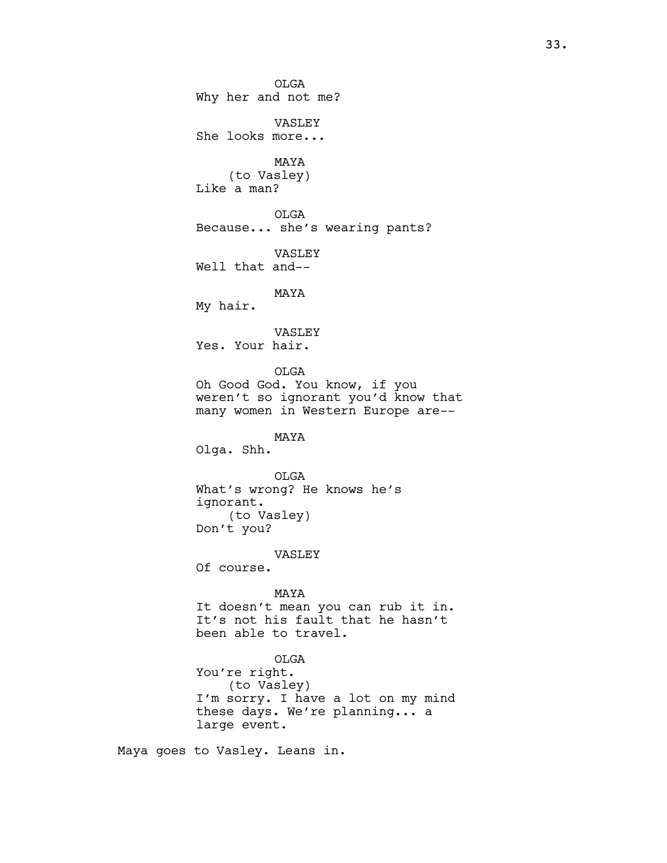OLGA Why her and not me? VASLEY She looks more... MAYA (to Vasley) Like a man? OLGA Because... she's wearing pants? VASLEY Well that and-- MAYA My hair. VASLEY Yes. Your hair. OLGA Oh Good God. You know, if you weren't so ignorant you'd know that many women in Western Europe are-- MAYA Olga. Shh. OLGA What's wrong? He knows he's ignorant. (to Vasley) Don't you? VASLEY Of course. MAYA It doesn't mean you can rub it in. It's not his fault that he hasn't been able to travel. OLGA You're right. (to Vasley) I'm sorry. I have a lot on my mind these days. We're planning... a large event.

Maya goes to Vasley. Leans in.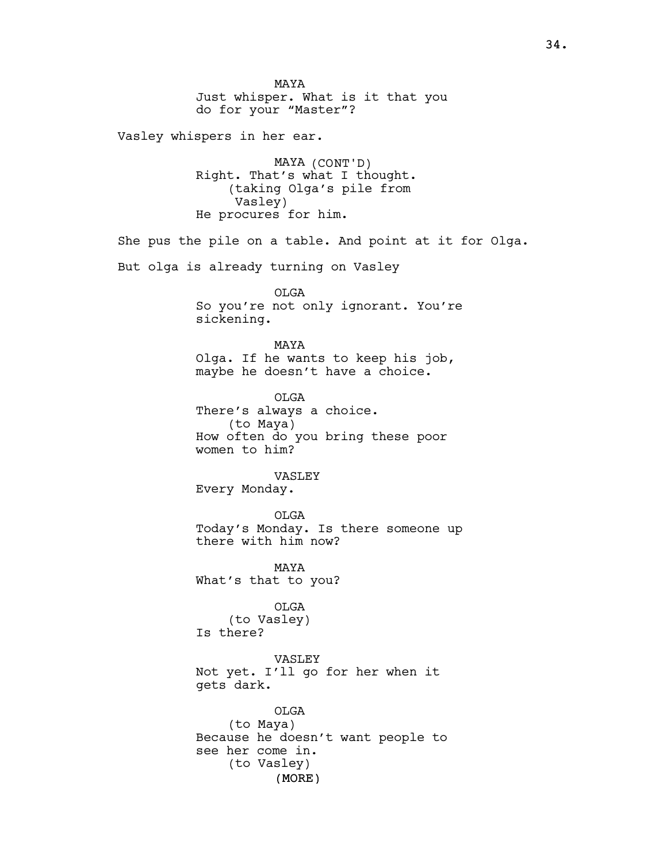(MORE) MAYA Just whisper. What is it that you do for your "Master"? Vasley whispers in her ear. MAYA (CONT'D) Right. That's what I thought. (taking Olga's pile from Vasley) He procures for him. She pus the pile on a table. And point at it for Olga. But olga is already turning on Vasley OLGA So you're not only ignorant. You're sickening. MAYA Olga. If he wants to keep his job, maybe he doesn't have a choice. OLGA There's always a choice. (to Maya) How often do you bring these poor women to him? VASLEY Every Monday. OLGA Today's Monday. Is there someone up there with him now? MAYA What's that to you? OLGA (to Vasley) Is there? VASLEY Not yet. I'll go for her when it gets dark. OLGA (to Maya) Because he doesn't want people to see her come in. (to Vasley)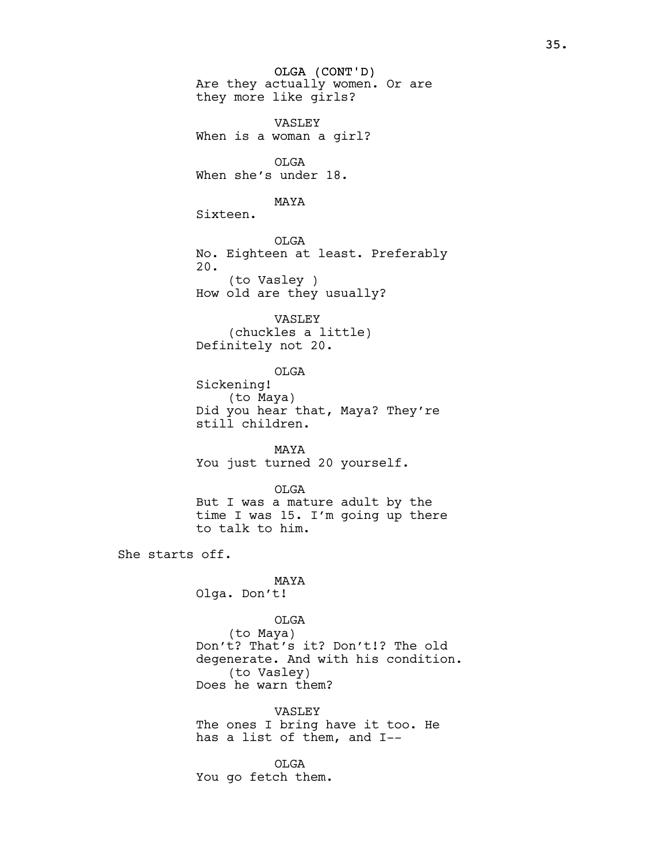OLGA (CONT'D) Are they actually women. Or are they more like girls? VASLEY When is a woman a girl? OLGA When she's under 18. MAYA Sixteen. OLGA No. Eighteen at least. Preferably 20. (to Vasley ) How old are they usually? VASLEY (chuckles a little) Definitely not 20. OLGA Sickening! (to Maya) Did you hear that, Maya? They're still children. MAYA You just turned 20 yourself. OLGA But I was a mature adult by the time I was 15. I'm going up there to talk to him. She starts off. MAYA Olga. Don't! OLGA (to Maya) Don't? That's it? Don't!? The old degenerate. And with his condition. (to Vasley) Does he warn them? VASLEY The ones I bring have it too. He has a list of them, and I-- OLGA You go fetch them.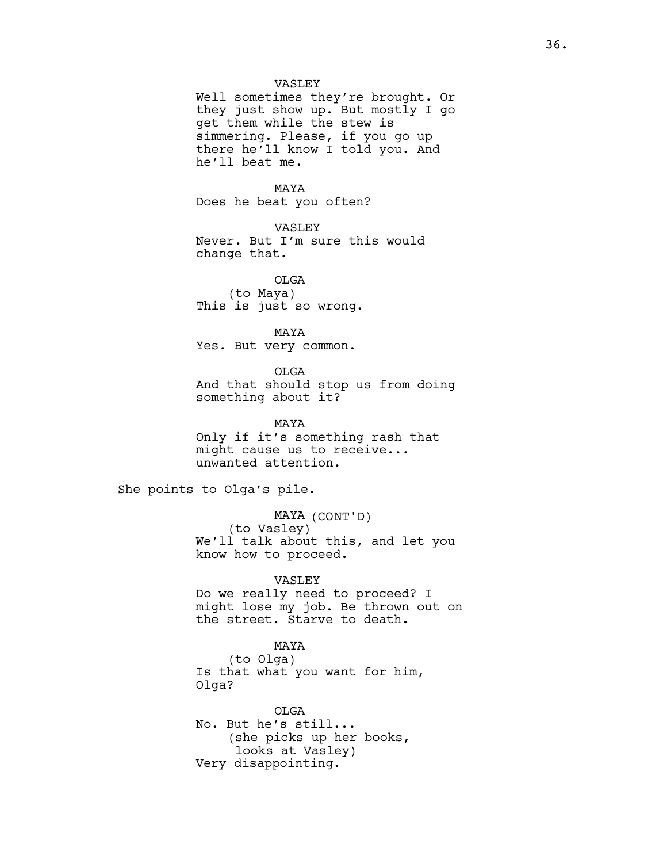### VASLEY

Well sometimes they're brought. Or they just show up. But mostly I go get them while the stew is simmering. Please, if you go up there he'll know I told you. And he'll beat me.

# MAYA

Does he beat you often?

# VASLEY

Never. But I'm sure this would change that.

OLGA (to Maya) This is just so wrong.

MAYA Yes. But very common.

OLGA

And that should stop us from doing something about it?

MAYA Only if it's something rash that might cause us to receive... unwanted attention.

She points to Olga's pile.

MAYA (CONT'D) (to Vasley) We'll talk about this, and let you know how to proceed.

VASLEY Do we really need to proceed? I

might lose my job. Be thrown out on the street. Starve to death.

# MAYA

(to Olga) Is that what you want for him, Olga?

OLGA No. But he's still... (she picks up her books, looks at Vasley) Very disappointing.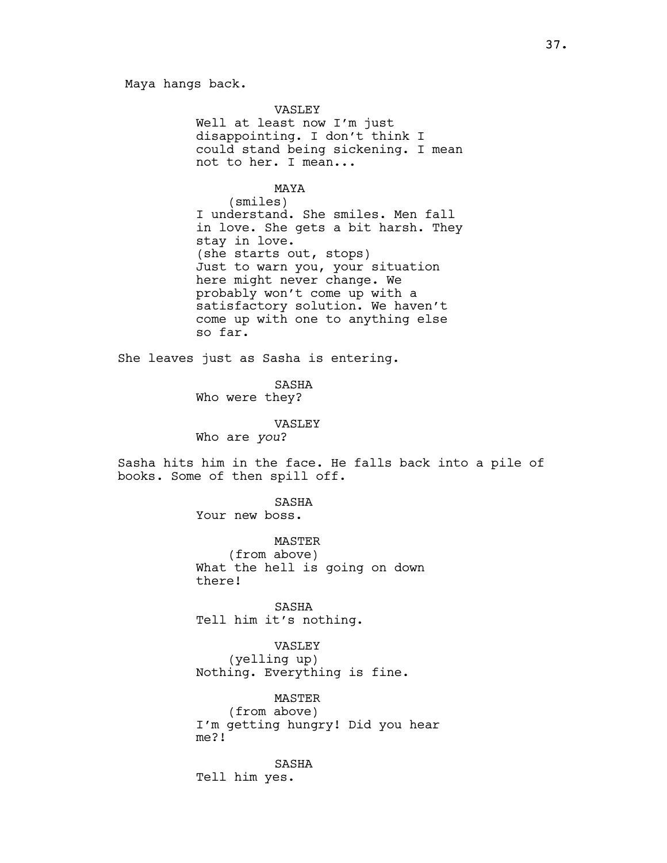Maya hangs back.

VASLEY Well at least now I'm just disappointing. I don't think I could stand being sickening. I mean not to her. I mean...

MAYA (smiles) I understand. She smiles. Men fall in love. She gets a bit harsh. They stay in love. (she starts out, stops) Just to warn you, your situation here might never change. We probably won't come up with a satisfactory solution. We haven't come up with one to anything else so far.

She leaves just as Sasha is entering.

SASHA Who were they?

VASLEY

Who are you?

Sasha hits him in the face. He falls back into a pile of books. Some of then spill off.

> SASHA Your new boss.

MASTER (from above) What the hell is going on down there!

SASHA Tell him it's nothing.

VASLEY (yelling up) Nothing. Everything is fine.

MASTER (from above) I'm getting hungry! Did you hear me?!

SASHA Tell him yes.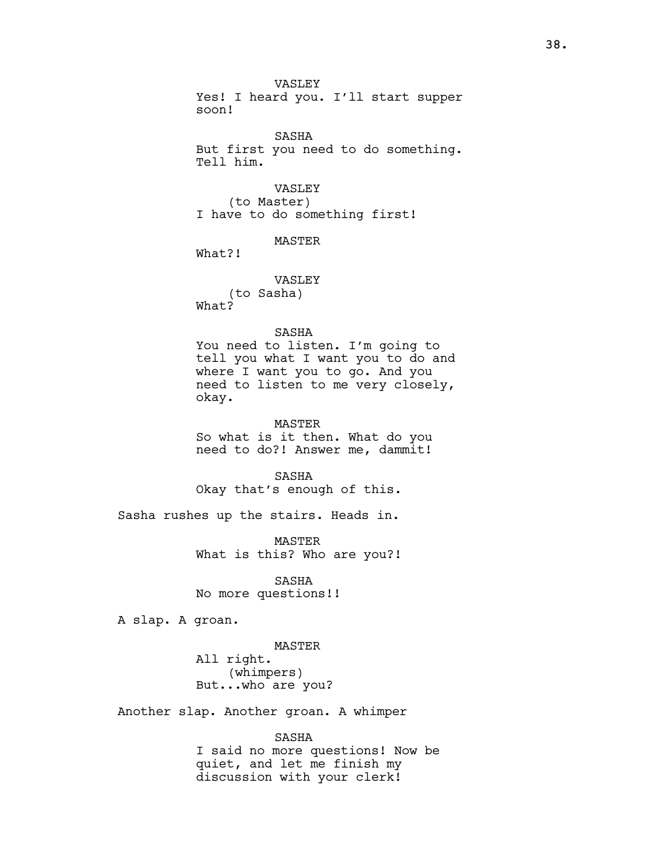VASLEY Yes! I heard you. I'll start supper soon!

SASHA But first you need to do something. Tell him.

VASLEY (to Master) I have to do something first!

MASTER

What?!

VASLEY (to Sasha) What?

# SASHA

You need to listen. I'm going to tell you what I want you to do and where I want you to go. And you need to listen to me very closely, okay.

MASTER So what is it then. What do you need to do?! Answer me, dammit!

SASHA Okay that's enough of this.

Sasha rushes up the stairs. Heads in.

MASTER What is this? Who are you?!

SASHA No more questions!!

A slap. A groan.

MASTER All right. (whimpers) But...who are you?

Another slap. Another groan. A whimper

SASHA

I said no more questions! Now be quiet, and let me finish my discussion with your clerk!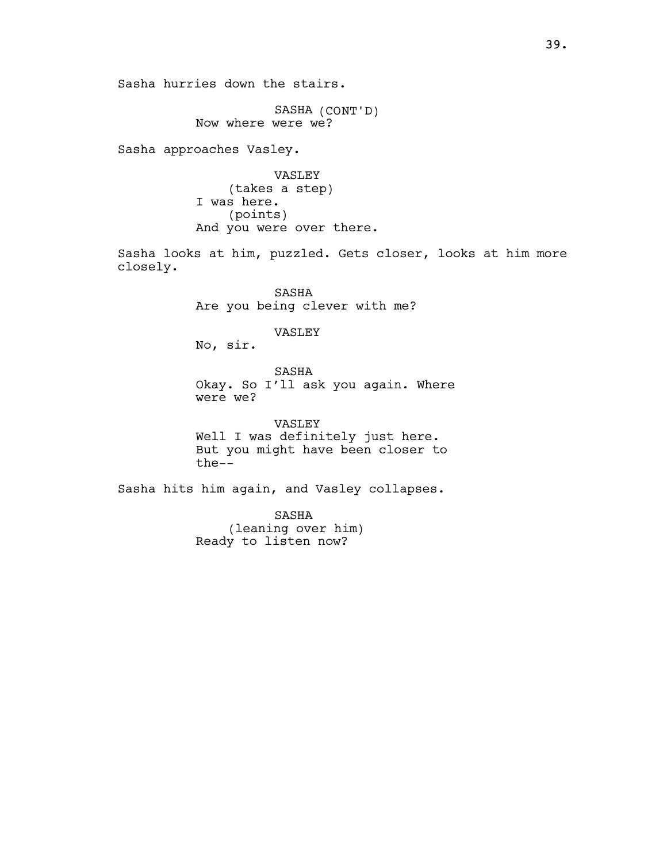Sasha hurries down the stairs.

SASHA (CONT'D) Now where were we?

Sasha approaches Vasley.

VASLEY (takes a step) I was here. (points) And you were over there.

Sasha looks at him, puzzled. Gets closer, looks at him more closely.

> SASHA Are you being clever with me?

> > VASLEY

No, sir.

SASHA Okay. So I'll ask you again. Where were we?

VASLEY Well I was definitely just here. But you might have been closer to the--

Sasha hits him again, and Vasley collapses.

SASHA (leaning over him) Ready to listen now?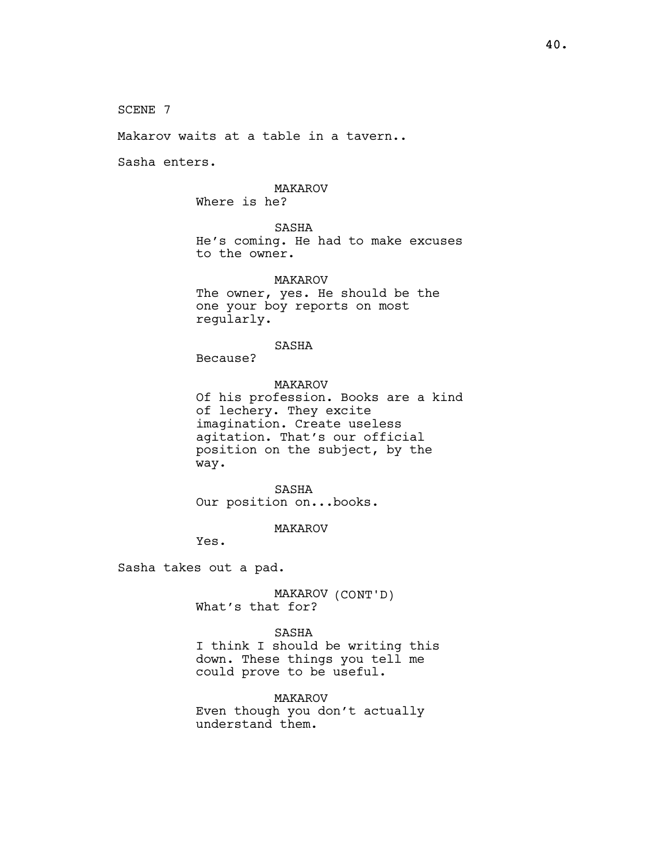SCENE 7

Makarov waits at a table in a tavern..

Sasha enters.

# MAKAROV

Where is he?

SASHA

He's coming. He had to make excuses to the owner.

MAKAROV The owner, yes. He should be the one your boy reports on most regularly.

### SASHA

Because?

MAKAROV Of his profession. Books are a kind of lechery. They excite imagination. Create useless agitation. That's our official position on the subject, by the way.

SASHA Our position on...books.

MAKAROV

Yes.

Sasha takes out a pad.

MAKAROV (CONT'D) What's that for?

SASHA I think I should be writing this down. These things you tell me could prove to be useful.

MAKAROV Even though you don't actually understand them.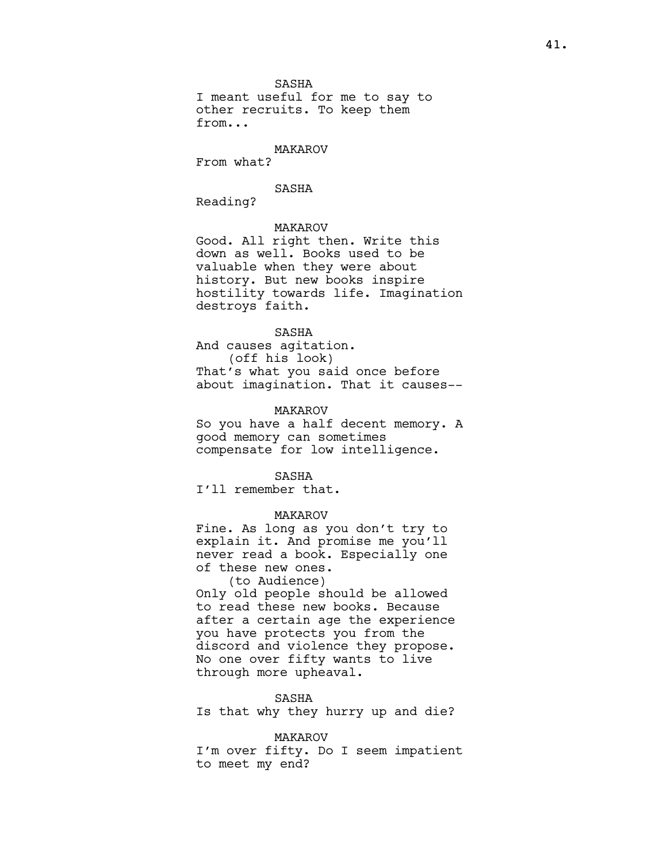SASHA

I meant useful for me to say to other recruits. To keep them from...

MAKAROV

From what?

# SASHA

Reading?

# MAKAROV

Good. All right then. Write this down as well. Books used to be valuable when they were about history. But new books inspire hostility towards life. Imagination destroys faith.

# SASHA

And causes agitation. (off his look) That's what you said once before about imagination. That it causes--

### MAKAROV

So you have a half decent memory. A good memory can sometimes compensate for low intelligence.

SASHA

I'll remember that.

# MAKAROV

Fine. As long as you don't try to explain it. And promise me you'll never read a book. Especially one of these new ones.

(to Audience)

Only old people should be allowed to read these new books. Because after a certain age the experience you have protects you from the discord and violence they propose. No one over fifty wants to live through more upheaval.

### SASHA

Is that why they hurry up and die?

#### MAKAROV

I'm over fifty. Do I seem impatient to meet my end?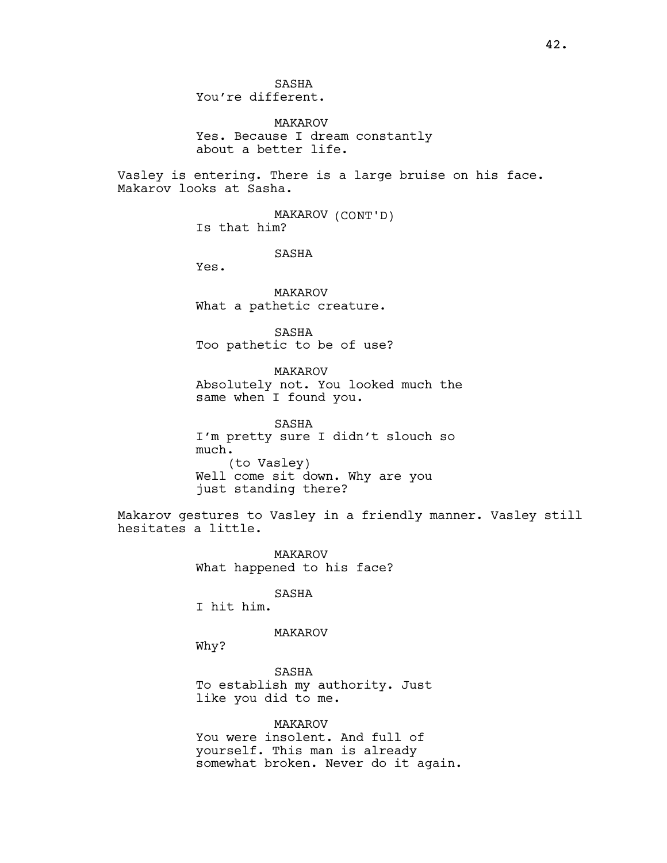42.

SASHA You're different.

MAKAROV Yes. Because I dream constantly about a better life.

Vasley is entering. There is a large bruise on his face. Makarov looks at Sasha.

> MAKAROV (CONT'D) Is that him?

> > SASHA

Yes.

MAKAROV What a pathetic creature.

SASHA Too pathetic to be of use?

MAKAROV Absolutely not. You looked much the same when I found you.

SASHA I'm pretty sure I didn't slouch so much. (to Vasley) Well come sit down. Why are you just standing there?

Makarov gestures to Vasley in a friendly manner. Vasley still hesitates a little.

> MAKAROV What happened to his face?

> > SASHA

I hit him.

# MAKAROV

Why?

SASHA To establish my authority. Just like you did to me.

MAKAROV You were insolent. And full of yourself. This man is already somewhat broken. Never do it again.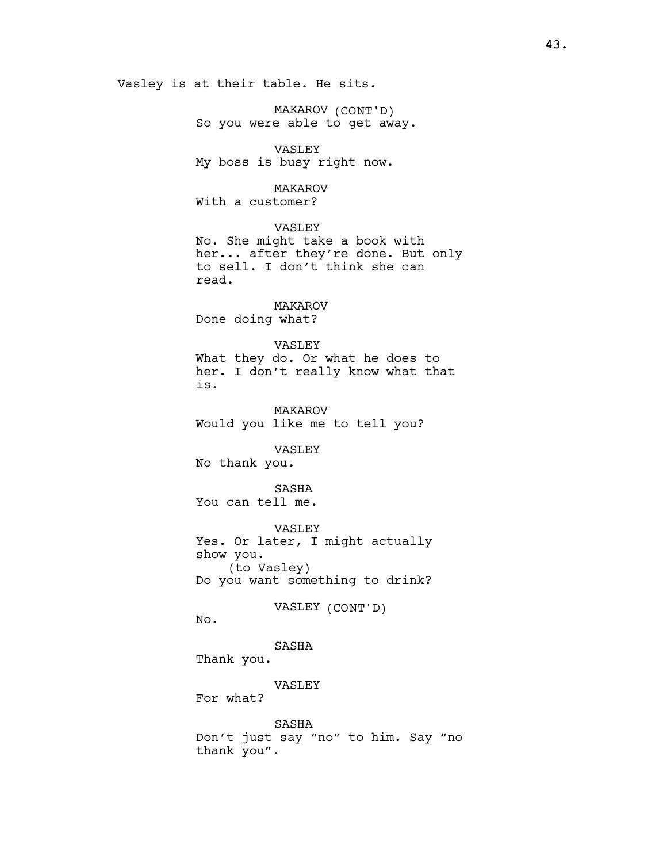Vasley is at their table. He sits.

MAKAROV (CONT'D) So you were able to get away.

VASLEY My boss is busy right now.

# MAKAROV

With a customer?

# VASLEY

No. She might take a book with her... after they're done. But only to sell. I don't think she can read.

MAKAROV Done doing what?

### VASLEY

What they do. Or what he does to her. I don't really know what that is.

MAKAROV Would you like me to tell you?

VASLEY No thank you.

SASHA You can tell me.

VASLEY Yes. Or later, I might actually show you. (to Vasley) Do you want something to drink?

# VASLEY (CONT'D)

No.

SASHA Thank you.

VASLEY

For what?

SASHA Don't just say "no" to him. Say "no thank you".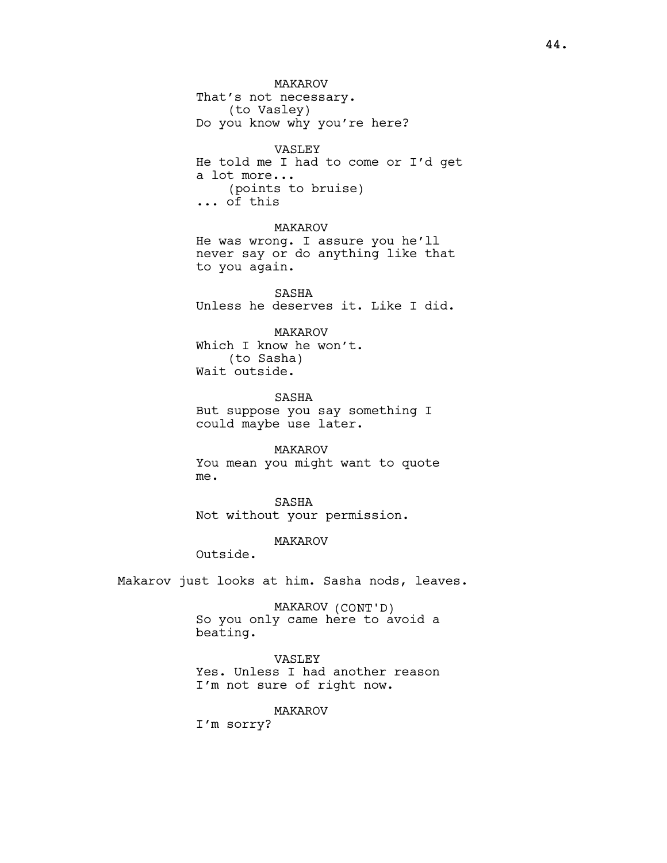MAKAROV That's not necessary. (to Vasley) Do you know why you're here? VASLEY He told me I had to come or I'd get a lot more... (points to bruise) ... of this MAKAROV He was wrong. I assure you he'll never say or do anything like that to you again.

SASHA Unless he deserves it. Like I did.

MAKAROV Which I know he won't. (to Sasha) Wait outside.

SASHA But suppose you say something I could maybe use later.

MAKAROV You mean you might want to quote me.

SASHA Not without your permission.

MAKAROV

Outside.

Makarov just looks at him. Sasha nods, leaves.

MAKAROV (CONT'D) So you only came here to avoid a beating.

VASLEY Yes. Unless I had another reason I'm not sure of right now.

MAKAROV

I'm sorry?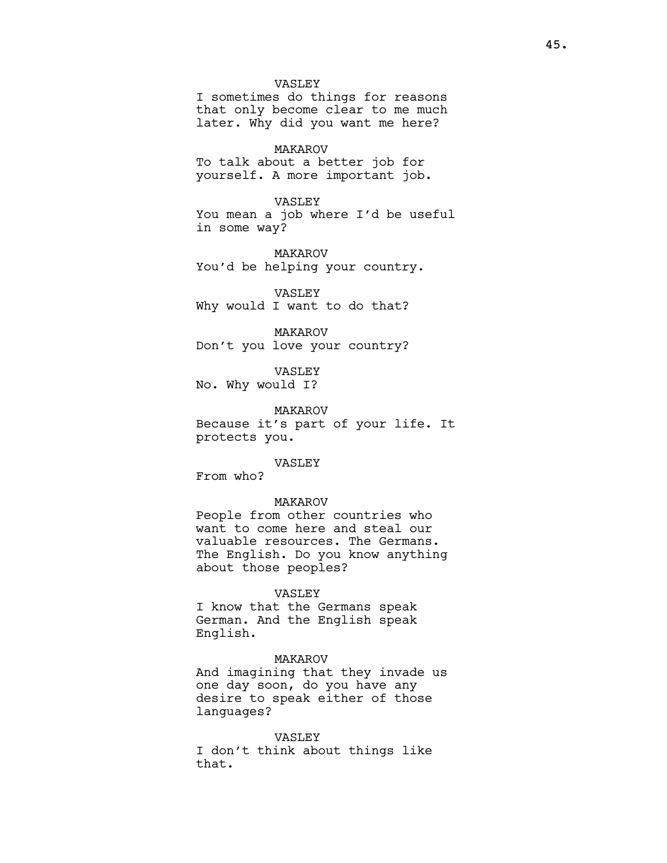### VASLEY

I sometimes do things for reasons that only become clear to me much later. Why did you want me here?

### MAKAROV

To talk about a better job for yourself. A more important job.

# VASLEY

You mean a job where I'd be useful in some way?

MAKAROV You'd be helping your country.

VASLEY Why would I want to do that?

MAKAROV Don't you love your country?

VASLEY

No. Why would I?

MAKAROV Because it's part of your life. It protects you.

### VASLEY

From who?

### MAKAROV

People from other countries who want to come here and steal our valuable resources. The Germans. The English. Do you know anything about those peoples?

### VASLEY

I know that the Germans speak German. And the English speak English.

# MAKAROV

And imagining that they invade us one day soon, do you have any desire to speak either of those languages?

### VASLEY

I don't think about things like that.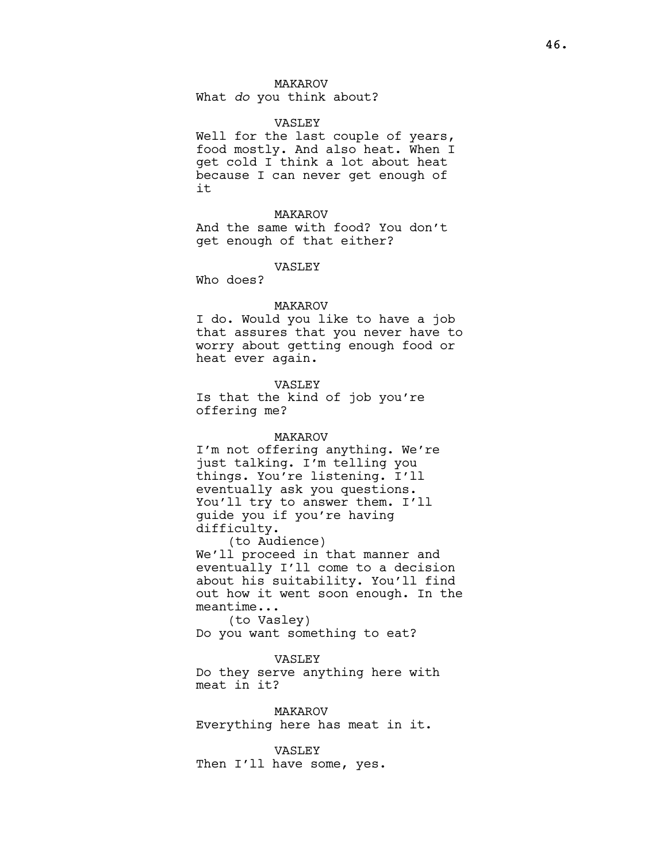# MAKAROV

What do you think about?

### VASLEY

Well for the last couple of years, food mostly. And also heat. When I get cold I think a lot about heat because I can never get enough of it

### MAKAROV

And the same with food? You don't get enough of that either?

#### VASLEY

Who does?

### MAKAROV

I do. Would you like to have a job that assures that you never have to worry about getting enough food or heat ever again.

### VASLEY

Is that the kind of job you're offering me?

#### MAKAROV

I'm not offering anything. We're just talking. I'm telling you things. You're listening. I'll eventually ask you questions. You'll try to answer them. I'll guide you if you're having difficulty.

(to Audience) We'll proceed in that manner and eventually I'll come to a decision about his suitability. You'll find out how it went soon enough. In the meantime...

(to Vasley) Do you want something to eat?

# VASLEY

Do they serve anything here with meat in it?

MAKAROV Everything here has meat in it.

VASLEY Then I'll have some, yes.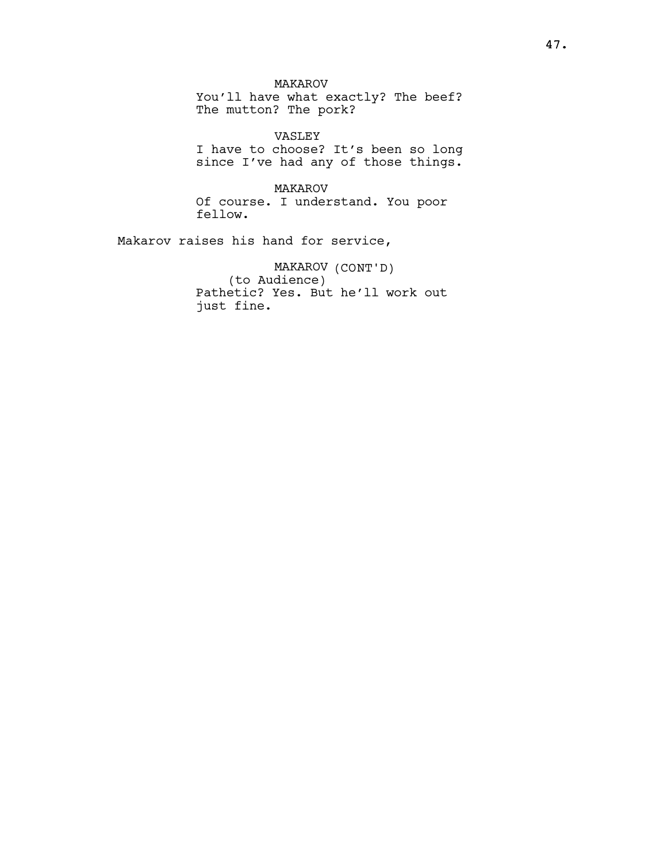MAKAROV You'll have what exactly? The beef? The mutton? The pork?

VASLEY I have to choose? It's been so long since I've had any of those things.

MAKAROV Of course. I understand. You poor fellow.

Makarov raises his hand for service,

MAKAROV (CONT'D) (to Audience) Pathetic? Yes. But he'll work out just fine.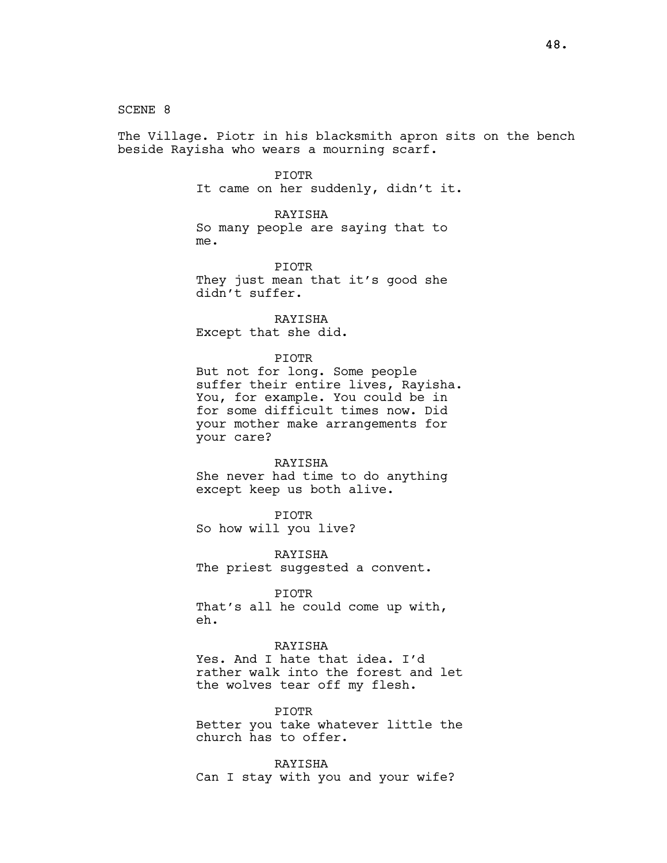SCENE 8

The Village. Piotr in his blacksmith apron sits on the bench beside Rayisha who wears a mourning scarf.

### PIOTR

It came on her suddenly, didn't it.

### RAYISHA

So many people are saying that to me.

# PIOTR

They just mean that it's good she didn't suffer.

RAYISHA Except that she did.

### PIOTR

But not for long. Some people suffer their entire lives, Rayisha. You, for example. You could be in for some difficult times now. Did your mother make arrangements for your care?

#### RAYISHA

She never had time to do anything except keep us both alive.

### PIOTR

So how will you live?

RAYISHA

The priest suggested a convent.

# PIOTR

That's all he could come up with, eh.

# RAYISHA

Yes. And I hate that idea. I'd rather walk into the forest and let the wolves tear off my flesh.

PIOTR

Better you take whatever little the church has to offer.

RAYISHA Can I stay with you and your wife?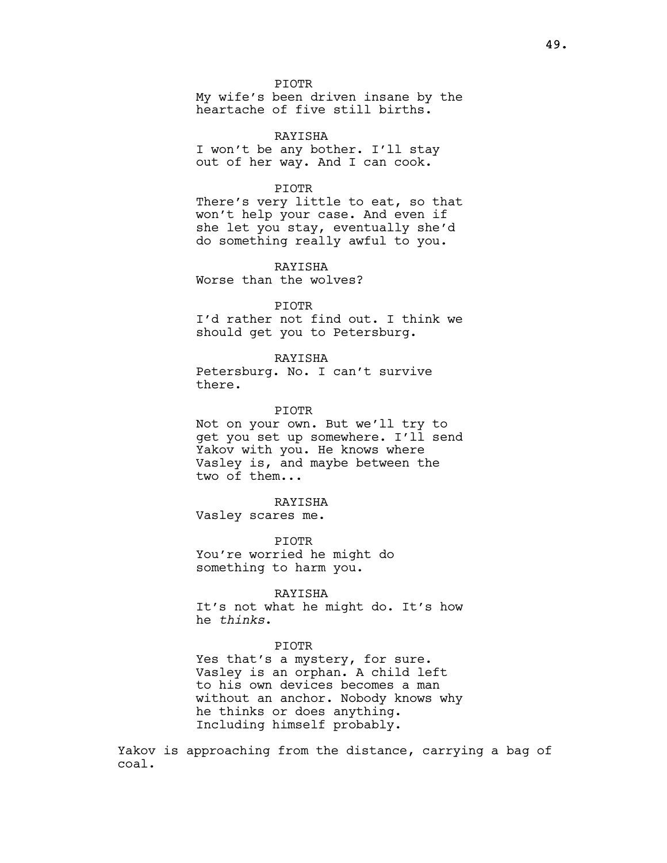PIOTR

My wife's been driven insane by the heartache of five still births.

RAYISHA I won't be any bother. I'll stay out of her way. And I can cook.

# PIOTR

There's very little to eat, so that won't help your case. And even if she let you stay, eventually she'd do something really awful to you.

RAYISHA Worse than the wolves?

# PIOTR

I'd rather not find out. I think we should get you to Petersburg.

## RAYISHA

Petersburg. No. I can't survive there.

### PIOTR

Not on your own. But we'll try to get you set up somewhere. I'll send Yakov with you. He knows where Vasley is, and maybe between the two of them...

# RAYISHA

Vasley scares me.

PIOTR You're worried he might do something to harm you.

### RAYISHA

It's not what he might do. It's how he thinks.

# PIOTR

Yes that's a mystery, for sure. Vasley is an orphan. A child left to his own devices becomes a man without an anchor. Nobody knows why he thinks or does anything. Including himself probably.

Yakov is approaching from the distance, carrying a bag of coal.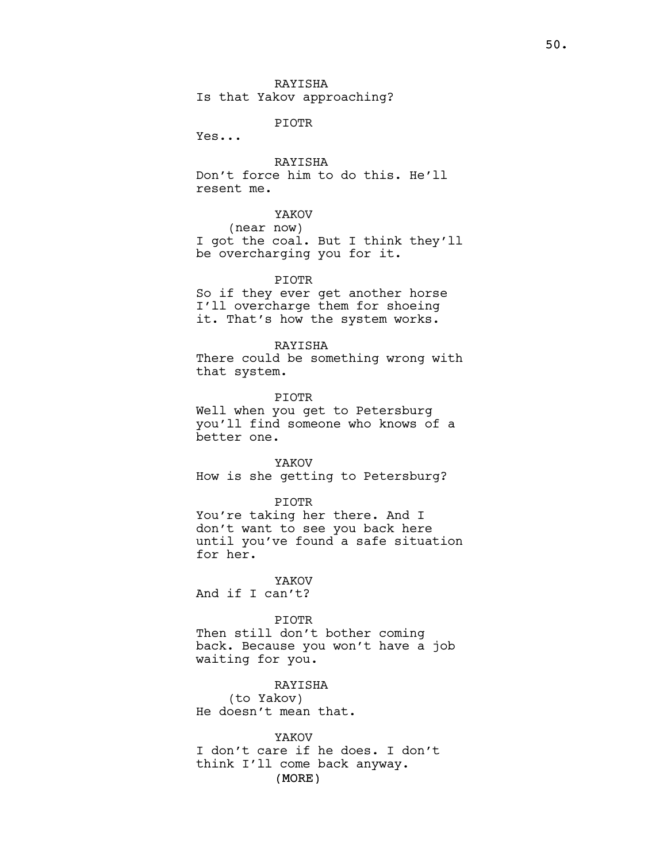Is that Yakov approaching?

PIOTR

Yes...

RAYISHA Don't force him to do this. He'll resent me.

YAKOV

(near now)

I got the coal. But I think they'll be overcharging you for it.

PIOTR

So if they ever get another horse I'll overcharge them for shoeing it. That's how the system works.

RAYISHA

There could be something wrong with that system.

PIOTR

Well when you get to Petersburg you'll find someone who knows of a better one.

YAKOV How is she getting to Petersburg?

PIOTR

You're taking her there. And I don't want to see you back here until you've found a safe situation for her.

YAKOV

And if I can't?

PIOTR

Then still don't bother coming back. Because you won't have a job waiting for you.

RAYISHA (to Yakov) He doesn't mean that.

(MORE) YAKOV I don't care if he does. I don't think I'll come back anyway.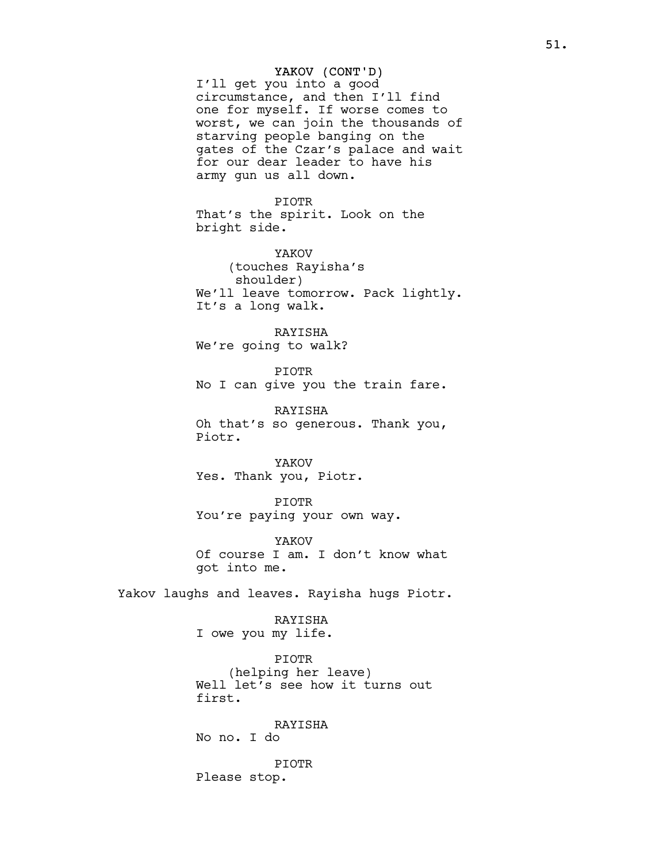# YAKOV (CONT'D)

I'll get you into a good circumstance, and then I'll find one for myself. If worse comes to worst, we can join the thousands of starving people banging on the gates of the Czar's palace and wait for our dear leader to have his army gun us all down.

PIOTR That's the spirit. Look on the bright side.

YAKOV (touches Rayisha's shoulder) We'll leave tomorrow. Pack lightly. It's a long walk.

RAYISHA We're going to walk?

PIOTR No I can give you the train fare.

RAYISHA Oh that's so generous. Thank you, Piotr.

YAKOV Yes. Thank you, Piotr.

PIOTR You're paying your own way.

YAKOV Of course I am. I don't know what got into me.

Yakov laughs and leaves. Rayisha hugs Piotr.

# RAYISHA

I owe you my life.

PIOTR (helping her leave) Well let's see how it turns out first.

RAYISHA No no. I do

PIOTR Please stop.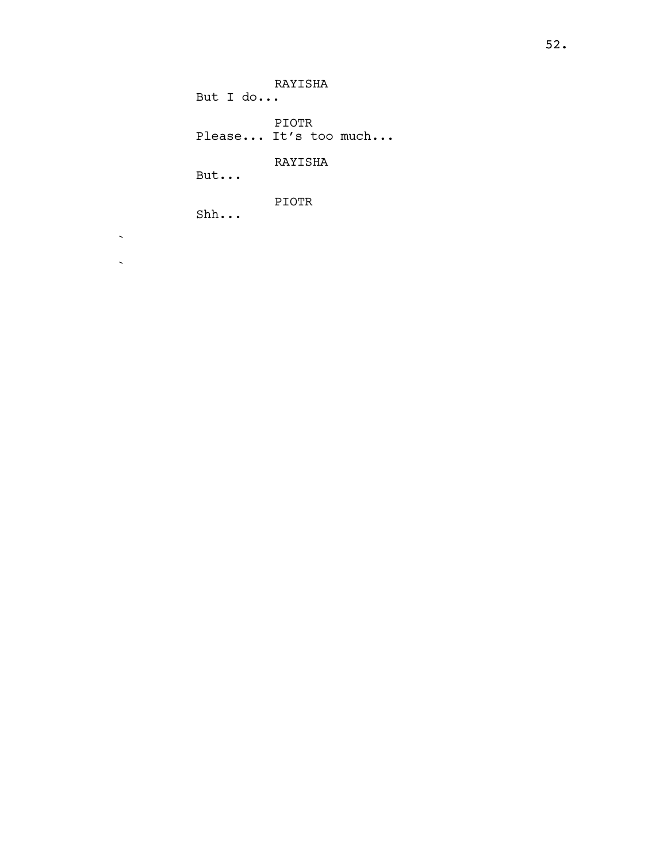RAYISHA But I do... PIOTR Please... It's too much... RAYISHA But... PIOTR

Shh...

 $\sim$ 

 $\mathbf{v}^{\text{max}}$ 

52.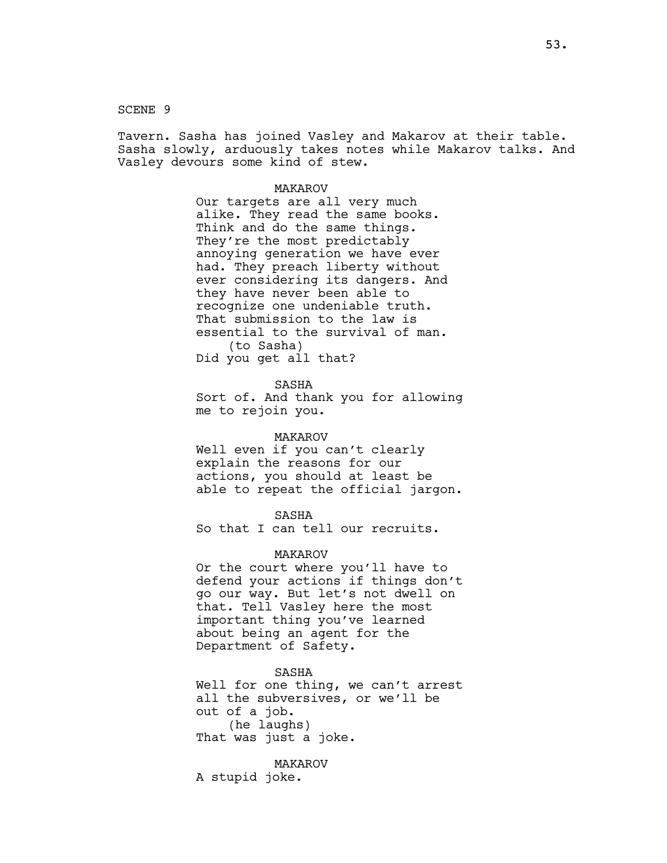SCENE 9

Tavern. Sasha has joined Vasley and Makarov at their table. Sasha slowly, arduously takes notes while Makarov talks. And Vasley devours some kind of stew.

### MAKAROV

Our targets are all very much alike. They read the same books. Think and do the same things. They're the most predictably annoying generation we have ever had. They preach liberty without ever considering its dangers. And they have never been able to recognize one undeniable truth. That submission to the law is essential to the survival of man. (to Sasha) Did you get all that?

SASHA

Sort of. And thank you for allowing me to rejoin you.

#### MAKAROV

Well even if you can't clearly explain the reasons for our actions, you should at least be able to repeat the official jargon.

SASHA

So that I can tell our recruits.

# MAKAROV

Or the court where you'll have to defend your actions if things don't go our way. But let's not dwell on that. Tell Vasley here the most important thing you've learned about being an agent for the Department of Safety.

SASHA Well for one thing, we can't arrest all the subversives, or we'll be out of a job. (he laughs) That was just a joke.

MAKAROV A stupid joke.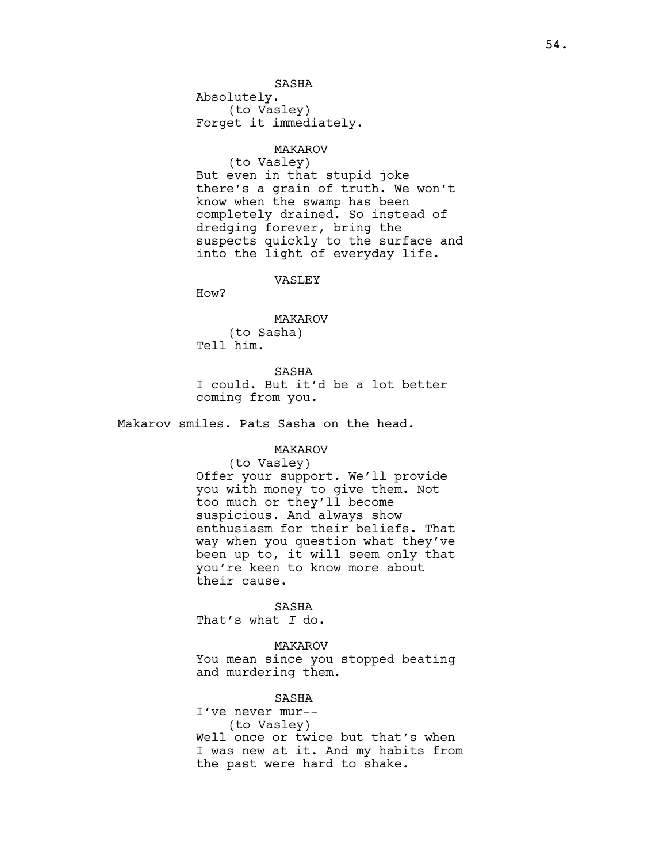Absolutely. (to Vasley) Forget it immediately.

### MAKAROV

(to Vasley) But even in that stupid joke there's a grain of truth. We won't know when the swamp has been completely drained. So instead of dredging forever, bring the suspects quickly to the surface and into the light of everyday life.

### VASLEY

How?

### MAKAROV

(to Sasha) Tell him.

### SASHA

I could. But it'd be a lot better coming from you.

Makarov smiles. Pats Sasha on the head.

# MAKAROV

# (to Vasley) Offer your support. We'll provide you with money to give them. Not too much or they'll become suspicious. And always show enthusiasm for their beliefs. That way when you question what they've been up to, it will seem only that you're keen to know more about their cause.

SASHA That's what I do.

### MAKAROV

You mean since you stopped beating and murdering them.

# SASHA

I've never mur-- (to Vasley) Well once or twice but that's when I was new at it. And my habits from the past were hard to shake.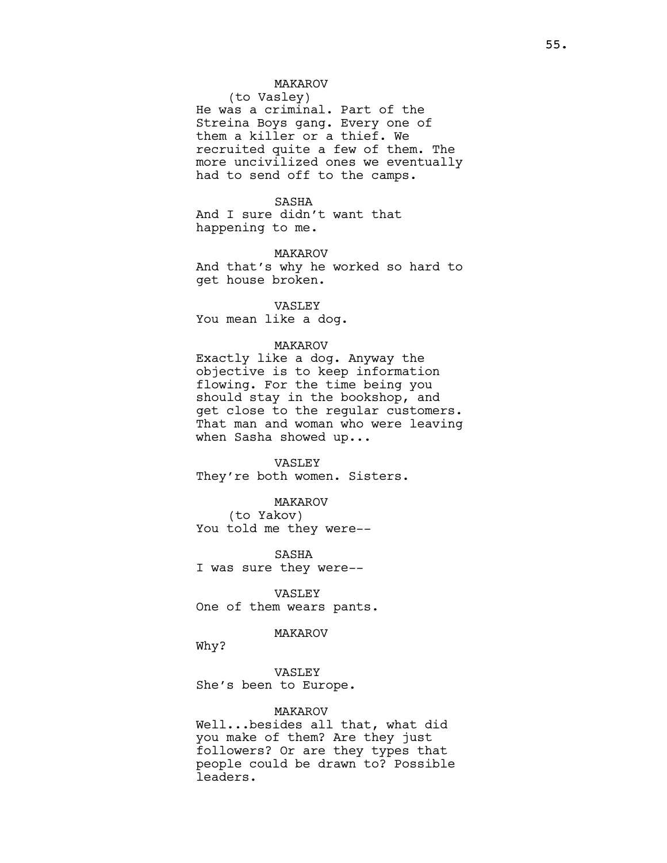# MAKAROV

(to Vasley) He was a criminal. Part of the Streina Boys gang. Every one of them a killer or a thief. We recruited quite a few of them. The more uncivilized ones we eventually had to send off to the camps.

SASHA And I sure didn't want that happening to me.

MAKAROV And that's why he worked so hard to get house broken.

VASLEY You mean like a dog.

### MAKAROV

Exactly like a dog. Anyway the objective is to keep information flowing. For the time being you should stay in the bookshop, and get close to the regular customers. That man and woman who were leaving when Sasha showed up...

#### VASLEY

They're both women. Sisters.

MAKAROV (to Yakov)

You told me they were--

SASHA I was sure they were--

VASLEY One of them wears pants.

### MAKAROV

Why?

VASLEY She's been to Europe.

# MAKAROV

Well...besides all that, what did you make of them? Are they just followers? Or are they types that people could be drawn to? Possible leaders.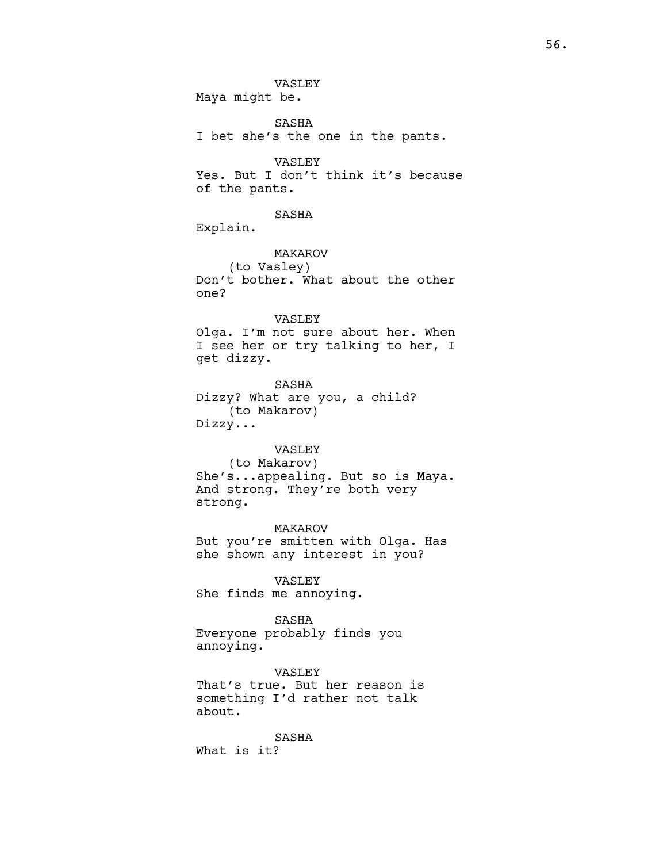VASLEY Maya might be.

SASHA I bet she's the one in the pants.

VASLEY Yes. But I don't think it's because of the pants.

SASHA Explain.

MAKAROV (to Vasley) Don't bother. What about the other one?

# VASLEY Olga. I'm not sure about her. When I see her or try talking to her, I get dizzy.

SASHA Dizzy? What are you, a child? (to Makarov) Dizzy...

# VASLEY

(to Makarov) She's...appealing. But so is Maya. And strong. They're both very strong.

MAKAROV But you're smitten with Olga. Has she shown any interest in you?

VASLEY She finds me annoying.

# SASHA

Everyone probably finds you annoying.

VASLEY That's true. But her reason is something I'd rather not talk about.

SASHA What is it?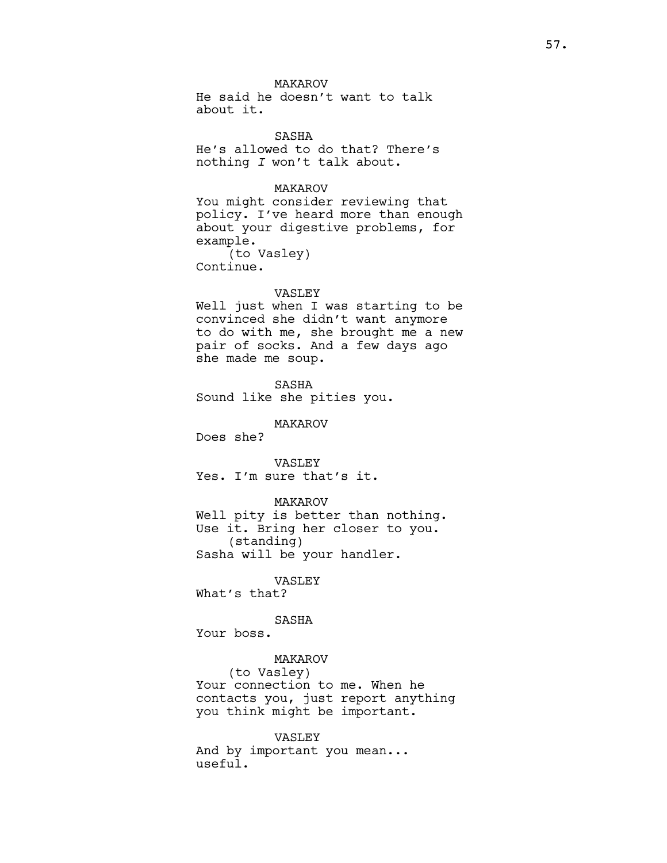MAKAROV

He said he doesn't want to talk about it.

SASHA He's allowed to do that? There's nothing I won't talk about.

# MAKAROV

You might consider reviewing that policy. I've heard more than enough about your digestive problems, for example. (to Vasley) Continue.

#### VASLEY

Well just when I was starting to be convinced she didn't want anymore to do with me, she brought me a new pair of socks. And a few days ago she made me soup.

SASHA Sound like she pities you.

MAKAROV

Does she?

VASLEY Yes. I'm sure that's it.

### MAKAROV

Well pity is better than nothing. Use it. Bring her closer to you. (standing) Sasha will be your handler.

VASLEY

What's that?

# SASHA

Your boss.

### MAKAROV

(to Vasley) Your connection to me. When he contacts you, just report anything you think might be important.

### VASLEY

And by important you mean... useful.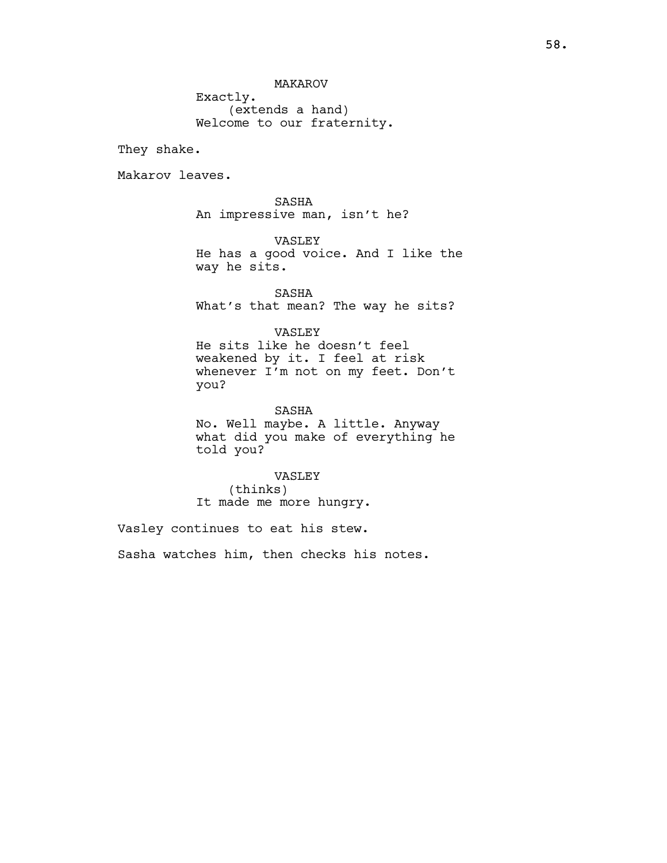MAKAROV

Exactly. (extends a hand) Welcome to our fraternity.

They shake.

Makarov leaves.

SASHA An impressive man, isn't he?

VASLEY He has a good voice. And I like the way he sits.

SASHA What's that mean? The way he sits?

# VASLEY

He sits like he doesn't feel weakened by it. I feel at risk whenever I'm not on my feet. Don't you?

SASHA No. Well maybe. A little. Anyway what did you make of everything he told you?

VASLEY (thinks) It made me more hungry.

Vasley continues to eat his stew. Sasha watches him, then checks his notes.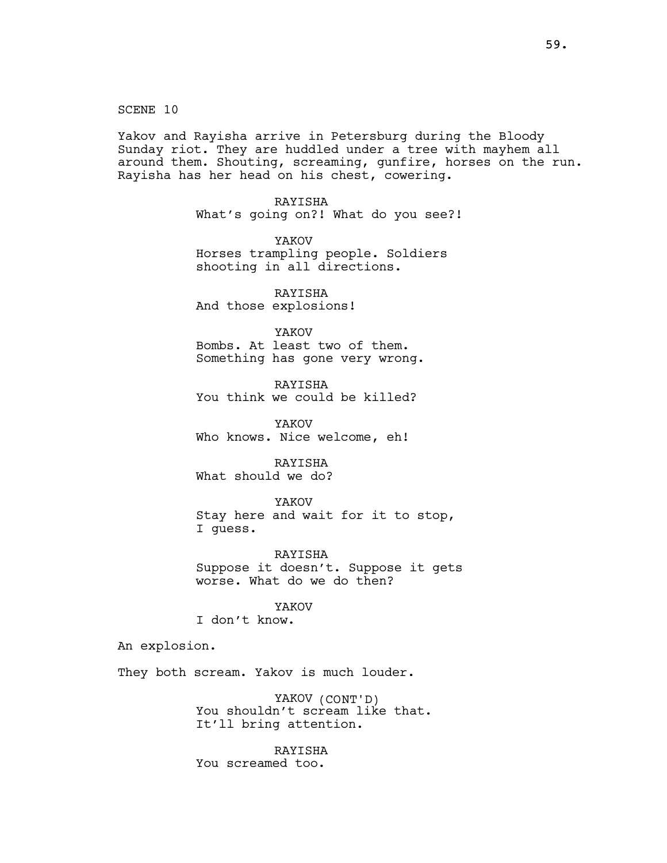SCENE 10

Yakov and Rayisha arrive in Petersburg during the Bloody Sunday riot. They are huddled under a tree with mayhem all around them. Shouting, screaming, gunfire, horses on the run. Rayisha has her head on his chest, cowering.

> RAYISHA What's going on?! What do you see?!

YAKOV Horses trampling people. Soldiers shooting in all directions.

RAYISHA And those explosions!

YAKOV Bombs. At least two of them. Something has gone very wrong.

RAYISHA You think we could be killed?

YAKOV Who knows. Nice welcome, eh!

RAYISHA What should we do?

YAKOV Stay here and wait for it to stop, I guess.

RAYISHA Suppose it doesn't. Suppose it gets worse. What do we do then?

YAKOV

I don't know.

An explosion.

They both scream. Yakov is much louder.

YAKOV (CONT'D) You shouldn't scream like that. It'll bring attention.

RAYISHA You screamed too.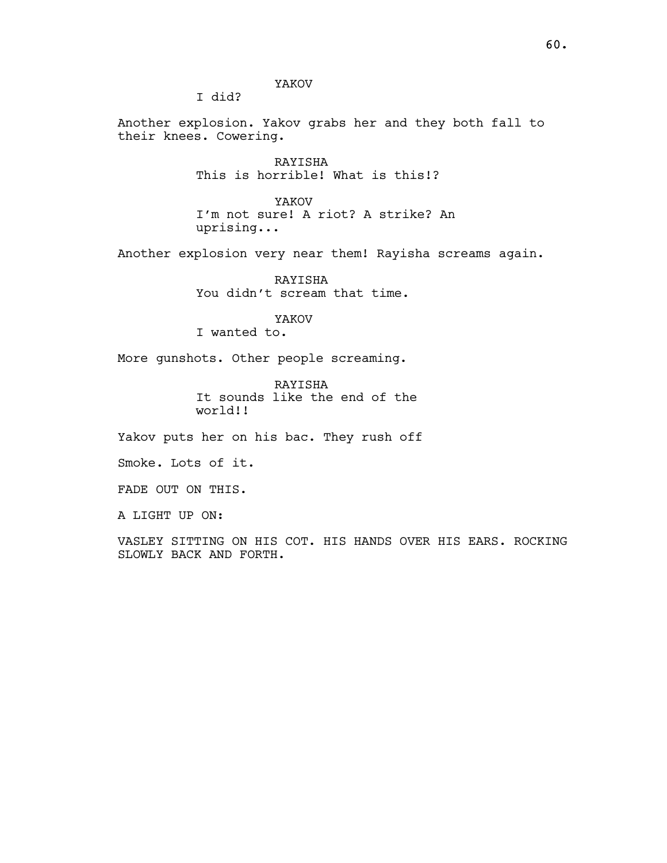YAKOV

I did?

Another explosion. Yakov grabs her and they both fall to their knees. Cowering.

> RAYISHA This is horrible! What is this!?

YAKOV I'm not sure! A riot? A strike? An uprising...

Another explosion very near them! Rayisha screams again.

RAYISHA You didn't scream that time.

YAKOV I wanted to.

More gunshots. Other people screaming.

RAYISHA It sounds like the end of the world!!

Yakov puts her on his bac. They rush off

Smoke. Lots of it.

FADE OUT ON THIS.

A LIGHT UP ON:

VASLEY SITTING ON HIS COT. HIS HANDS OVER HIS EARS. ROCKING SLOWLY BACK AND FORTH.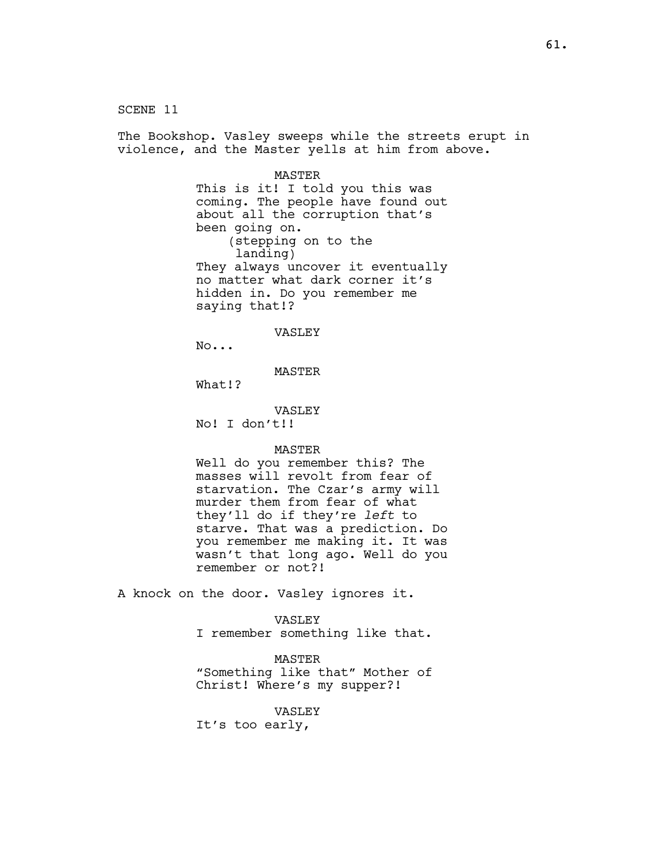SCENE 11 The Bookshop. Vasley sweeps while the streets erupt in violence, and the Master yells at him from above. MASTER This is it! I told you this was coming. The people have found out about all the corruption that's been going on. (stepping on to the landing) They always uncover it eventually no matter what dark corner it's hidden in. Do you remember me saying that!? VASLEY No... MASTER What!? VASLEY No! I don't!! MASTER Well do you remember this? The masses will revolt from fear of starvation. The Czar's army will murder them from fear of what they'll do if they're left to starve. That was a prediction. Do you remember me making it. It was wasn't that long ago. Well do you remember or not?! A knock on the door. Vasley ignores it. VASLEY

I remember something like that.

MASTER "Something like that" Mother of Christ! Where's my supper?!

VASLEY It's too early,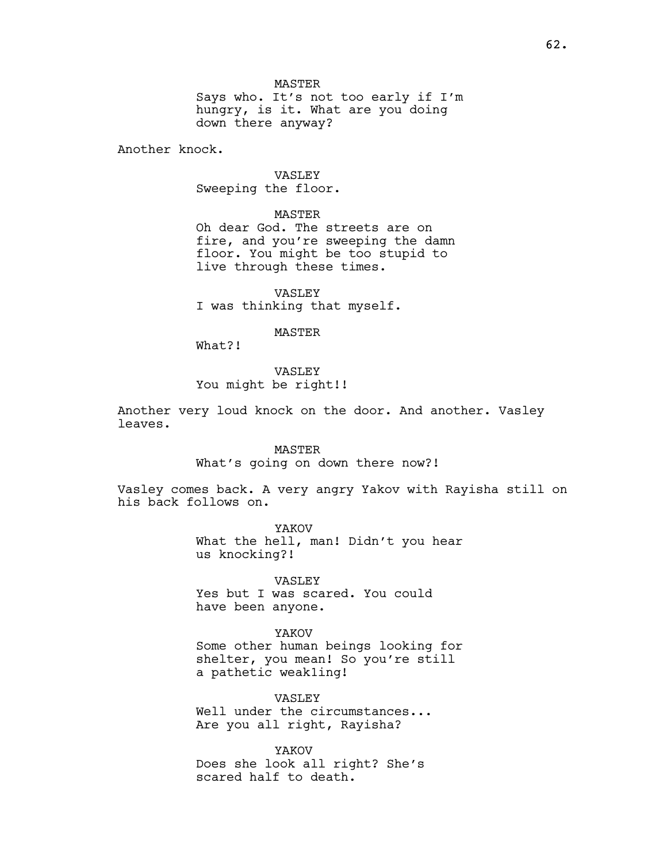MASTER

Says who. It's not too early if I'm hungry, is it. What are you doing down there anyway?

Another knock.

VASLEY Sweeping the floor.

MASTER

Oh dear God. The streets are on fire, and you're sweeping the damn floor. You might be too stupid to live through these times.

VASLEY I was thinking that myself.

# **MASTER**

What?!

## VASLEY

You might be right!!

Another very loud knock on the door. And another. Vasley leaves.

# MASTER

What's going on down there now?!

Vasley comes back. A very angry Yakov with Rayisha still on his back follows on.

> YAKOV What the hell, man! Didn't you hear us knocking?!

VASLEY Yes but I was scared. You could have been anyone.

YAKOV Some other human beings looking for shelter, you mean! So you're still a pathetic weak1ing!

VASLEY

Well under the circumstances... Are you all right, Rayisha?

YAKOV Does she look all right? She's scared half to death.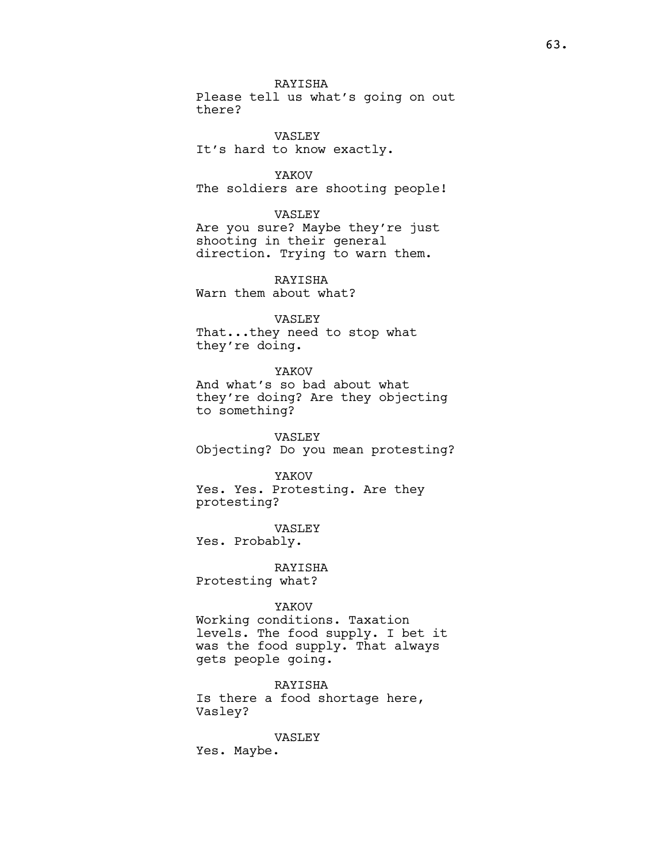RAYISHA

Please tell us what's going on out there?

VASLEY It's hard to know exactly.

YAKOV The soldiers are shooting people!

### VASLEY

Are you sure? Maybe they're just shooting in their general direction. Trying to warn them.

RAYISHA Warn them about what?

# VASLEY

That...they need to stop what they're doing.

YAKOV

And what's so bad about what they're doing? Are they objecting to something?

VASLEY Objecting? Do you mean protesting?

#### YAKOV

Yes. Yes. Protesting. Are they protesting?

VASLEY

Yes. Probably.

RAYISHA Protesting what?

### YAKOV

Working conditions. Taxation levels. The food supply. I bet it was the food supply. That always gets people going.

RAYISHA Is there a food shortage here, Vasley?

# VASLEY

Yes. Maybe.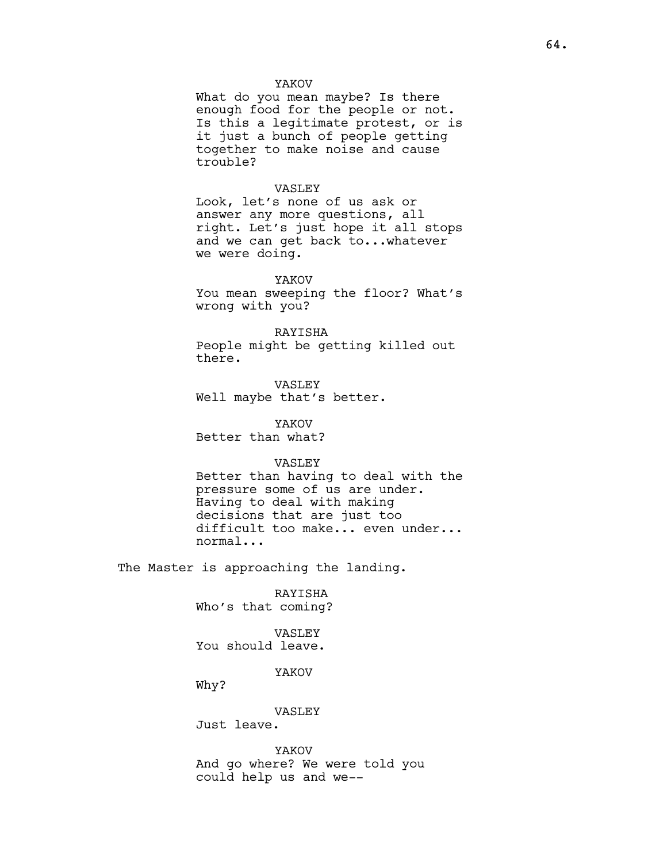### YAKOV

What do you mean maybe? Is there enough food for the people or not. Is this a legitimate protest, or is it just a bunch of people getting together to make noise and cause trouble?

### VASLEY

Look, let's none of us ask or answer any more questions, all right. Let's just hope it all stops and we can get back to...whatever we were doing.

# YAKOV

You mean sweeping the floor? What's wrong with you?

# RAYISHA

People might be getting killed out there.

VASLEY Well maybe that's better.

# YAKOV

Better than what?

#### VASLEY

Better than having to deal with the pressure some of us are under. Having to deal with making decisions that are just too difficult too make... even under... normal...

The Master is approaching the landing.

RAYISHA Who's that coming?

# VASLEY You should leave.

# YAKOV

Why?

### VASLEY

Just leave.

YAKOV And go where? We were told you could help us and we--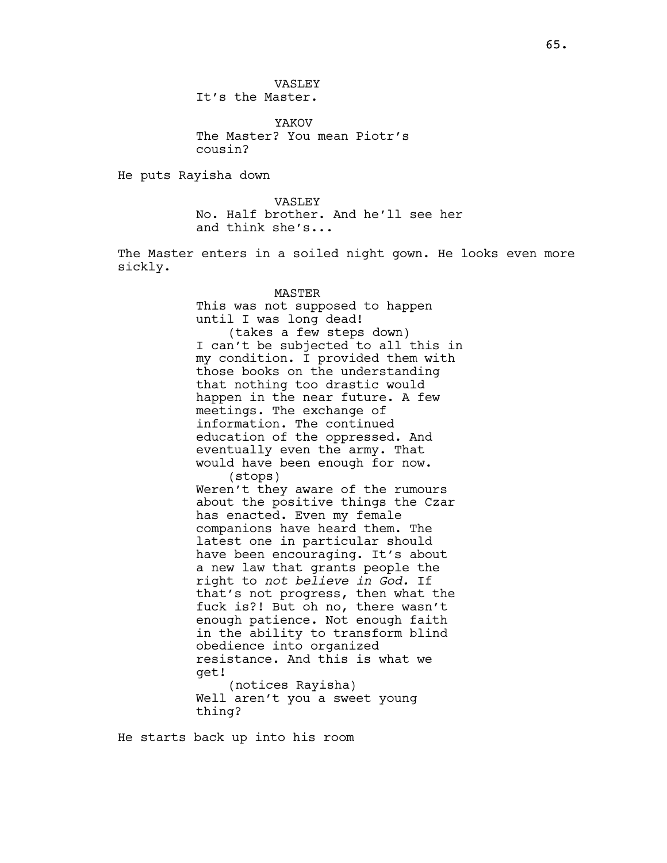VASLEY It's the Master.

YAKOV The Master? You mean Piotr's cousin?

He puts Rayisha down

VASLEY No. Half brother. And he'll see her and think she's...

The Master enters in a soiled night gown. He looks even more sickly.

### MASTER

This was not supposed to happen until I was long dead! (takes a few steps down) I can't be subjected to all this in my condition. I provided them with those books on the understanding that nothing too drastic would happen in the near future. A few meetings. The exchange of information. The continued education of the oppressed. And eventually even the army. That would have been enough for now. (stops) Weren't they aware of the rumours about the positive things the Czar has enacted. Even my female companions have heard them. The latest one in particular should have been encouraging. It's about a new law that grants people the right to not believe in God. If that's not progress, then what the fuck is?! But oh no, there wasn't enough patience. Not enough faith in the ability to transform blind obedience into organized resistance. And this is what we get! (notices Rayisha) Well aren't you a sweet young thing?

He starts back up into his room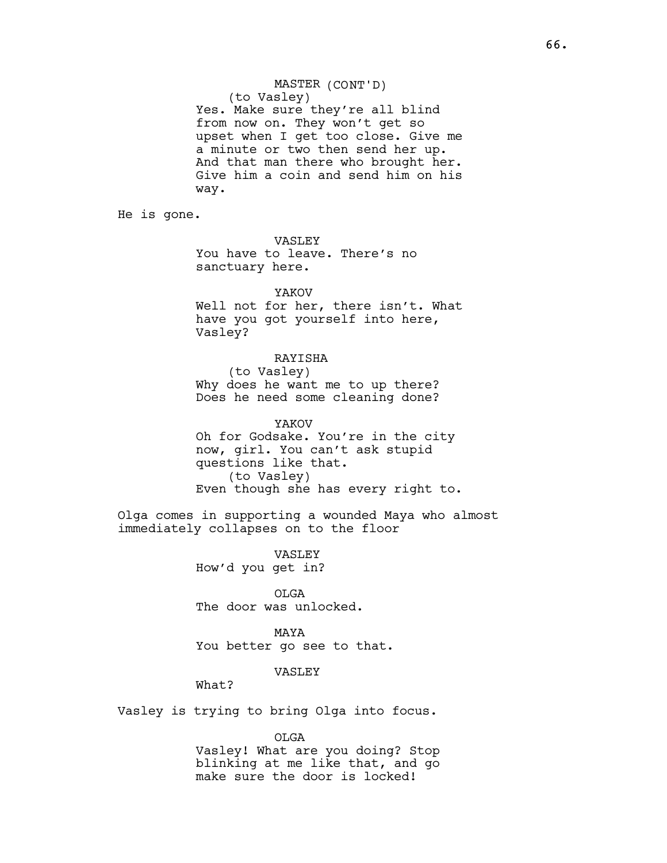MASTER (CONT'D) (to Vasley) Yes. Make sure they're all blind from now on. They won't get so upset when I get too close. Give me a minute or two then send her up. And that man there who brought her. Give him a coin and send him on his way.

He is gone.

VASLEY You have to leave. There's no sanctuary here.

### YAKOV

Well not for her, there isn't. What have you got yourself into here, Vasley?

## RAYISHA

(to Vasley) Why does he want me to up there? Does he need some cleaning done?

YAKOV Oh for Godsake. You're in the city now, girl. You can't ask stupid questions like that. (to Vasley) Even though she has every right to.

Olga comes in supporting a wounded Maya who almost immediately collapses on to the floor

> VASLEY How'd you get in?

OLGA The door was unlocked.

MAYA You better go see to that.

# VASLEY

What?

Vasley is trying to bring Olga into focus.

OLGA

Vasley! What are you doing? Stop blinking at me like that, and go make sure the door is locked!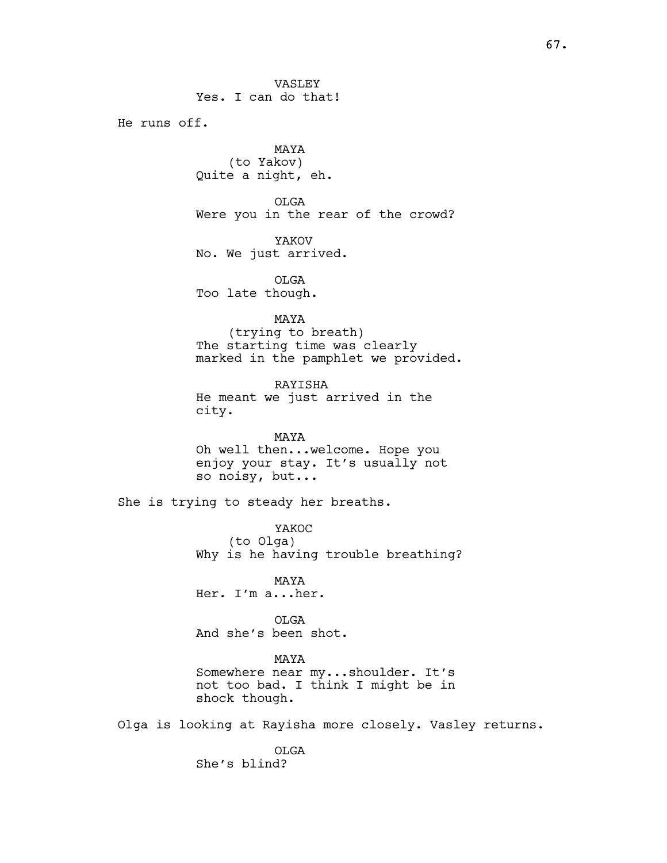VASLEY Yes. I can do that!

He runs off.

MAYA (to Yakov) Quite a night, eh.

OLGA Were you in the rear of the crowd?

YAKOV No. We just arrived.

OLGA Too late though.

# MAYA

(trying to breath) The starting time was clearly marked in the pamphlet we provided.

RAYISHA He meant we just arrived in the city.

MAYA Oh well then...welcome. Hope you enjoy your stay. It's usually not so noisy, but...

She is trying to steady her breaths.

YAKOC (to Olga) Why is he having trouble breathing?

MAYA Her. I'm a...her.

OLGA And she's been shot.

# MAYA

Somewhere near my...shoulder. It's not too bad. I think I might be in shock though.

Olga is looking at Rayisha more closely. Vasley returns.

OLGA She's blind?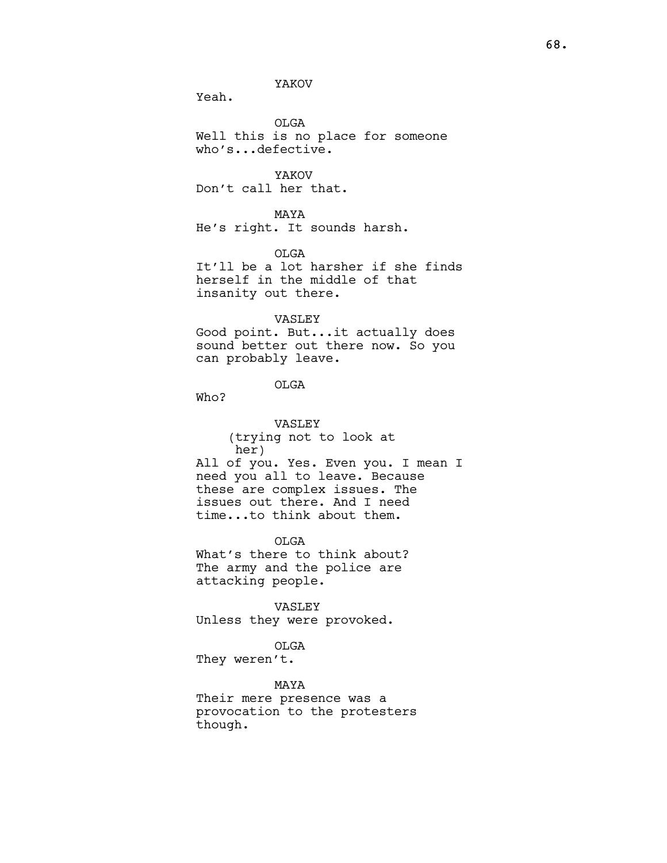# YAKOV

Yeah.

OLGA Well this is no place for someone who's...defective.

YAKOV Don't call her that.

MAYA He's right. It sounds harsh.

OLGA

It'll be a lot harsher if she finds herself in the middle of that insanity out there.

### VASLEY

Good point. But...it actually does sound better out there now. So you can probably leave.

# OLGA

Who?

VASLEY (trying not to look at her) All of you. Yes. Even you. I mean I need you all to leave. Because these are complex issues. The issues out there. And I need time...to think about them.

OLGA What's there to think about? The army and the police are attacking people.

VASLEY Unless they were provoked.

# OLGA

They weren't.

# MAYA

Their mere presence was a provocation to the protesters though.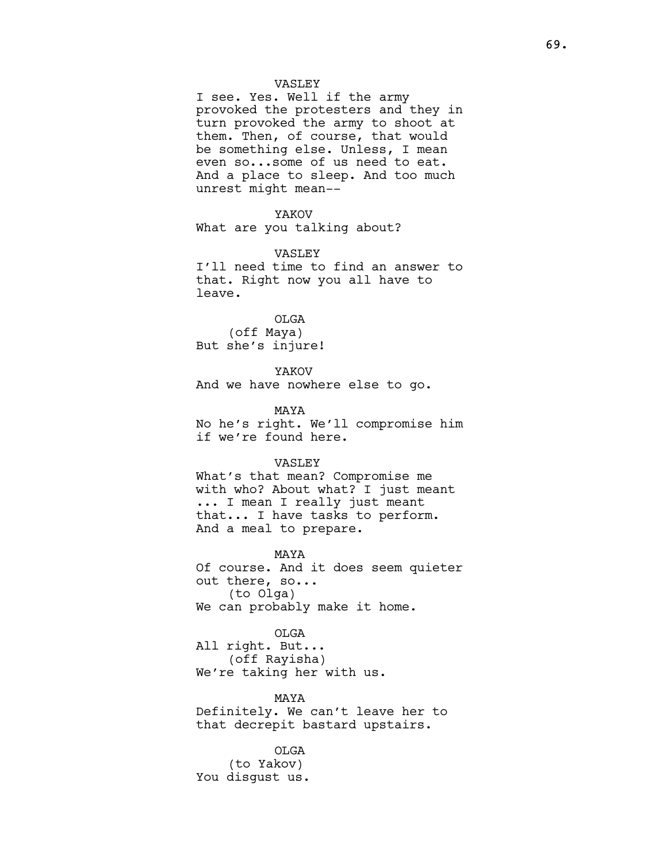I see. Yes. Well if the army provoked the protesters and they in turn provoked the army to shoot at them. Then, of course, that would be something else. Unless, I mean even so...some of us need to eat. And a place to sleep. And too much unrest might mean--

# YAKOV

What are you talking about?

### VASLEY

I'll need time to find an answer to that. Right now you all have to leave.

OLGA (off Maya) But she's injure!

YAKOV And we have nowhere else to go.

MAYA No he's right. We'll compromise him if we're found here.

#### VASLEY

What's that mean? Compromise me with who? About what? I just meant ... I mean I really just meant that... I have tasks to perform. And a meal to prepare.

MAYA Of course. And it does seem quieter out there, so... (to Olga) We can probably make it home.

OLGA All right. But... (off Rayisha) We're taking her with us.

MAYA Definitely. We can't leave her to that decrepit bastard upstairs.

OLGA (to Yakov) You disgust us.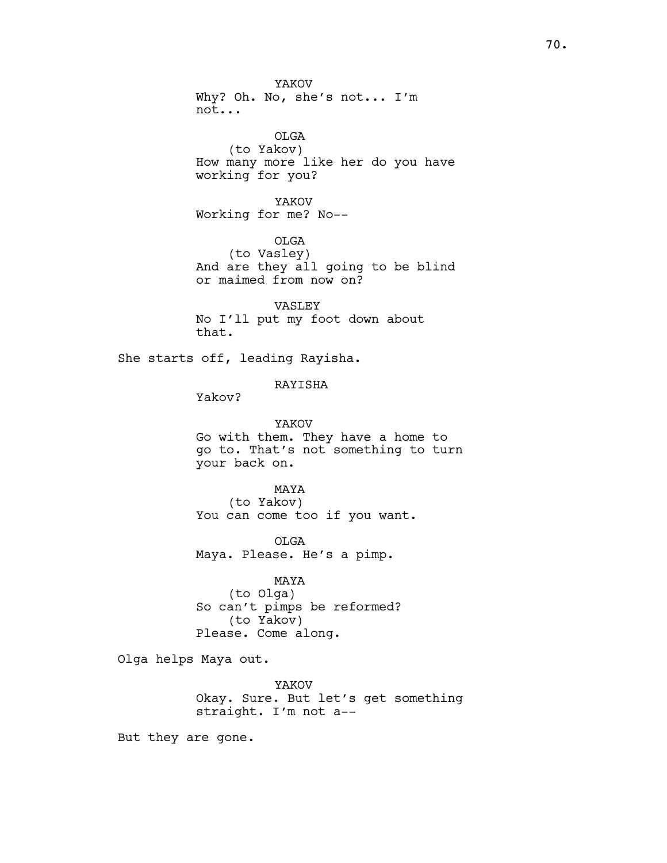YAKOV Why? Oh. No, she's not... I'm not... OLGA (to Yakov) How many more like her do you have working for you? YAKOV Working for me? No-- OLGA (to Vasley) And are they all going to be blind or maimed from now on? VASLEY No I'll put my foot down about that. She starts off, leading Rayisha. RAYISHA Yakov? YAKOV Go with them. They have a home to go to. That's not something to turn your back on. MAYA (to Yakov) You can come too if you want. OLGA Maya. Please. He's a pimp. MAYA

(to Olga) So can't pimps be reformed? (to Yakov) Please. Come along.

Olga helps Maya out.

YAKOV Okay. Sure. But let's get something straight. I'm not a--

But they are gone.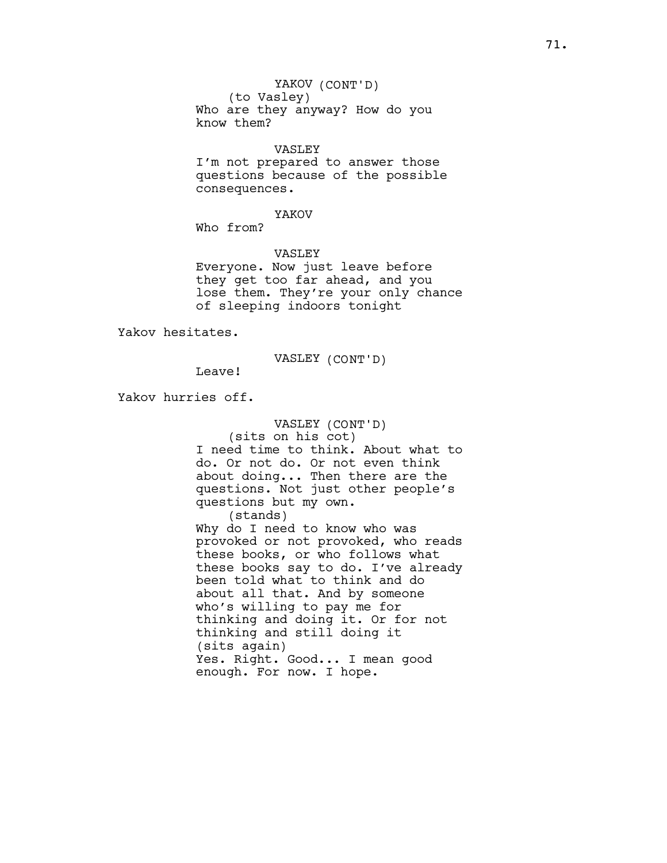(to Vasley) Who are they anyway? How do you know them?

### VASLEY

I'm not prepared to answer those questions because of the possible consequences.

## YAKOV

Who from?

VASLEY

Everyone. Now just leave before they get too far ahead, and you lose them. They're your only chance of sleeping indoors tonight

Yakov hesitates.

VASLEY (CONT'D)

Yakov hurries off.

Leave!

VASLEY (CONT'D) (sits on his cot) I need time to think. About what to do. Or not do. Or not even think about doing... Then there are the questions. Not just other people's questions but my own. (stands) Why do I need to know who was provoked or not provoked, who reads these books, or who follows what these books say to do. I've already been told what to think and do about all that. And by someone who's willing to pay me for thinking and doing it. Or for not thinking and still doing it (sits again) Yes. Right. Good... I mean good

enough. For now. I hope.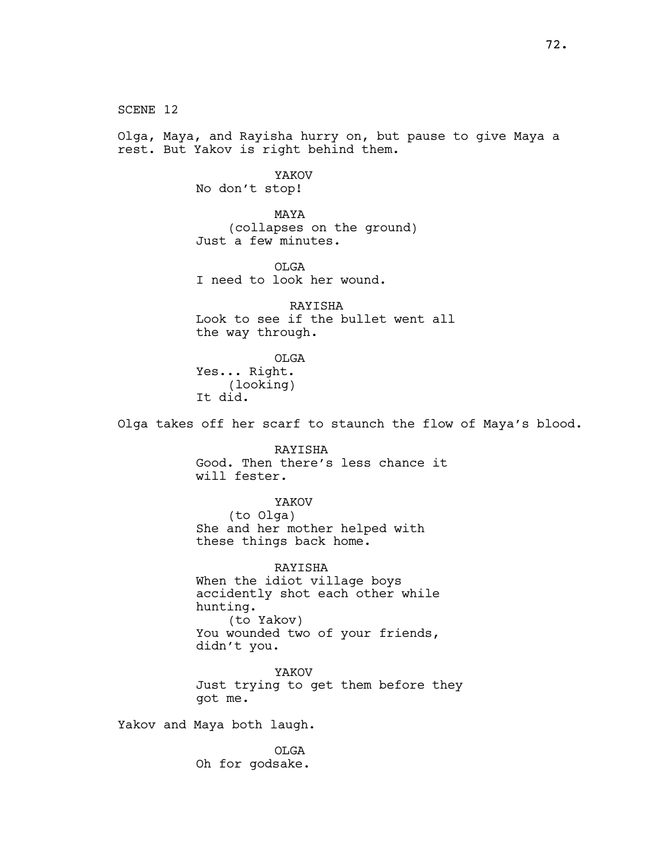SCENE 12 Olga, Maya, and Rayisha hurry on, but pause to give Maya a rest. But Yakov is right behind them. YAKOV No don't stop! MAYA (collapses on the ground) Just a few minutes. OLGA I need to look her wound. RAYISHA Look to see if the bullet went all the way through. OLGA Yes... Right. (looking) It did. Olga takes off her scarf to staunch the flow of Maya's blood. RAYISHA Good. Then there's less chance it will fester. YAKOV (to Olga) She and her mother helped with these things back home. RAYISHA When the idiot village boys accidently shot each other while hunting. (to Yakov) You wounded two of your friends, didn't you. YAKOV Just trying to get them before they got me. Yakov and Maya both laugh. OLGA Oh for godsake.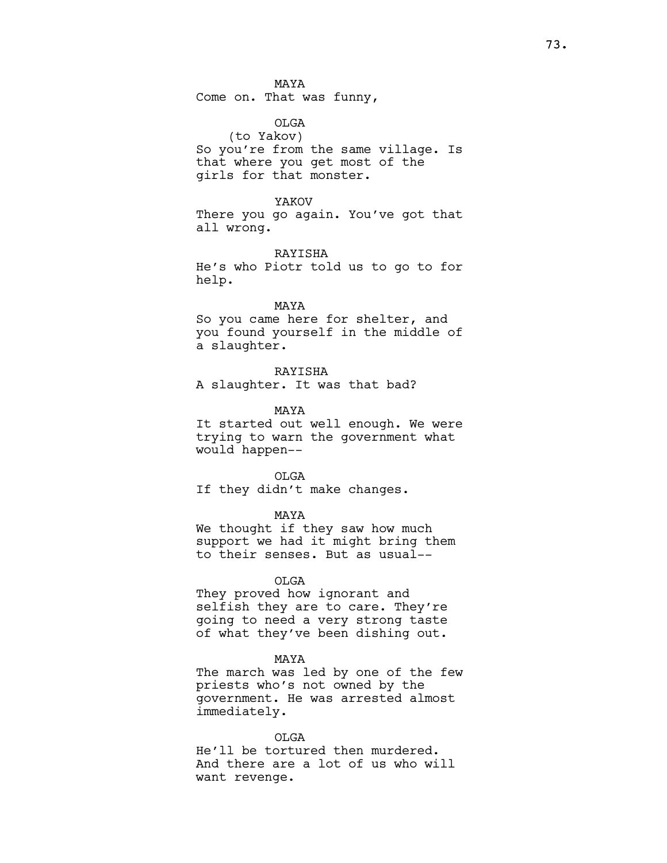MAYA Come on. That was funny,

OLGA (to Yakov) So you're from the same village. Is that where you get most of the girls for that monster.

YAKOV There you go again. You've got that all wrong.

RAYISHA He's who Piotr told us to go to for help.

# MAYA So you came here for shelter, and you found yourself in the middle of a slaughter.

RAYISHA A slaughter. It was that bad?

MAYA

It started out well enough. We were trying to warn the government what would happen--

OLGA If they didn't make changes.

MAYA

We thought if they saw how much support we had it might bring them to their senses. But as usual--

OLGA

They proved how ignorant and selfish they are to care. They're going to need a very strong taste of what they've been dishing out.

MAYA

The march was led by one of the few priests who's not owned by the government. He was arrested almost immediately.

OLGA

He'll be tortured then murdered. And there are a lot of us who will want revenge.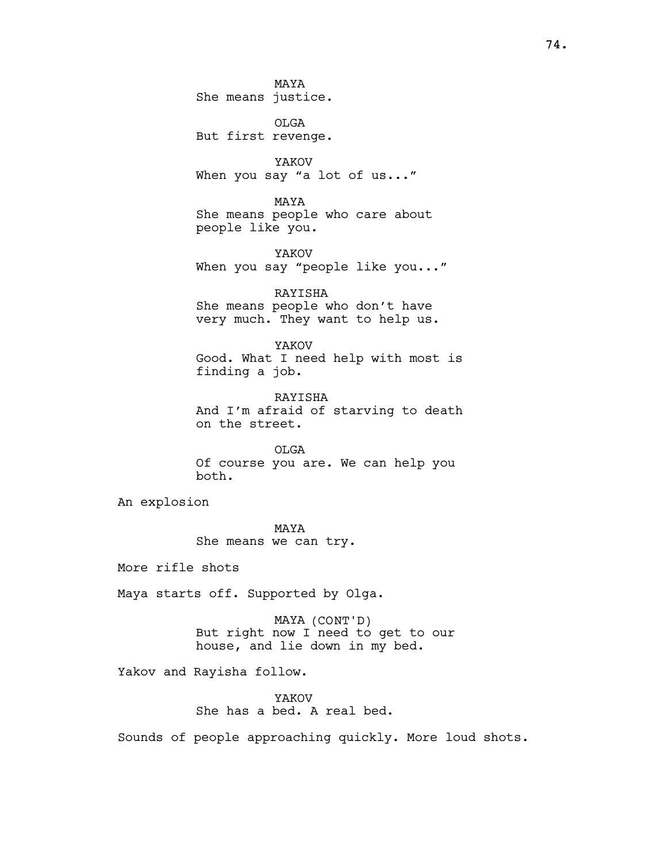MAYA She means justice.

OLGA But first revenge.

YAKOV When you say "a lot of us..."

MAYA She means people who care about people like you.

YAKOV When you say "people like you..."

RAYISHA She means people who don't have very much. They want to help us.

YAKOV Good. What I need help with most is finding a job.

RAYISHA And I'm afraid of starving to death on the street.

OLGA Of course you are. We can help you both.

An explosion

MAYA She means we can try.

More rifle shots

Maya starts off. Supported by Olga.

MAYA (CONT'D) But right now I need to get to our house, and lie down in my bed.

Yakov and Rayisha follow.

YAKOV She has a bed. A real bed.

Sounds of people approaching quickly. More loud shots.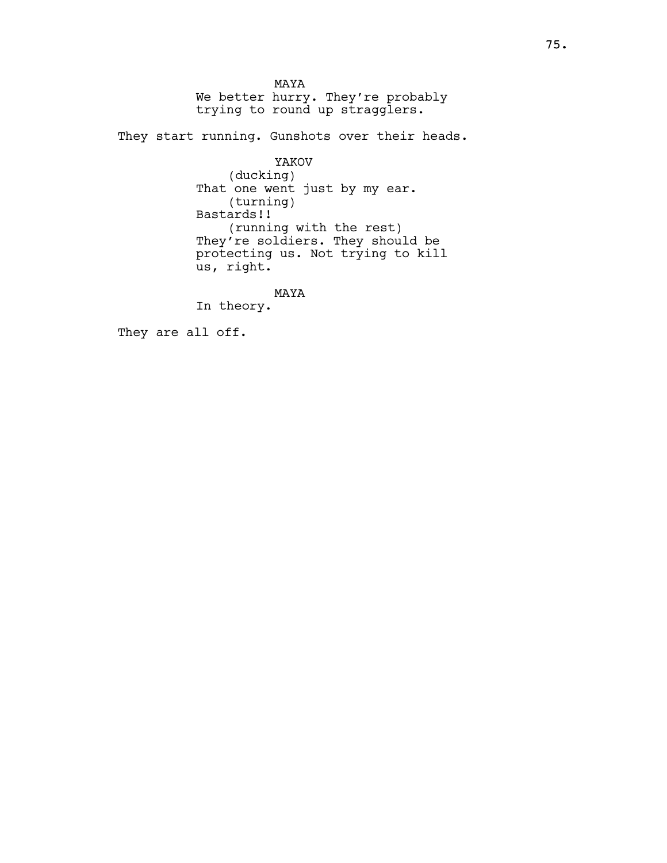MAYA We better hurry. They're probably trying to round up stragglers.

They start running. Gunshots over their heads.

YAKOV (ducking) That one went just by my ear. (turning) Bastards!! (running with the rest) They're soldiers. They should be protecting us. Not trying to kill us, right.

MAYA

In theory.

They are all off.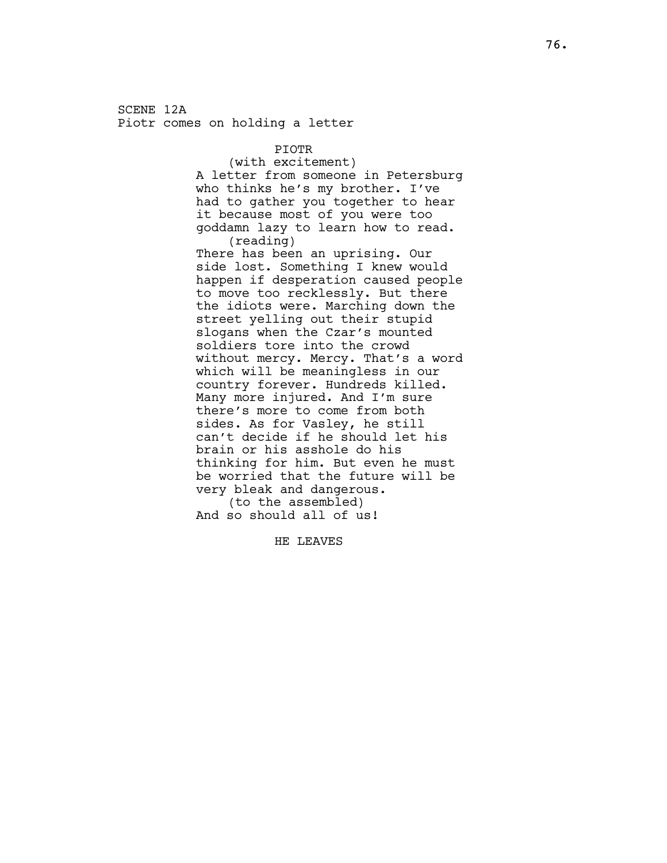SCENE 12A Piotr comes on holding a letter

PIOTR

(with excitement) A letter from someone in Petersburg who thinks he's my brother. I've had to gather you together to hear it because most of you were too goddamn lazy to learn how to read. (reading)

There has been an uprising. Our side lost. Something I knew would happen if desperation caused people to move too recklessly. But there the idiots were. Marching down the street yelling out their stupid slogans when the Czar's mounted soldiers tore into the crowd without mercy. Mercy. That's a word which will be meaningless in our country forever. Hundreds killed. Many more injured. And I'm sure there's more to come from both sides. As for Vasley, he still can't decide if he should let his brain or his asshole do his thinking for him. But even he must be worried that the future will be very bleak and dangerous.

(to the assembled) And so should all of us!

HE LEAVES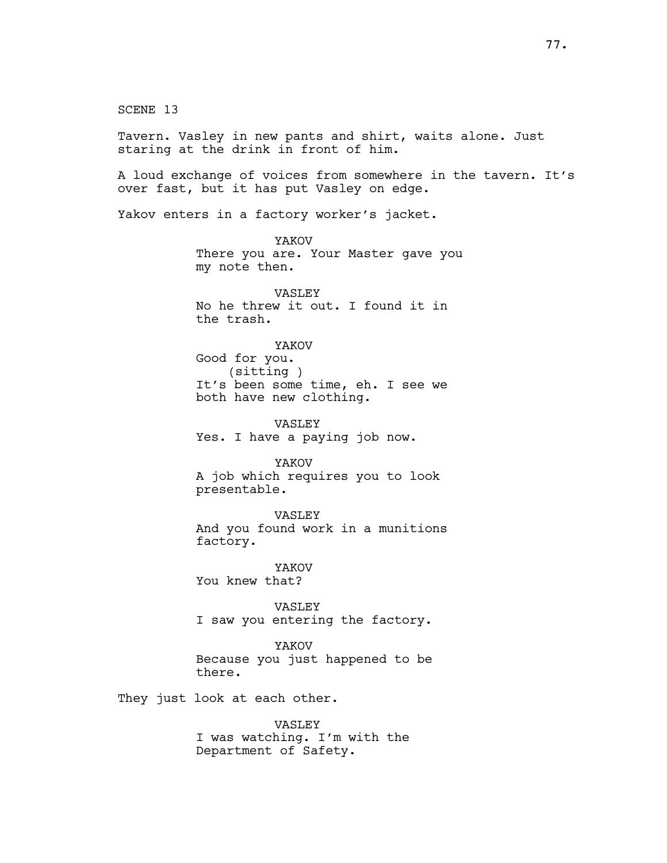SCENE 13 Tavern. Vasley in new pants and shirt, waits alone. Just staring at the drink in front of him. A loud exchange of voices from somewhere in the tavern. It's over fast, but it has put Vasley on edge. Yakov enters in a factory worker's jacket. YAKOV There you are. Your Master gave you my note then. VASLEY No he threw it out. I found it in the trash. YAKOV Good for you. (sitting ) It's been some time, eh. I see we both have new clothing. VASLEY Yes. I have a paying job now. YAKOV A job which requires you to look presentable. VASLEY And you found work in a munitions factory. YAKOV You knew that? VASLEY I saw you entering the factory. YAKOV Because you just happened to be there. They just look at each other. VASLEY I was watching. I'm with the Department of Safety.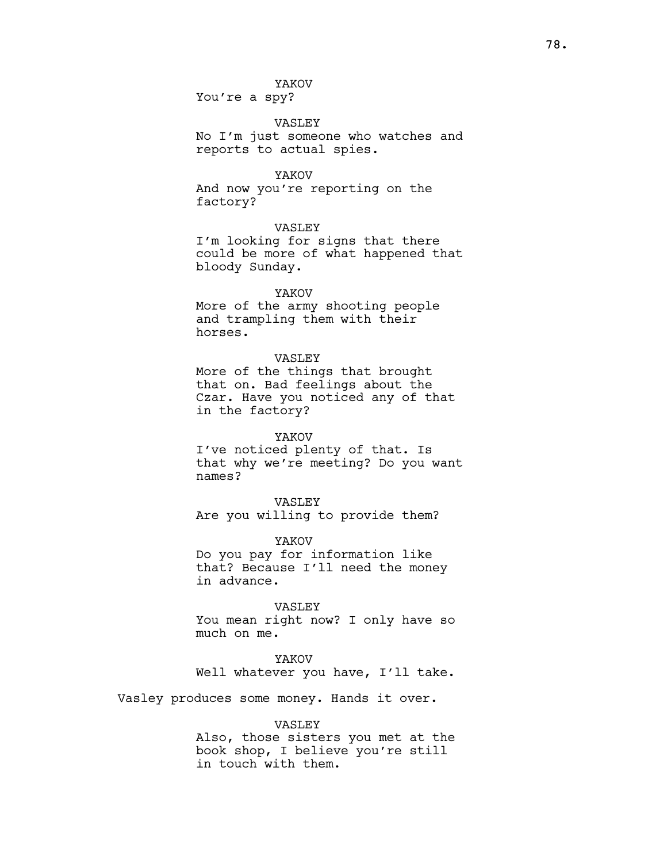You're a spy?

## VASLEY

No I'm just someone who watches and reports to actual spies.

### YAKOV

And now you're reporting on the factory?

## VASLEY

I'm looking for signs that there could be more of what happened that bloody Sunday.

## YAKOV

More of the army shooting people and trampling them with their horses.

## VASLEY

More of the things that brought that on. Bad feelings about the Czar. Have you noticed any of that in the factory?

## YAKOV

I've noticed plenty of that. Is that why we're meeting? Do you want names?

VASLEY Are you willing to provide them?

YAKOV Do you pay for information like that? Because I'll need the money in advance.

### VASLEY

You mean right now? I only have so much on me.

## YAKOV

Well whatever you have, I'll take.

Vasley produces some money. Hands it over.

### VASLEY

Also, those sisters you met at the book shop, I believe you're still in touch with them.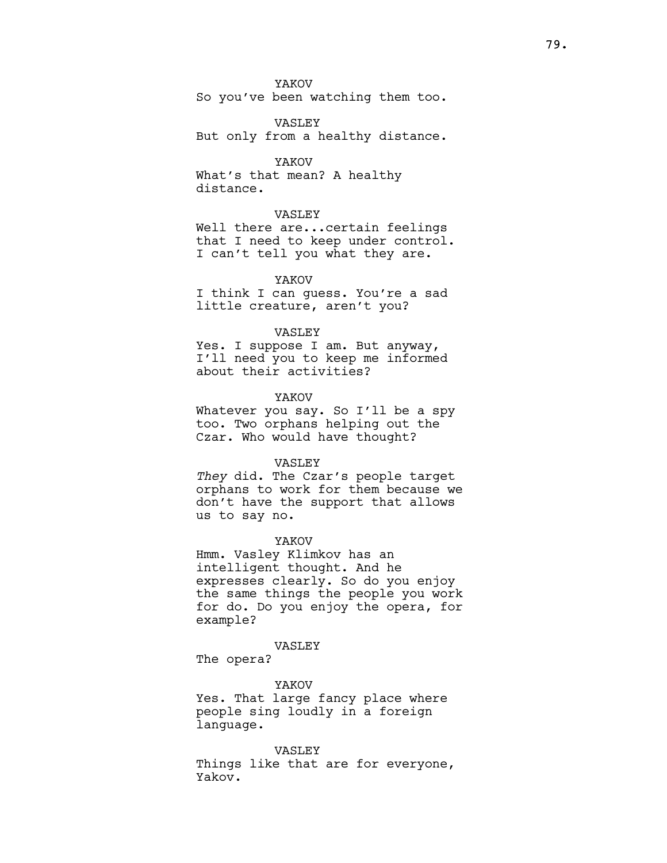## YAKOV

So you've been watching them too.

VASLEY But only from a healthy distance.

## YAKOV

What's that mean? A healthy distance.

### VASLEY

Well there are...certain feelings that I need to keep under control. I can't tell you what they are.

### YAKOV

I think I can guess. You're a sad little creature, aren't you?

## VASLEY

Yes. I suppose I am. But anyway, I'll need you to keep me informed about their activities?

### YAKOV

Whatever you say. So I'll be a spy too. Two orphans helping out the Czar. Who would have thought?

#### VASLEY

They did. The Czar's people target orphans to work for them because we don't have the support that allows us to say no.

#### YAKOV

Hmm. Vasley Klimkov has an intelligent thought. And he expresses clearly. So do you enjoy the same things the people you work for do. Do you enjoy the opera, for example?

#### VASLEY

The opera?

#### YAKOV

Yes. That large fancy place where people sing loudly in a foreign language.

#### VASLEY

Things like that are for everyone, Yakov.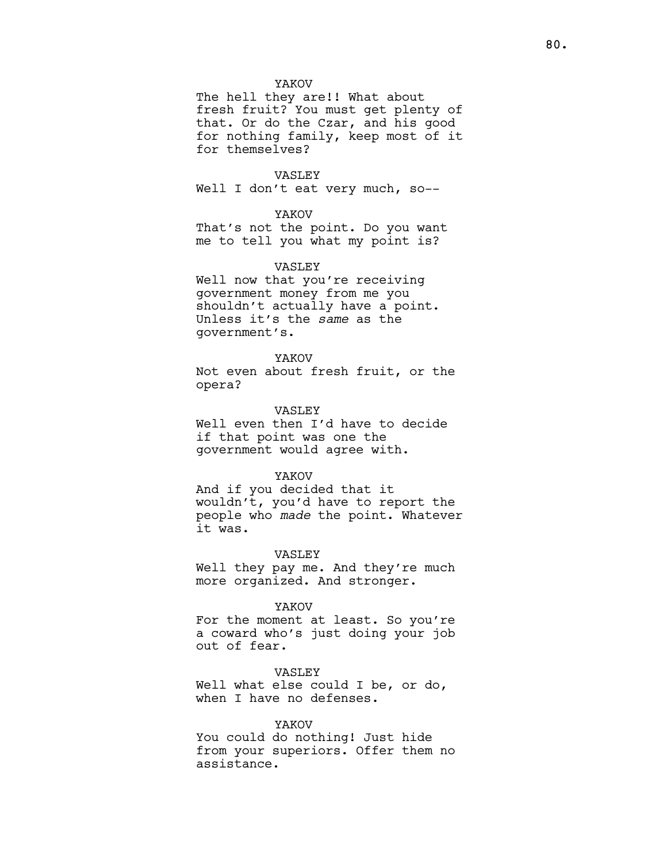### YAKOV

The hell they are!! What about fresh fruit? You must get plenty of that. Or do the Czar, and his good for nothing family, keep most of it for themselves?

#### VASLEY

Well I don't eat very much, so--

## YAKOV

That's not the point. Do you want me to tell you what my point is?

#### VASLEY

Well now that you're receiving government money from me you shouldn't actually have a point. Unless it's the same as the government's.

### YAKOV

Not even about fresh fruit, or the opera?

### VASLEY

Well even then I'd have to decide if that point was one the government would agree with.

#### YAKOV

And if you decided that it wouldn't, you'd have to report the people who made the point. Whatever it was.

#### VASLEY

Well they pay me. And they're much more organized. And stronger.

#### YAKOV

For the moment at least. So you're a coward who's just doing your job out of fear.

VASLEY Well what else could I be, or do, when I have no defenses.

### YAKOV

You could do nothing! Just hide from your superiors. Offer them no assistance.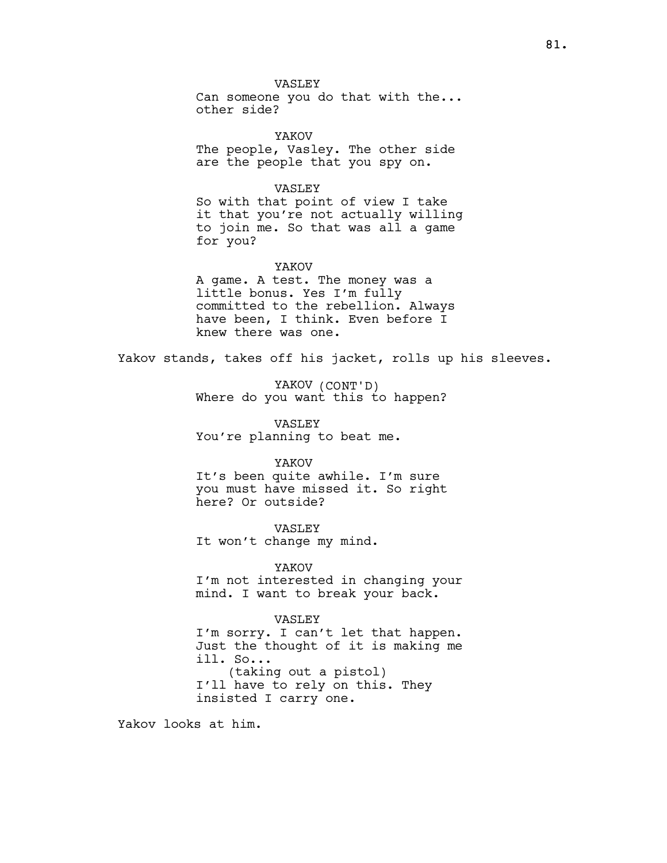VASLEY Can someone you do that with the... other side?

YAKOV The people, Vasley. The other side are the people that you spy on.

VASLEY So with that point of view I take it that you're not actually willing to join me. So that was all a game for you?

YAKOV A game. A test. The money was a little bonus. Yes I'm fully committed to the rebellion. Always have been, I think. Even before I knew there was one.

Yakov stands, takes off his jacket, rolls up his sleeves.

YAKOV (CONT'D) Where do you want this to happen?

VASLEY You're planning to beat me.

### YAKOV

It's been quite awhile. I'm sure you must have missed it. So right here? Or outside?

VASLEY It won't change my mind.

YAKOV I'm not interested in changing your mind. I want to break your back.

### VASLEY

I'm sorry. I can't let that happen. Just the thought of it is making me ill. So... (taking out a pistol) I'll have to rely on this. They insisted I carry one.

Yakov looks at him.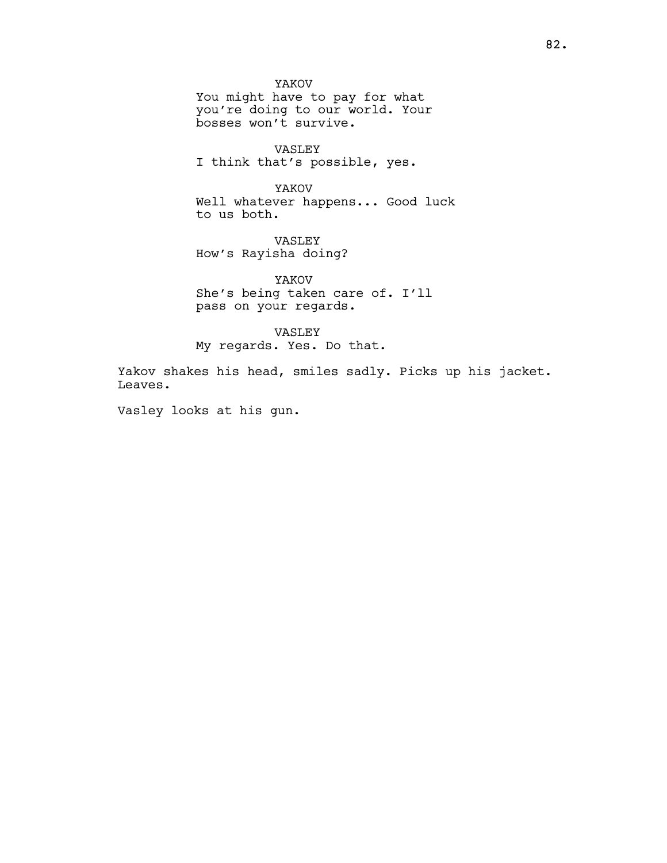YAKOV You might have to pay for what you're doing to our world. Your bosses won't survive.

VASLEY I think that's possible, yes.

YAKOV Well whatever happens... Good luck to us both.

VASLEY How's Rayisha doing?

YAKOV She's being taken care of. I'll pass on your regards.

VASLEY My regards. Yes. Do that.

Yakov shakes his head, smiles sadly. Picks up his jacket. Leaves.

Vasley looks at his gun.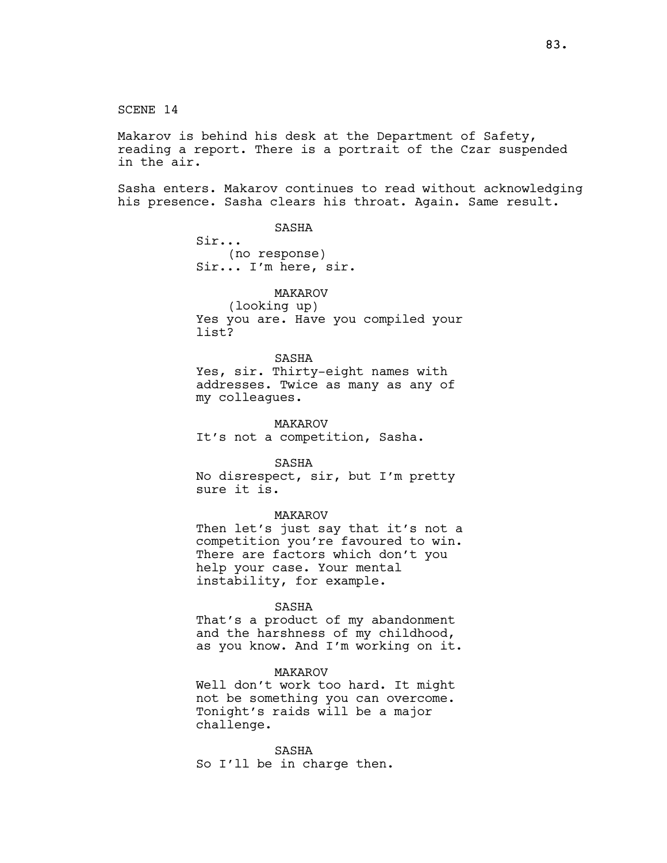SCENE 14

Makarov is behind his desk at the Department of Safety, reading a report. There is a portrait of the Czar suspended in the air.

Sasha enters. Makarov continues to read without acknowledging his presence. Sasha clears his throat. Again. Same result.

SASHA

Sir... (no response) Sir... I'm here, sir.

MAKAROV

(looking up) Yes you are. Have you compiled your list?

SASHA

Yes, sir. Thirty-eight names with addresses. Twice as many as any of my colleagues.

MAKAROV It's not a competition, Sasha.

SASHA

No disrespect, sir, but I'm pretty sure it is.

MAKAROV

Then let's just say that it's not a competition you're favoured to win. There are factors which don't you help your case. Your mental instability, for example.

#### SASHA

That's a product of my abandonment and the harshness of my childhood, as you know. And I'm working on it.

## MAKAROV

Well don't work too hard. It might not be something you can overcome. Tonight's raids will be a major challenge.

SASHA So I'll be in charge then.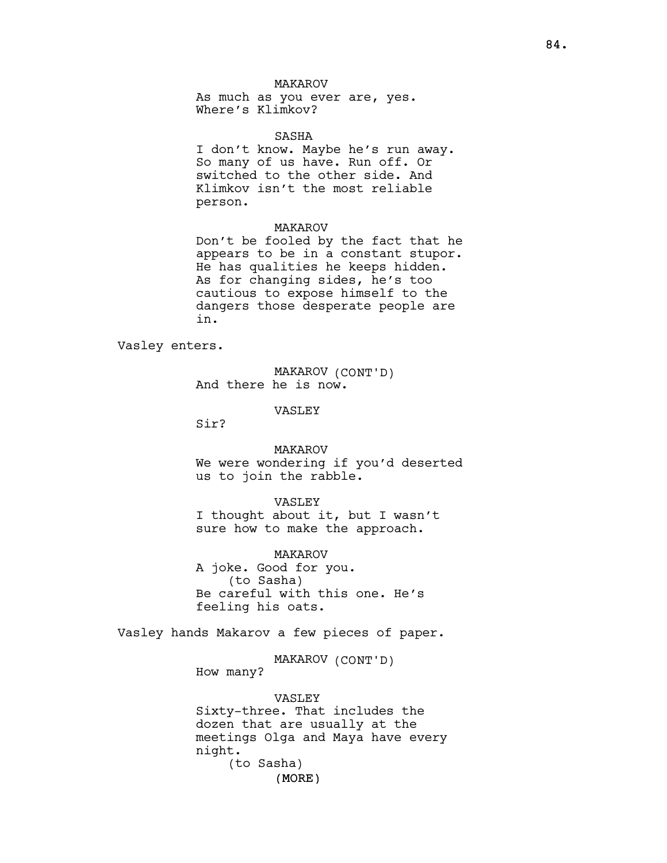## MAKAROV

As much as you ever are, yes. Where's Klimkov?

#### SASHA

I don't know. Maybe he's run away. So many of us have. Run off. Or switched to the other side. And Klimkov isn't the most reliable person.

### MAKAROV

Don't be fooled by the fact that he appears to be in a constant stupor. He has qualities he keeps hidden. As for changing sides, he's too cautious to expose himself to the dangers those desperate people are in.

Vasley enters.

MAKAROV (CONT'D) And there he is now.

VASLEY

Sir?

MAKAROV We were wondering if you'd deserted us to join the rabble.

### VASLEY

I thought about it, but I wasn't sure how to make the approach.

MAKAROV A joke. Good for you. (to Sasha) Be careful with this one. He's feeling his oats.

Vasley hands Makarov a few pieces of paper.

MAKAROV (CONT'D)

How many?

(MORE) VASLEY Sixty-three. That includes the dozen that are usually at the meetings Olga and Maya have every night. (to Sasha)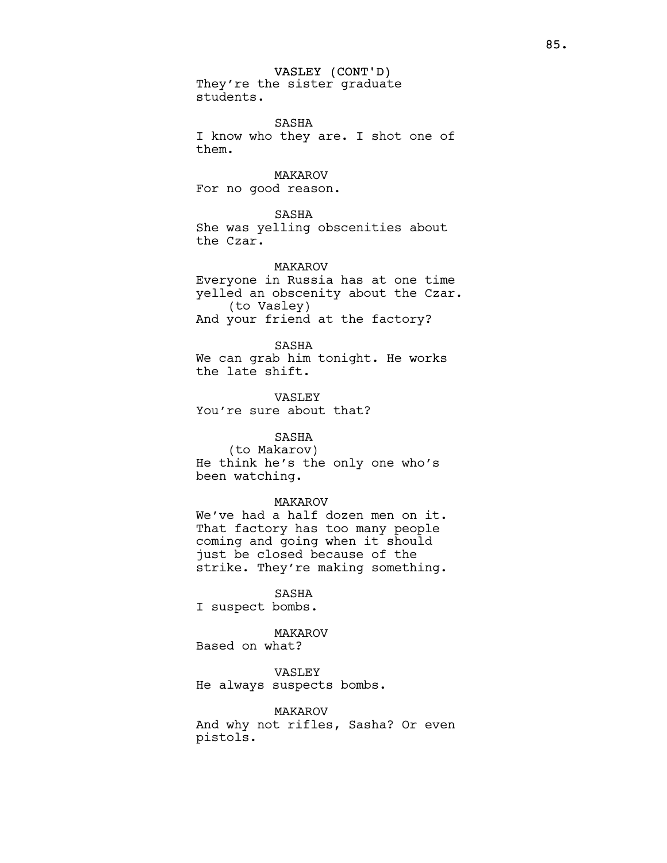VASLEY (CONT'D) They're the sister graduate students.

SASHA I know who they are. I shot one of them.

MAKAROV For no good reason.

SASHA She was yelling obscenities about the Czar.

MAKAROV Everyone in Russia has at one time yelled an obscenity about the Czar. (to Vasley) And your friend at the factory?

SASHA We can grab him tonight. He works the late shift.

VASLEY You're sure about that?

## SASHA

(to Makarov) He think he's the only one who's been watching.

### MAKAROV

We've had a half dozen men on it. That factory has too many people coming and going when it should just be closed because of the strike. They're making something.

SASHA I suspect bombs.

MAKAROV Based on what?

VASLEY He always suspects bombs.

MAKAROV And why not rifles, Sasha? Or even pistols.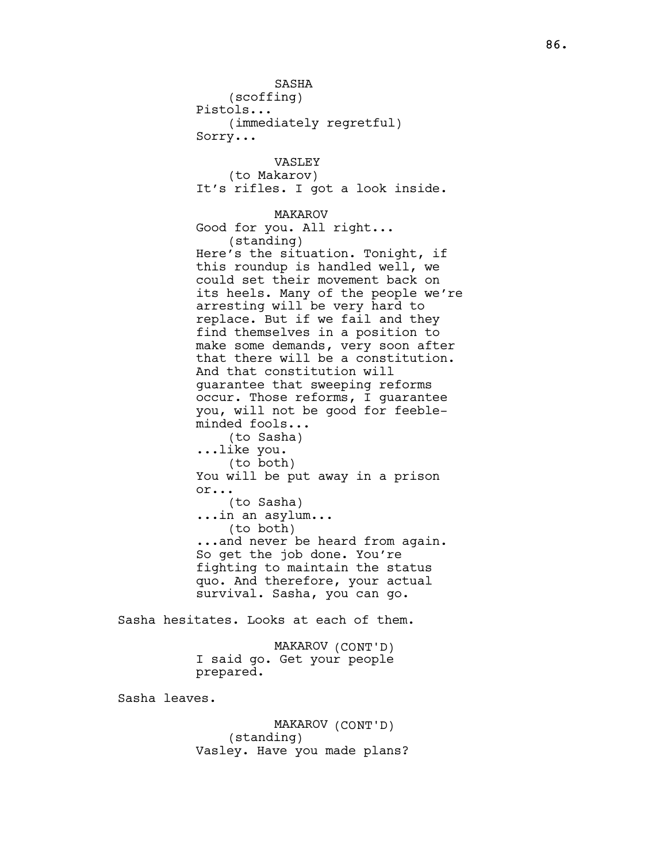SASHA (scoffing) Pistols... (immediately regretful) Sorry... VASLEY (to Makarov) It's rifles. I got a look inside. MAKAROV Good for you. All right... (standing) Here's the situation. Tonight, if this roundup is handled well, we could set their movement back on its heels. Many of the people we're arresting will be very hard to replace. But if we fail and they find themselves in a position to make some demands, very soon after that there will be a constitution. And that constitution will guarantee that sweeping reforms occur. Those reforms, I guarantee you, will not be good for feebleminded fools... (to Sasha) ...like you. (to both) You will be put away in a prison or... (to Sasha) ...in an asylum... (to both) ...and never be heard from again. So get the job done. You're fighting to maintain the status quo. And therefore, your actual survival. Sasha, you can go.

Sasha hesitates. Looks at each of them.

MAKAROV (CONT'D) I said go. Get your people prepared.

Sasha leaves.

MAKAROV (CONT'D) (standing) Vasley. Have you made plans?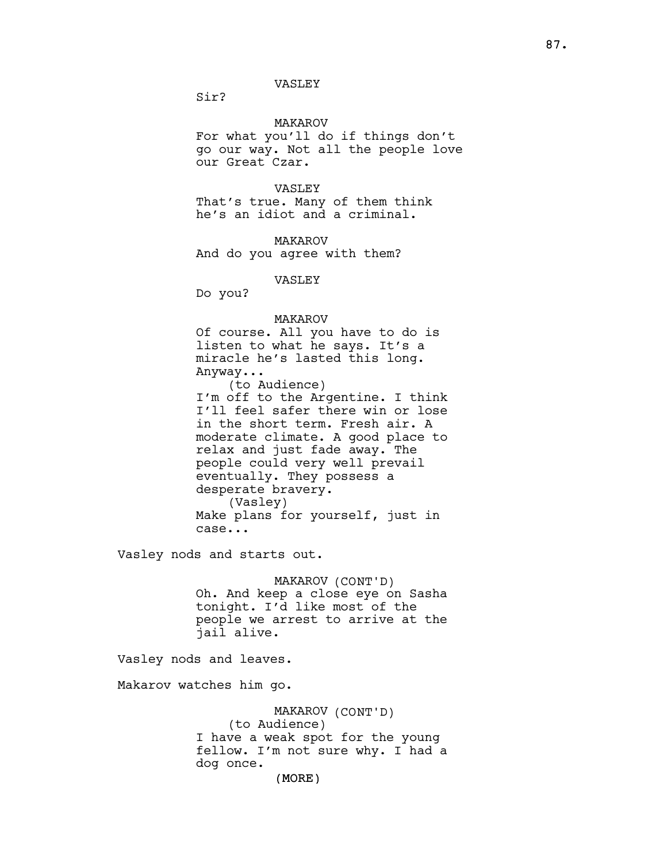## VASLEY

Sir?

## MAKAROV

For what you'll do if things don't go our way. Not all the people love our Great Czar.

## VASLEY

That's true. Many of them think he's an idiot and a criminal.

MAKAROV And do you agree with them?

VASLEY

Do you?

## MAKAROV

Of course. All you have to do is listen to what he says. It's a miracle he's lasted this long. Anyway...

(to Audience) I'm off to the Argentine. I think I'll feel safer there win or lose in the short term. Fresh air. A moderate climate. A good place to relax and just fade away. The people could very well prevail eventually. They possess a desperate bravery. (Vasley) Make plans for yourself, just in case...

Vasley nods and starts out.

MAKAROV (CONT'D) Oh. And keep a close eye on Sasha tonight. I'd like most of the people we arrest to arrive at the jail alive.

Vasley nods and leaves.

Makarov watches him go.

MAKAROV (CONT'D) (to Audience) I have a weak spot for the young fellow. I'm not sure why. I had a dog once.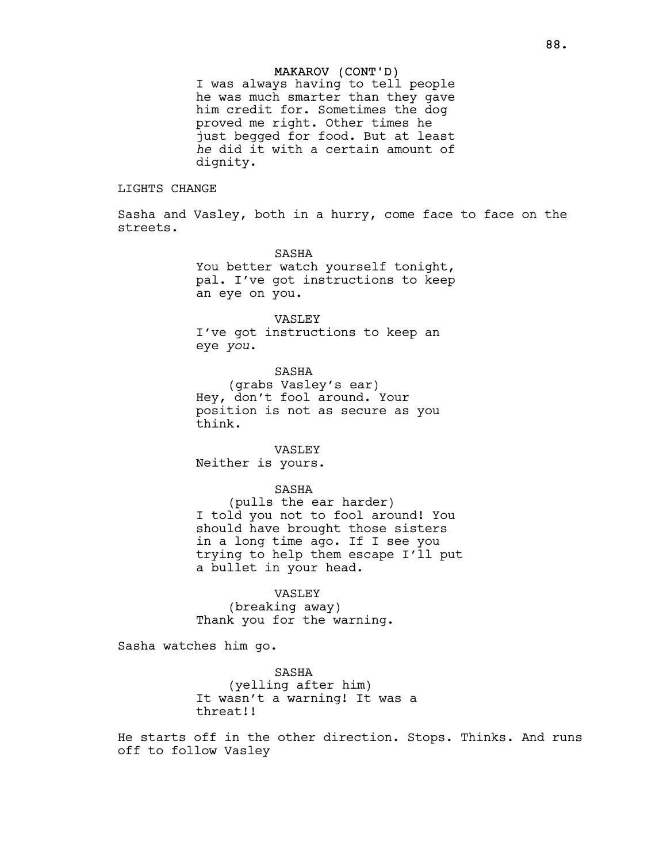### MAKAROV (CONT'D)

I was always having to tell people he was much smarter than they gave him credit for. Sometimes the dog proved me right. Other times he just begged for food. But at least he did it with a certain amount of dignity.

## LIGHTS CHANGE

Sasha and Vasley, both in a hurry, come face to face on the streets.

> SASHA You better watch yourself tonight, pal. I've got instructions to keep an eye on you.

#### VASLEY

I've got instructions to keep an eye you.

SASHA

(grabs Vasley's ear) Hey, don't fool around. Your position is not as secure as you think.

### VASLEY

Neither is yours.

### SASHA

(pulls the ear harder) I told you not to fool around! You should have brought those sisters in a long time ago. If I see you trying to help them escape I'll put a bullet in your head.

## VASLEY

(breaking away) Thank you for the warning.

Sasha watches him go.

SASHA (yelling after him) It wasn't a warning! It was a threat!!

He starts off in the other direction. Stops. Thinks. And runs off to follow Vasley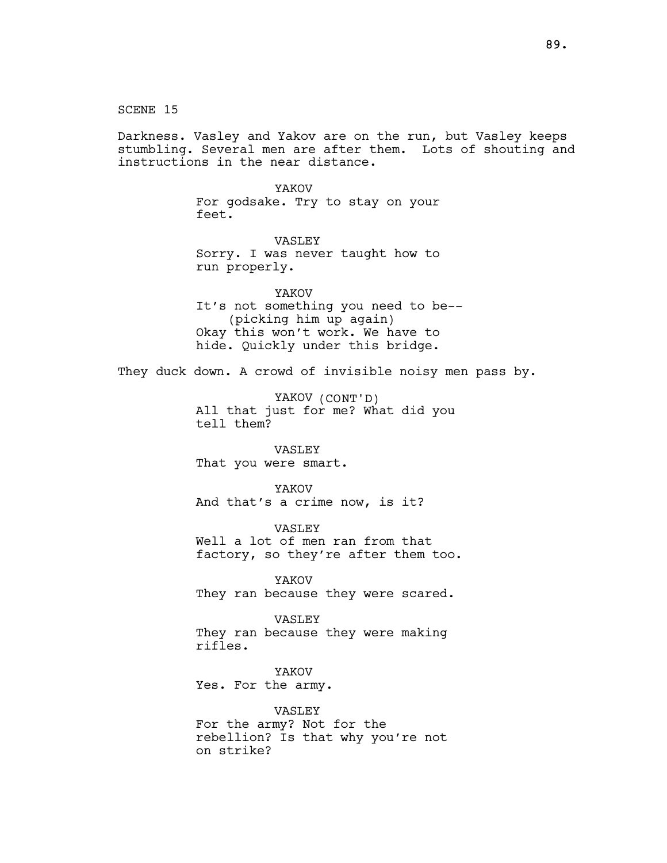SCENE 15 Darkness. Vasley and Yakov are on the run, but Vasley keeps stumbling. Several men are after them. Lots of shouting and instructions in the near distance. YAKOV For godsake. Try to stay on your feet. VASLEY Sorry. I was never taught how to run properly. YAKOV It's not something you need to be-- (picking him up again) Okay this won't work. We have to hide. Quickly under this bridge. They duck down. A crowd of invisible noisy men pass by. YAKOV (CONT'D) All that just for me? What did you tell them? VASLEY That you were smart. YAKOV And that's a crime now, is it? VASLEY Well a lot of men ran from that factory, so they're after them too. YAKOV They ran because they were scared. VASLEY They ran because they were making rifles. YAKOV Yes. For the army. VASLEY For the army? Not for the rebellion? Is that why you're not on strike?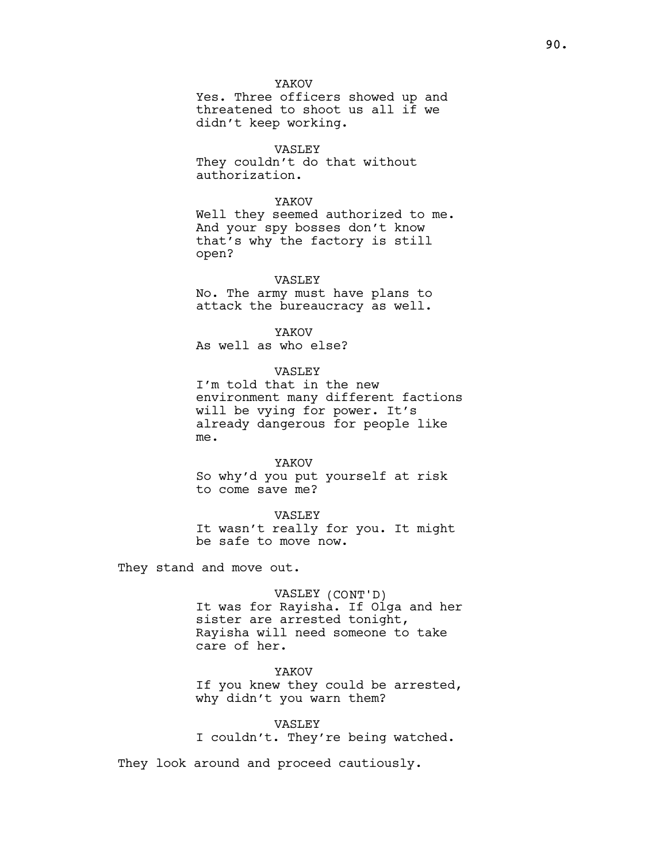YAKOV

Yes. Three officers showed up and threatened to shoot us all if we didn't keep working.

VASLEY They couldn't do that without authorization.

#### YAKOV

Well they seemed authorized to me. And your spy bosses don't know that's why the factory is still open?

## VASLEY

No. The army must have plans to attack the bureaucracy as well.

YAKOV

As well as who else?

VASLEY

I'm told that in the new environment many different factions will be vying for power. It's already dangerous for people like me.

YAKOV So why'd you put yourself at risk to come save me?

VASLEY It wasn't really for you. It might be safe to move now.

They stand and move out.

VASLEY (CONT'D) It was for Rayisha. If Olga and her sister are arrested tonight, Rayisha will need someone to take care of her.

YAKOV

If you knew they could be arrested, why didn't you warn them?

## VASLEY

I couldn't. They're being watched.

They look around and proceed cautiously.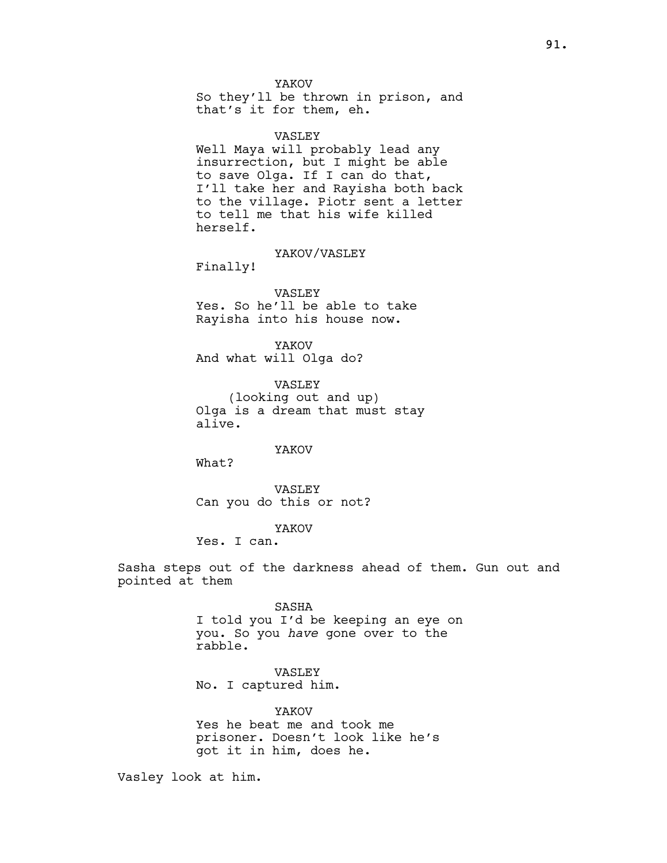YAKOV

So they'll be thrown in prison, and that's it for them, eh.

VASLEY

Well Maya will probably lead any insurrection, but I might be able to save Olga. If I can do that, I'll take her and Rayisha both back to the village. Piotr sent a letter to tell me that his wife killed herself.

YAKOV/VASLEY

Finally!

#### VASLEY

Yes. So he'll be able to take Rayisha into his house now.

YAKOV And what will Olga do?

VASLEY (looking out and up) Olga is a dream that must stay alive.

YAKOV

What?

VASLEY Can you do this or not?

YAKOV

Yes. I can.

Sasha steps out of the darkness ahead of them. Gun out and pointed at them

> SASHA I told you I'd be keeping an eye on you. So you have gone over to the rabble.

VASLEY No. I captured him.

YAKOV Yes he beat me and took me prisoner. Doesn't look like he's got it in him, does he.

Vasley look at him.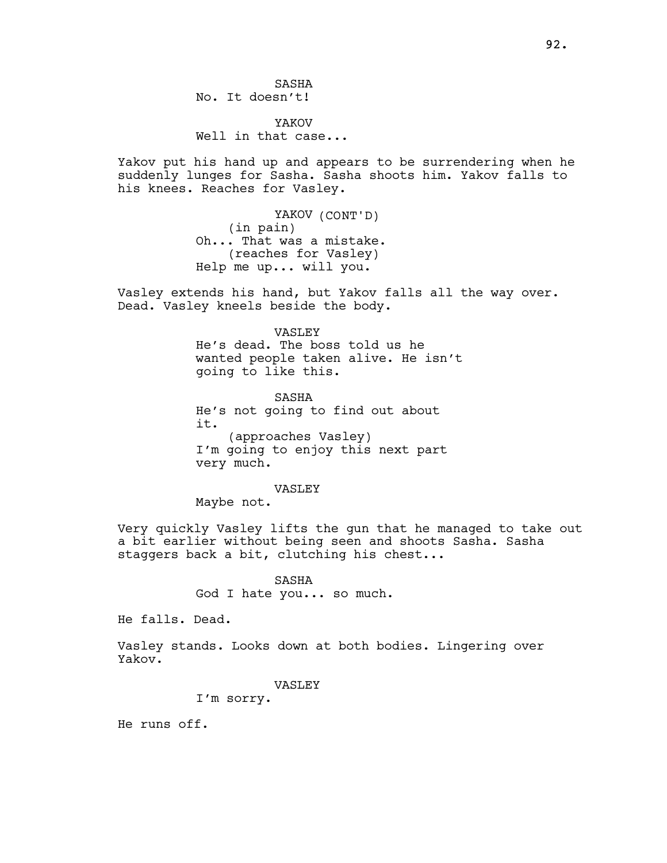SASHA No. It doesn't!

YAKOV Well in that case...

Yakov put his hand up and appears to be surrendering when he suddenly lunges for Sasha. Sasha shoots him. Yakov falls to his knees. Reaches for Vasley.

> YAKOV (CONT'D) (in pain) Oh... That was a mistake. (reaches for Vasley) Help me up... will you.

Vasley extends his hand, but Yakov falls all the way over. Dead. Vasley kneels beside the body.

> VASLEY He's dead. The boss told us he wanted people taken alive. He isn't going to like this.

SASHA He's not going to find out about it. (approaches Vasley) I'm going to enjoy this next part very much.

#### VASLEY

Maybe not.

Very quickly Vasley lifts the gun that he managed to take out a bit earlier without being seen and shoots Sasha. Sasha staggers back a bit, clutching his chest...

### SASHA

God I hate you... so much.

He falls. Dead.

Vasley stands. Looks down at both bodies. Lingering over Yakov.

### VASLEY

I'm sorry.

He runs off.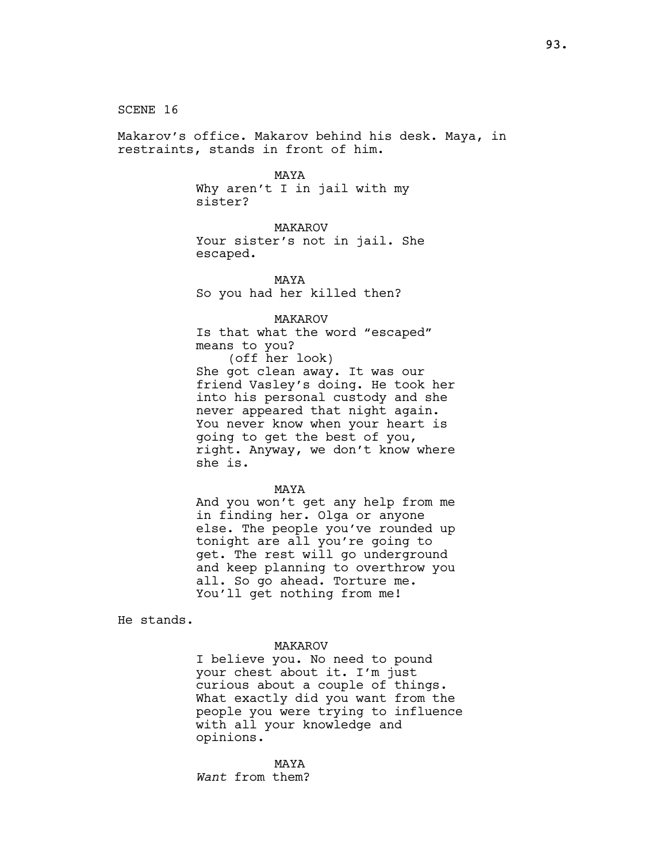SCENE 16

Makarov's office. Makarov behind his desk. Maya, in restraints, stands in front of him.

MAYA

Why aren't I in jail with my sister?

MAKAROV Your sister's not in jail. She escaped.

MAYA So you had her killed then?

MAKAROV

Is that what the word "escaped" means to you?

(off her look) She got clean away. It was our friend Vasley's doing. He took her into his personal custody and she never appeared that night again. You never know when your heart is going to get the best of you, right. Anyway, we don't know where she is.

MAYA

And you won't get any help from me in finding her. Olga or anyone else. The people you've rounded up tonight are all you're going to get. The rest will go underground and keep planning to overthrow you all. So go ahead. Torture me. You'll get nothing from me!

He stands.

### MAKAROV

I believe you. No need to pound your chest about it. I'm just curious about a couple of things. What exactly did you want from the people you were trying to influence with all your knowledge and opinions.

MAYA Want from them?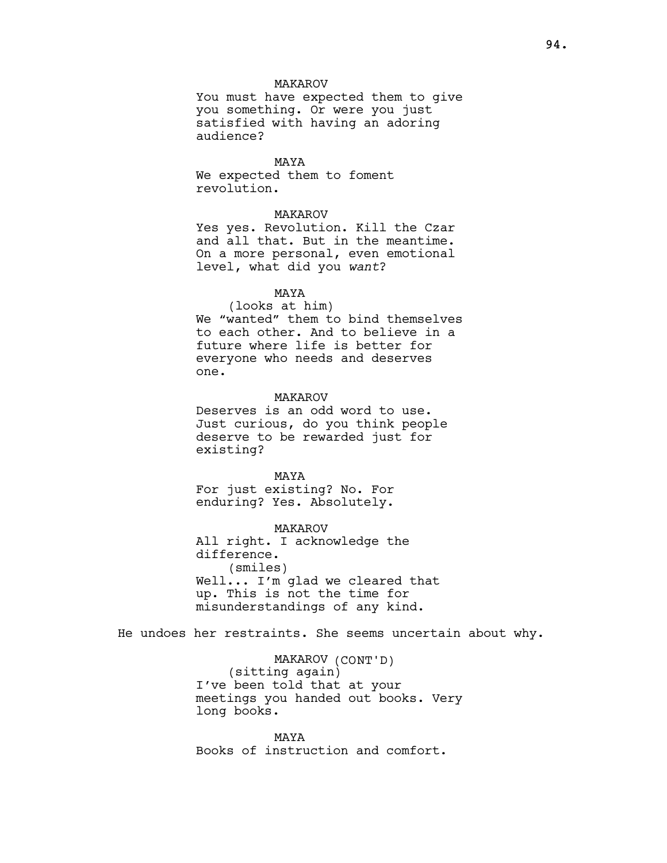## MAKAROV

You must have expected them to give you something. Or were you just satisfied with having an adoring audience?

MAYA We expected them to foment revolution.

## MAKAROV

Yes yes. Revolution. Kill the Czar and all that. But in the meantime. On a more personal, even emotional level, what did you want?

## MAYA

(looks at him) We "wanted" them to bind themselves to each other. And to believe in a future where life is better for everyone who needs and deserves one.

### MAKAROV

Deserves is an odd word to use. Just curious, do you think people deserve to be rewarded just for existing?

MAYA For just existing? No. For enduring? Yes. Absolutely.

MAKAROV All right. I acknowledge the difference. (smiles) Well... I'm glad we cleared that up. This is not the time for misunderstandings of any kind.

He undoes her restraints. She seems uncertain about why.

MAKAROV (CONT'D) (sitting again) I've been told that at your meetings you handed out books. Very long books.

MAYA Books of instruction and comfort.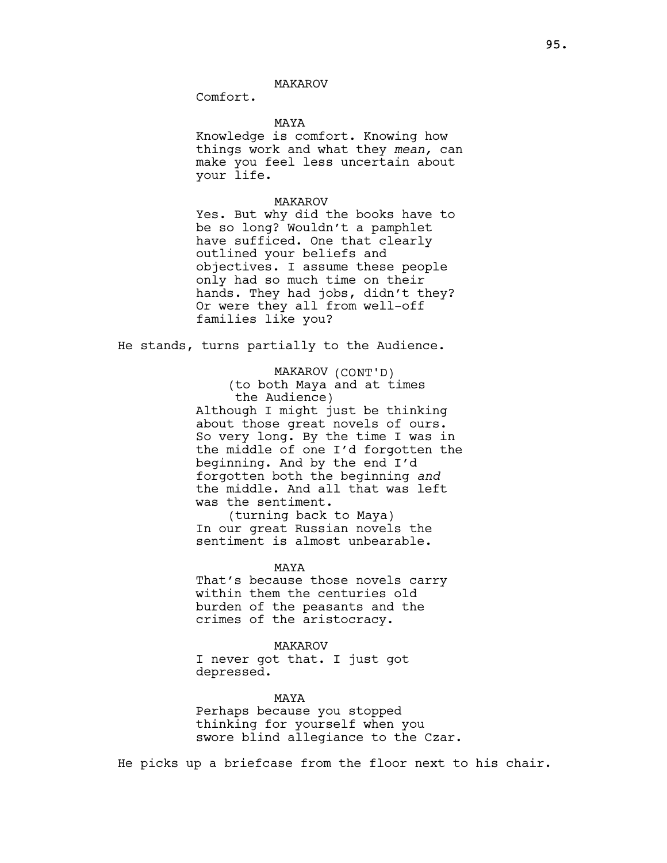Comfort.

### MAYA

Knowledge is comfort. Knowing how things work and what they mean, can make you feel less uncertain about your life.

### MAKAROV

Yes. But why did the books have to be so long? Wouldn't a pamphlet have sufficed. One that clearly outlined your beliefs and objectives. I assume these people only had so much time on their hands. They had jobs, didn't they? Or were they all from well-off families like you?

He stands, turns partially to the Audience.

MAKAROV (CONT'D)

(to both Maya and at times the Audience)

Although I might just be thinking about those great novels of ours. So very long. By the time I was in the middle of one I'd forgotten the beginning. And by the end I'd forgotten both the beginning and the middle. And all that was left was the sentiment.

(turning back to Maya) In our great Russian novels the sentiment is almost unbearable.

MAYA

That's because those novels carry within them the centuries old burden of the peasants and the crimes of the aristocracy.

## MAKAROV

I never got that. I just got depressed.

#### MAYA

Perhaps because you stopped thinking for yourself when you swore blind allegiance to the Czar.

He picks up a briefcase from the floor next to his chair.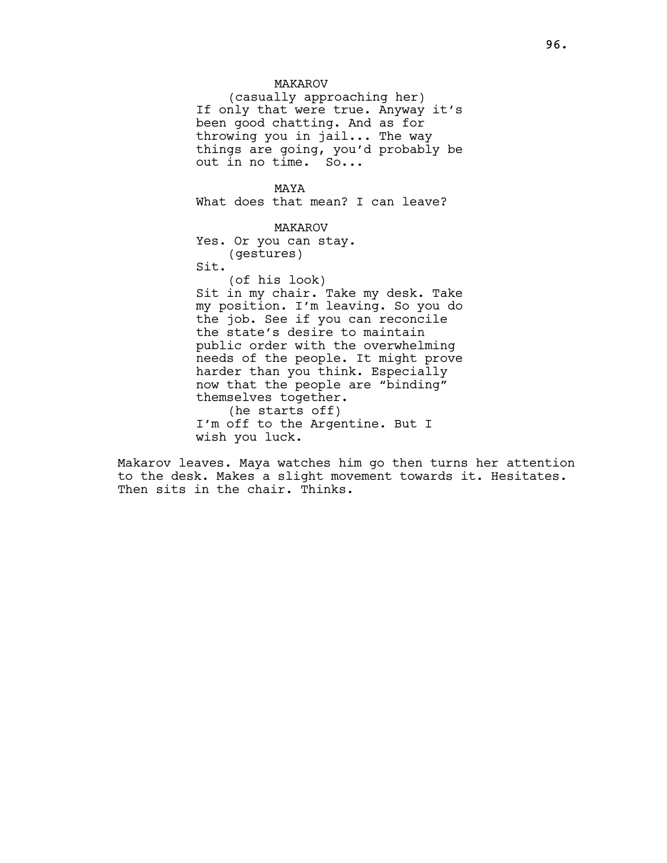## MAKAROV

(casually approaching her) If only that were true. Anyway it's been good chatting. And as for throwing you in jail... The way things are going, you'd probably be out in no time. So...

MAYA What does that mean? I can leave?

MAKAROV Yes. Or you can stay. (gestures) Sit.

(of his look) Sit in my chair. Take my desk. Take my position. I'm leaving. So you do the job. See if you can reconcile the state's desire to maintain public order with the overwhelming needs of the people. It might prove harder than you think. Especially now that the people are "binding" themselves together. (he starts off)

I'm off to the Argentine. But I wish you luck.

Makarov leaves. Maya watches him go then turns her attention to the desk. Makes a slight movement towards it. Hesitates. Then sits in the chair. Thinks.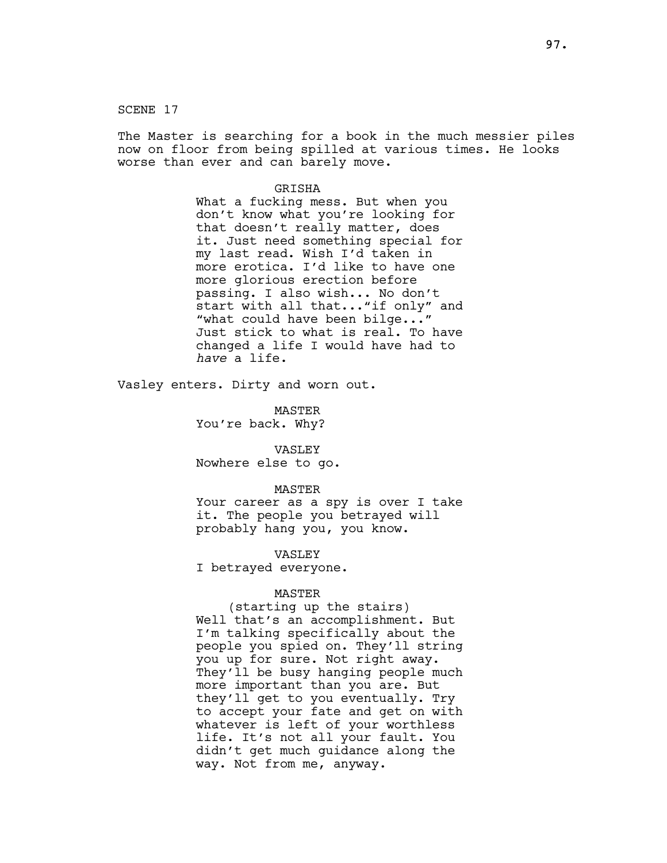SCENE 17

The Master is searching for a book in the much messier piles now on floor from being spilled at various times. He looks worse than ever and can barely move.

### **GRISHA**

What a fucking mess. But when you don't know what you're looking for that doesn't really matter, does it. Just need something special for my last read. Wish I'd taken in more erotica. I'd like to have one more glorious erection before passing. I also wish... No don't start with all that..."if only" and "what could have been bilge..." Just stick to what is real. To have changed a life I would have had to have a life.

Vasley enters. Dirty and worn out.

MASTER You're back. Why?

VASLEY Nowhere else to go.

#### MASTER

Your career as a spy is over I take it. The people you betrayed will probably hang you, you know.

VASLEY

I betrayed everyone.

### MASTER

(starting up the stairs) Well that's an accomplishment. But I'm talking specifically about the people you spied on. They'll string you up for sure. Not right away. They'll be busy hanging people much more important than you are. But they'll get to you eventually. Try to accept your fate and get on with whatever is left of your worthless life. It's not all your fault. You didn't get much guidance along the way. Not from me, anyway.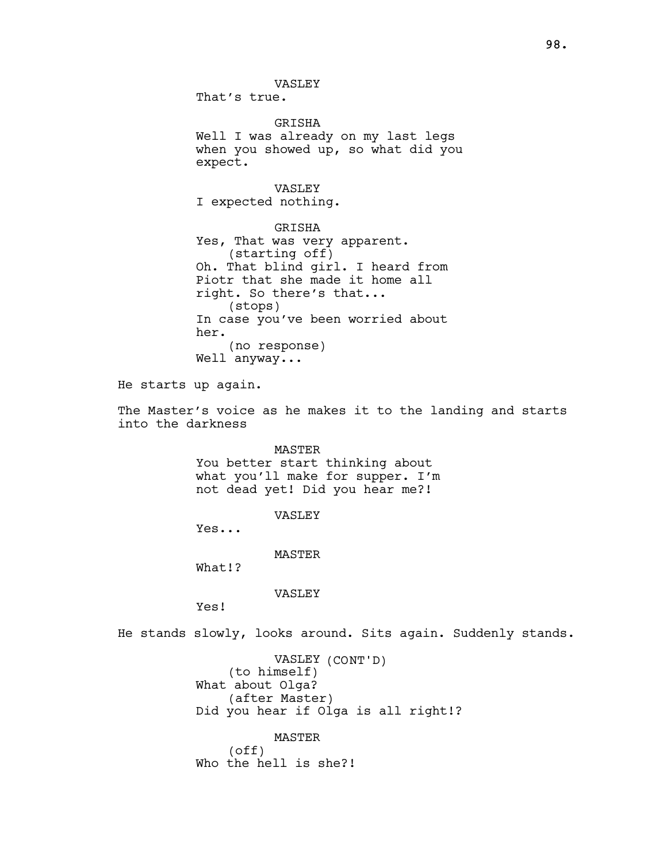VASLEY That's true. GRISHA Well I was already on my last legs when you showed up, so what did you expect. VASLEY I expected nothing. GRISHA Yes, That was very apparent. (starting off) Oh. That blind girl. I heard from Piotr that she made it home all right. So there's that... (stops) In case you've been worried about her. (no response) Well anyway... He starts up again. The Master's voice as he makes it to the landing and starts into the darkness

MASTER

You better start thinking about what you'll make for supper. I'm not dead yet! Did you hear me?!

VASLEY

Yes...

MASTER

What!?

VASLEY

Yes!

He stands slowly, looks around. Sits again. Suddenly stands.

VASLEY (CONT'D) (to himself) What about Olga? (after Master) Did you hear if Olga is all right!?

MASTER (off) Who the hell is she?!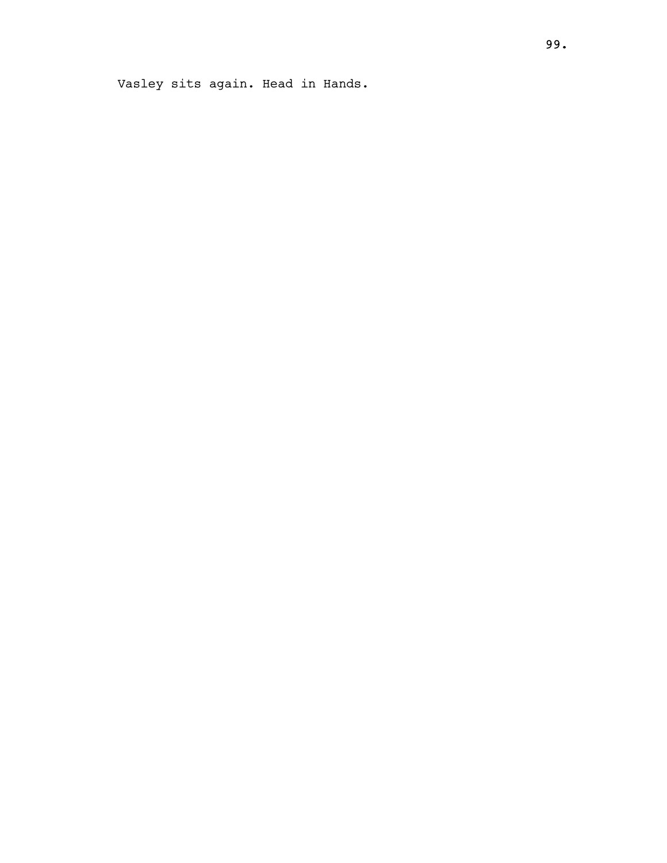Vasley sits again. Head in Hands.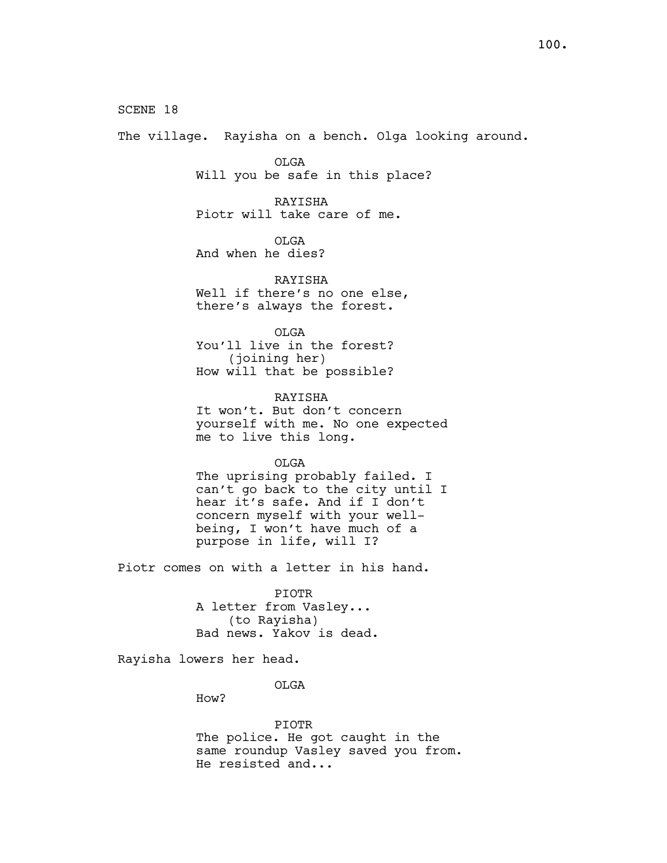SCENE 18 The village. Rayisha on a bench. Olga looking around. OLGA Will you be safe in this place? RAYISHA Piotr will take care of me. OLGA And when he dies? RAYISHA Well if there's no one else, there's always the forest. OLGA You'll live in the forest? (joining her) How will that be possible? RAYISHA It won't. But don't concern yourself with me. No one expected me to live this long. OLGA The uprising probably failed. I can't go back to the city until I hear it's safe. And if I don't concern myself with your wellbeing, I won't have much of a purpose in life, will I? Piotr comes on with a letter in his hand. PIOTR A letter from Vasley... (to Rayisha) Bad news. Yakov is dead. Rayisha lowers her head.

OLGA

How?

PIOTR

The police. He got caught in the same roundup Vasley saved you from. He resisted and...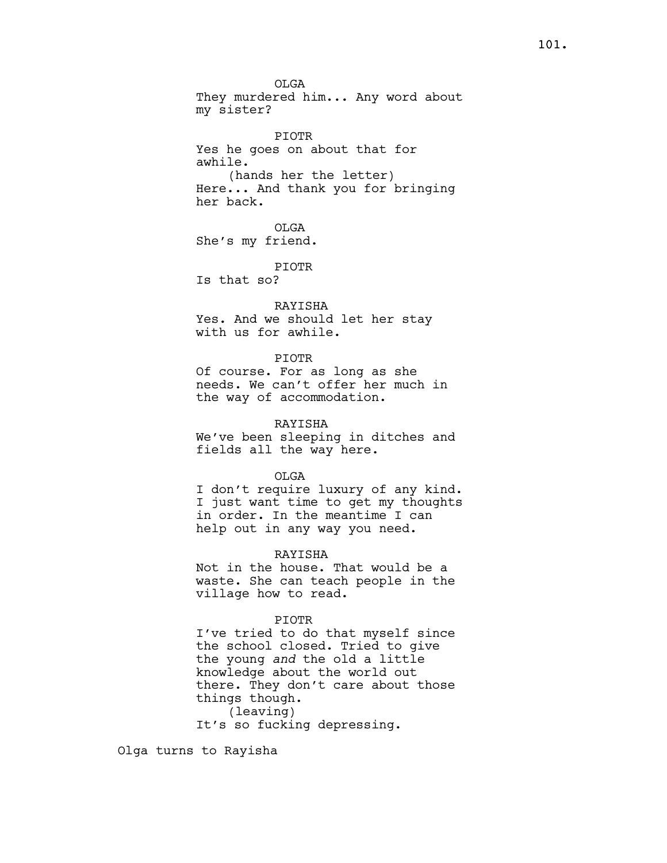OLGA They murdered him... Any word about my sister?

PIOTR Yes he goes on about that for awhile. (hands her the letter) Here... And thank you for bringing her back.

OLGA She's my friend.

PIOTR Is that so?

RAYISHA Yes. And we should let her stay with us for awhile.

#### PIOTR

Of course. For as long as she needs. We can't offer her much in the way of accommodation.

## RAYISHA

We've been sleeping in ditches and fields all the way here.

#### OLGA

I don't require luxury of any kind. I just want time to get my thoughts in order. In the meantime I can help out in any way you need.

### RAYISHA

Not in the house. That would be a waste. She can teach people in the village how to read.

### PIOTR

I've tried to do that myself since the school closed. Tried to give the young and the old a little knowledge about the world out there. They don't care about those things though. (leaving) It's so fucking depressing.

Olga turns to Rayisha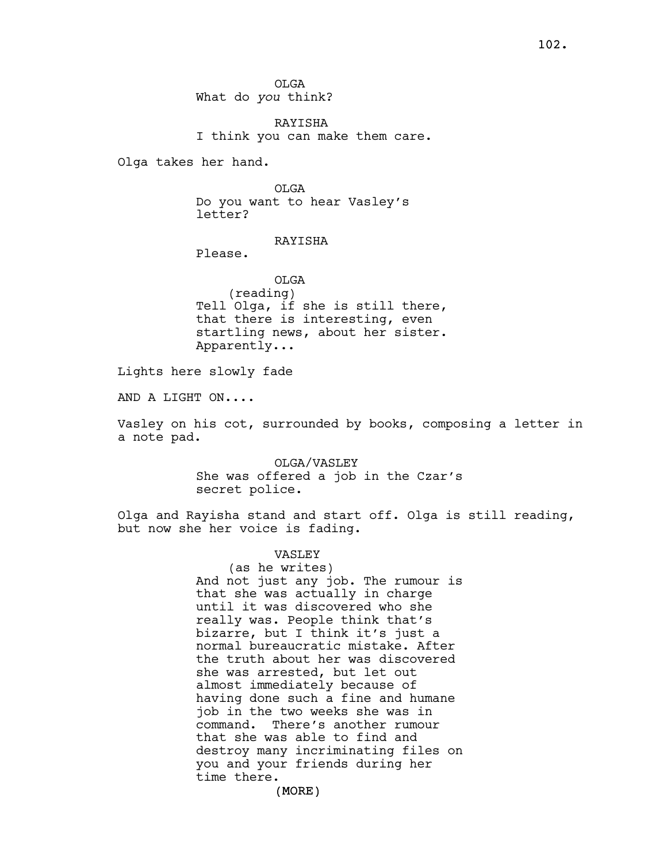OLGA What do you think?

RAYISHA I think you can make them care.

Olga takes her hand.

OLGA Do you want to hear Vasley's letter?

## RAYISHA

Please.

OLGA (reading) Tell Olga, if she is still there, that there is interesting, even startling news, about her sister. Apparently...

Lights here slowly fade

AND A LIGHT ON....

Vasley on his cot, surrounded by books, composing a letter in a note pad.

> OLGA/VASLEY She was offered a job in the Czar's secret police.

Olga and Rayisha stand and start off. Olga is still reading, but now she her voice is fading.

## VASLEY

(as he writes) And not just any job. The rumour is that she was actually in charge until it was discovered who she really was. People think that's bizarre, but I think it's just a normal bureaucratic mistake. After the truth about her was discovered she was arrested, but let out almost immediately because of having done such a fine and humane job in the two weeks she was in command. There's another rumour that she was able to find and destroy many incriminating files on you and your friends during her time there.

(MORE)